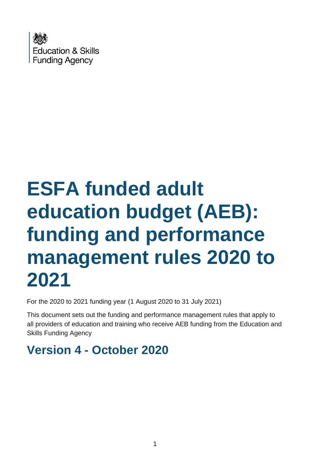

# **ESFA funded adult education budget (AEB): funding and performance management rules 2020 to 2021**

For the 2020 to 2021 funding year (1 August 2020 to 31 July 2021)

This document sets out the funding and performance management rules that apply to all providers of education and training who receive AEB funding from the Education and Skills Funding Agency

# **Version 4 - October 2020**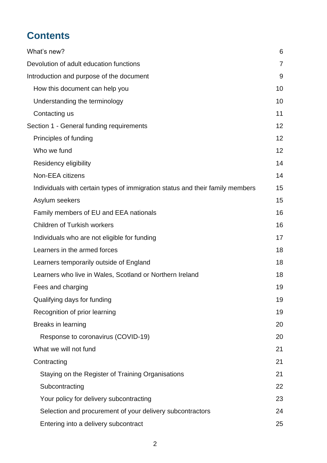# **Contents**

| What's new?                                                                   | 6              |
|-------------------------------------------------------------------------------|----------------|
| Devolution of adult education functions                                       | $\overline{7}$ |
| Introduction and purpose of the document                                      | 9              |
| How this document can help you                                                | 10             |
| Understanding the terminology                                                 | 10             |
| Contacting us                                                                 | 11             |
| Section 1 - General funding requirements                                      | 12             |
| Principles of funding                                                         | 12             |
| Who we fund                                                                   | 12             |
| Residency eligibility                                                         | 14             |
| Non-EEA citizens                                                              | 14             |
| Individuals with certain types of immigration status and their family members | 15             |
| Asylum seekers                                                                | 15             |
| Family members of EU and EEA nationals                                        | 16             |
| <b>Children of Turkish workers</b>                                            | 16             |
| Individuals who are not eligible for funding                                  | 17             |
| Learners in the armed forces                                                  | 18             |
| Learners temporarily outside of England                                       | 18             |
| Learners who live in Wales, Scotland or Northern Ireland                      | 18             |
| Fees and charging                                                             | 19             |
| Qualifying days for funding                                                   | 19             |
| Recognition of prior learning                                                 | 19             |
| Breaks in learning                                                            | 20             |
| Response to coronavirus (COVID-19)                                            | 20             |
| What we will not fund                                                         | 21             |
| Contracting                                                                   | 21             |
| Staying on the Register of Training Organisations                             | 21             |
| Subcontracting                                                                | 22             |
| Your policy for delivery subcontracting                                       | 23             |
| Selection and procurement of your delivery subcontractors                     | 24             |
| Entering into a delivery subcontract                                          | 25             |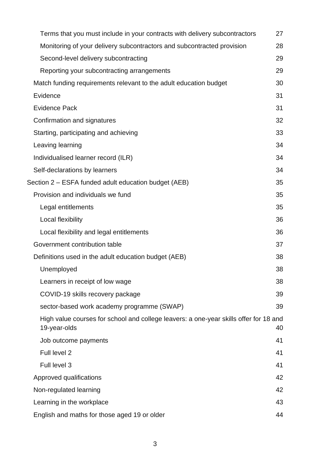| Terms that you must include in your contracts with delivery subcontractors                            | 27 |
|-------------------------------------------------------------------------------------------------------|----|
| Monitoring of your delivery subcontractors and subcontracted provision                                | 28 |
| Second-level delivery subcontracting                                                                  | 29 |
| Reporting your subcontracting arrangements                                                            | 29 |
| Match funding requirements relevant to the adult education budget                                     | 30 |
| Evidence                                                                                              | 31 |
| <b>Evidence Pack</b>                                                                                  | 31 |
| Confirmation and signatures                                                                           | 32 |
| Starting, participating and achieving                                                                 | 33 |
| Leaving learning                                                                                      | 34 |
| Individualised learner record (ILR)                                                                   | 34 |
| Self-declarations by learners                                                                         | 34 |
| Section 2 – ESFA funded adult education budget (AEB)                                                  | 35 |
| Provision and individuals we fund                                                                     | 35 |
| Legal entitlements                                                                                    | 35 |
| Local flexibility                                                                                     | 36 |
| Local flexibility and legal entitlements                                                              | 36 |
| Government contribution table                                                                         | 37 |
| Definitions used in the adult education budget (AEB)                                                  | 38 |
| Unemployed                                                                                            | 38 |
| Learners in receipt of low wage                                                                       | 38 |
| COVID-19 skills recovery package                                                                      | 39 |
| sector-based work academy programme (SWAP)                                                            | 39 |
| High value courses for school and college leavers: a one-year skills offer for 18 and<br>19-year-olds | 40 |
| Job outcome payments                                                                                  | 41 |
| Full level 2                                                                                          | 41 |
| Full level 3                                                                                          | 41 |
| Approved qualifications                                                                               | 42 |
| Non-regulated learning                                                                                | 42 |
| Learning in the workplace                                                                             | 43 |
| English and maths for those aged 19 or older                                                          | 44 |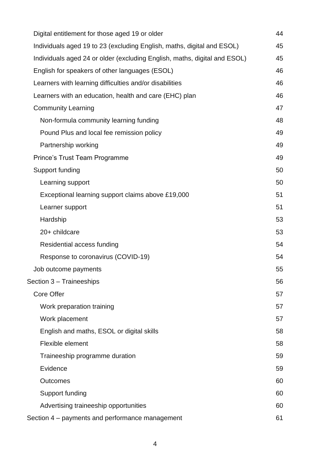| Digital entitlement for those aged 19 or older                            | 44 |
|---------------------------------------------------------------------------|----|
| Individuals aged 19 to 23 (excluding English, maths, digital and ESOL)    | 45 |
| Individuals aged 24 or older (excluding English, maths, digital and ESOL) | 45 |
| English for speakers of other languages (ESOL)                            | 46 |
| Learners with learning difficulties and/or disabilities                   | 46 |
| Learners with an education, health and care (EHC) plan                    | 46 |
| <b>Community Learning</b>                                                 | 47 |
| Non-formula community learning funding                                    | 48 |
| Pound Plus and local fee remission policy                                 | 49 |
| Partnership working                                                       | 49 |
| Prince's Trust Team Programme                                             | 49 |
| Support funding                                                           | 50 |
| Learning support                                                          | 50 |
| Exceptional learning support claims above £19,000                         | 51 |
| Learner support                                                           | 51 |
| Hardship                                                                  | 53 |
| 20+ childcare                                                             | 53 |
| Residential access funding                                                | 54 |
| Response to coronavirus (COVID-19)                                        | 54 |
| Job outcome payments                                                      | 55 |
| Section 3 - Traineeships                                                  | 56 |
| <b>Core Offer</b>                                                         | 57 |
| Work preparation training                                                 | 57 |
| Work placement                                                            | 57 |
| English and maths, ESOL or digital skills                                 | 58 |
| Flexible element                                                          | 58 |
| Traineeship programme duration                                            | 59 |
| Evidence                                                                  | 59 |
| <b>Outcomes</b>                                                           | 60 |
| Support funding                                                           | 60 |
| Advertising traineeship opportunities                                     | 60 |
| Section 4 – payments and performance management                           | 61 |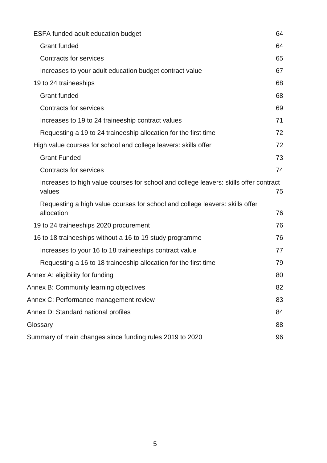| <b>ESFA funded adult education budget</b>                                                       |    |  |  |  |
|-------------------------------------------------------------------------------------------------|----|--|--|--|
| <b>Grant funded</b>                                                                             |    |  |  |  |
| <b>Contracts for services</b>                                                                   |    |  |  |  |
| Increases to your adult education budget contract value                                         |    |  |  |  |
| 19 to 24 traineeships                                                                           | 68 |  |  |  |
| <b>Grant funded</b>                                                                             | 68 |  |  |  |
| <b>Contracts for services</b>                                                                   | 69 |  |  |  |
| Increases to 19 to 24 traineeship contract values                                               | 71 |  |  |  |
| Requesting a 19 to 24 traineeship allocation for the first time                                 | 72 |  |  |  |
| High value courses for school and college leavers: skills offer                                 | 72 |  |  |  |
| <b>Grant Funded</b>                                                                             | 73 |  |  |  |
| <b>Contracts for services</b>                                                                   | 74 |  |  |  |
| Increases to high value courses for school and college leavers: skills offer contract<br>values | 75 |  |  |  |
| Requesting a high value courses for school and college leavers: skills offer<br>allocation      | 76 |  |  |  |
| 19 to 24 traineeships 2020 procurement                                                          | 76 |  |  |  |
| 16 to 18 traineeships without a 16 to 19 study programme                                        | 76 |  |  |  |
| Increases to your 16 to 18 traineeships contract value                                          | 77 |  |  |  |
| Requesting a 16 to 18 traineeship allocation for the first time                                 | 79 |  |  |  |
| Annex A: eligibility for funding                                                                | 80 |  |  |  |
| Annex B: Community learning objectives                                                          | 82 |  |  |  |
| Annex C: Performance management review                                                          | 83 |  |  |  |
| Annex D: Standard national profiles                                                             | 84 |  |  |  |
| Glossary                                                                                        | 88 |  |  |  |
| Summary of main changes since funding rules 2019 to 2020                                        | 96 |  |  |  |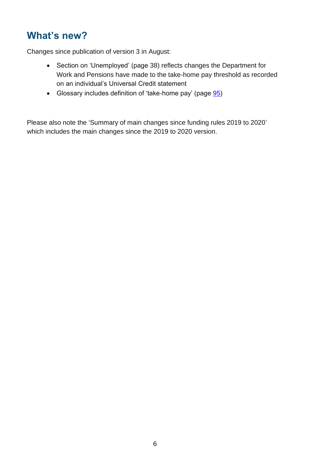# <span id="page-5-0"></span>**What's new?**

Changes since publication of version 3 in August:

- Section on 'Unemployed' (page [38\)](#page-37-0) reflects changes the Department for Work and Pensions have made to the take-home pay threshold as recorded on an individual's Universal Credit statement
- Glossary includes definition of 'take-home pay' (page [95\)](#page-94-0)

Please also note the ['Summary of main changes since funding rules 2019 to 2020'](#page-95-0) which includes the main changes since the 2019 to 2020 version.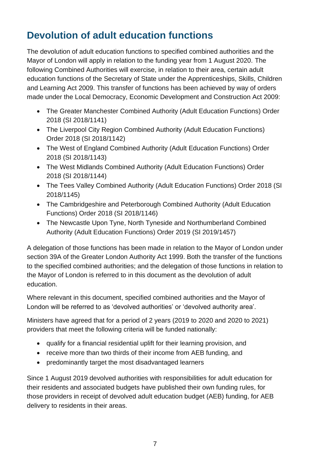# <span id="page-6-0"></span>**Devolution of adult education functions**

The devolution of adult education functions to specified combined authorities and the Mayor of London will apply in relation to the funding year from 1 August 2020. The following Combined Authorities will exercise, in relation to their area, certain adult education functions of the Secretary of State under the Apprenticeships, Skills, Children and Learning Act 2009. This transfer of functions has been achieved by way of orders made under the Local Democracy, Economic Development and Construction Act 2009:

- The Greater Manchester Combined Authority (Adult Education Functions) Order 2018 (SI 2018/1141)
- The Liverpool City Region Combined Authority (Adult Education Functions) Order 2018 (SI 2018/1142)
- The West of England Combined Authority (Adult Education Functions) Order 2018 (SI 2018/1143)
- The West Midlands Combined Authority (Adult Education Functions) Order 2018 (SI 2018/1144)
- The Tees Valley Combined Authority (Adult Education Functions) Order 2018 (SI 2018/1145)
- The Cambridgeshire and Peterborough Combined Authority (Adult Education Functions) Order 2018 (SI 2018/1146)
- The Newcastle Upon Tyne, North Tyneside and Northumberland Combined Authority (Adult Education Functions) Order 2019 (SI 2019/1457)

A delegation of those functions has been made in relation to the Mayor of London under section 39A of the Greater London Authority Act 1999. Both the transfer of the functions to the specified combined authorities; and the delegation of those functions in relation to the Mayor of London is referred to in this document as the devolution of adult education.

Where relevant in this document, specified combined authorities and the Mayor of London will be referred to as 'devolved authorities' or 'devolved authority area'.

Ministers have agreed that for a period of 2 years (2019 to 2020 and 2020 to 2021) providers that meet the following criteria will be funded nationally:

- qualify for a financial residential uplift for their learning provision, and
- receive more than two thirds of their income from AEB funding, and
- predominantly target the most disadvantaged learners

Since 1 August 2019 devolved authorities with responsibilities for adult education for their residents and associated budgets have published their own funding rules, for those providers in receipt of devolved adult education budget (AEB) funding, for AEB delivery to residents in their areas.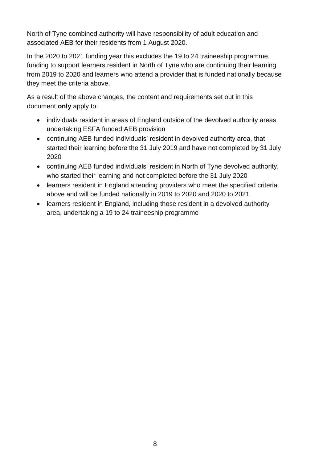North of Tyne combined authority will have responsibility of adult education and associated AEB for their residents from 1 August 2020.

In the 2020 to 2021 funding year this excludes the 19 to 24 traineeship programme, funding to support learners resident in North of Tyne who are continuing their learning from 2019 to 2020 and learners who attend a provider that is funded nationally because they meet the criteria above.

As a result of the above changes, the content and requirements set out in this document **only** apply to:

- individuals resident in areas of England outside of the devolved authority areas undertaking ESFA funded AEB provision
- continuing AEB funded individuals' resident in devolved authority area, that started their learning before the 31 July 2019 and have not completed by 31 July 2020
- continuing AEB funded individuals' resident in North of Tyne devolved authority, who started their learning and not completed before the 31 July 2020
- learners resident in England attending providers who meet the specified criteria above and will be funded nationally in 2019 to 2020 and 2020 to 2021
- learners resident in England, including those resident in a devolved authority area, undertaking a 19 to 24 traineeship programme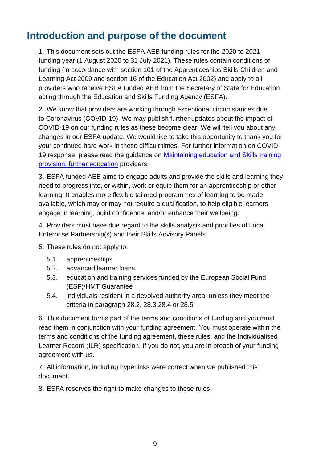# <span id="page-8-0"></span>**Introduction and purpose of the document**

1. This document sets out the ESFA AEB funding rules for the 2020 to 2021 funding year (1 August 2020 to 31 July 2021). These rules contain conditions of funding (in accordance with section 101 of the Apprenticeships Skills Children and Learning Act 2009 and section 16 of the Education Act 2002) and apply to all providers who receive ESFA funded AEB from the Secretary of State for Education acting through the Education and Skills Funding Agency (ESFA).

2. We know that providers are working through exceptional circumstances due to Coronavirus (COVID-19). We may publish further updates about the impact of COVID-19 on our funding rules as these become clear. We will tell you about any changes in our ESFA update. We would like to take this opportunity to thank you for your continued hard work in these difficult times. For further information on COVID-19 response, please read the guidance on [Maintaining education and Skills training](https://www.gov.uk/government/publications/coronavirus-covid-19-maintaining-further-education-provision/maintaining-education-and-skills-training-provision-further-education-providers)  [provision: further education](https://www.gov.uk/government/publications/coronavirus-covid-19-maintaining-further-education-provision/maintaining-education-and-skills-training-provision-further-education-providers) providers.

3. ESFA funded AEB aims to engage adults and provide the skills and learning they need to progress into, or within, work or equip them for an apprenticeship or other learning. It enables more flexible tailored programmes of learning to be made available, which may or may not require a qualification, to help eligible learners engage in learning, build confidence, and/or enhance their wellbeing.

4. Providers must have due regard to the skills analysis and priorities of Local Enterprise Partnership(s) and their Skills Advisory Panels.

- 5. These rules do not apply to:
	- 5.1. apprenticeships
	- 5.2. advanced learner loans
	- 5.3. education and training services funded by the European Social Fund (ESF)/HMT Guarantee
	- 5.4. individuals resident in a devolved authority area, unless they meet the criteria in paragraph [28.2,](#page-11-3) [28.3](#page-11-4) [28.4](#page-11-5) or [28.5](#page-11-6)

6. This document forms part of the terms and conditions of funding and you must read them in conjunction with your funding agreement. You must operate within the terms and conditions of the funding agreement, these rules, and the Individualised Learner Record (ILR) specification. If you do not, you are in breach of your funding agreement with us.

7. All information, including hyperlinks were correct when we published this document.

8. ESFA reserves the right to make changes to these rules.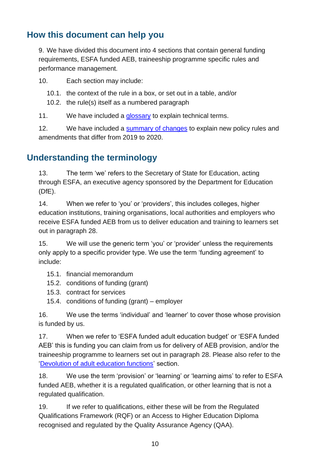#### <span id="page-9-0"></span>**How this document can help you**

9. We have divided this document into 4 sections that contain general funding requirements, ESFA funded AEB, traineeship programme specific rules and performance management.

10. Each section may include:

- 10.1. the context of the rule in a box, or set out in a table, and/or
- 10.2. the rule(s) itself as a numbered paragraph

11. We have included a [glossary](#page-87-1) to explain technical terms.

12. We have included a [summary of changes](#page-95-0) to explain new policy rules and amendments that differ from 2019 to 2020.

# <span id="page-9-1"></span>**Understanding the terminology**

13. The term 'we' refers to the Secretary of State for Education, acting through ESFA, an executive agency sponsored by the Department for Education (DfE).

14. When we refer to 'you' or 'providers', this includes colleges, higher education institutions, training organisations, local authorities and employers who receive ESFA funded AEB from us to deliver education and training to learners set out in paragraph [28.](#page-11-7)

15. We will use the generic term 'you' or 'provider' unless the requirements only apply to a specific provider type. We use the term 'funding agreement' to include:

- 15.1. financial memorandum
- 15.2. conditions of funding (grant)
- 15.3. contract for services
- 15.4. conditions of funding (grant) employer

16. We use the terms 'individual' and 'learner' to cover those whose provision is funded by us.

17. When we refer to 'ESFA funded adult education budget' or 'ESFA funded AEB' this is funding you can claim from us for delivery of AEB provision, and/or the traineeship programme to learners set out in paragraph [28.](#page-11-7) Please also refer to the 'Devolution of adult education functions' section.

18. We use the term 'provision' or 'learning' or 'learning aims' to refer to ESFA funded AEB, whether it is a regulated qualification, or other learning that is not a regulated qualification.

19. If we refer to qualifications, either these will be from the Regulated Qualifications Framework (RQF) or an Access to Higher Education Diploma recognised and regulated by the Quality Assurance Agency (QAA).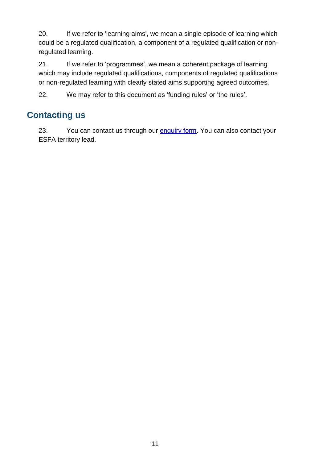20. If we refer to 'learning aims', we mean a single episode of learning which could be a regulated qualification, a component of a regulated qualification or nonregulated learning.

21. If we refer to 'programmes', we mean a coherent package of learning which may include regulated qualifications, components of regulated qualifications or non-regulated learning with clearly stated aims supporting agreed outcomes.

22. We may refer to this document as 'funding rules' or 'the rules'.

#### <span id="page-10-0"></span>**Contacting us**

23. You can contact us through our [enquiry form.](https://form.education.gov.uk/en/AchieveForms/?form_uri=sandbox-publish://AF-Process-f9f4f5a1-936f-448b-bbeb-9dcdd595f468/AF-Stage-8aa41278-3cdd-45a3-ad87-80cbffb8b992/definition.json&redirectlink=%2Fen&cancelRedirectLink=%2Fen) You can also contact your ESFA territory lead.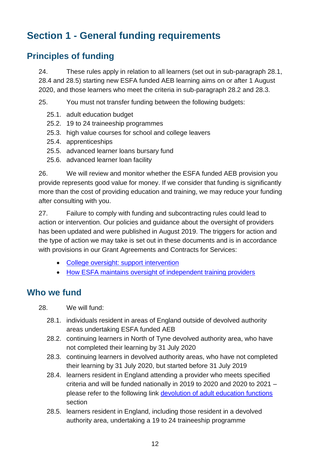# <span id="page-11-0"></span>**Section 1 - General funding requirements**

# <span id="page-11-1"></span>**Principles of funding**

24. These rules apply in relation to all learners (set out in sub-paragraph [28.1,](#page-11-8) [28.4](#page-11-5) and [28.5\)](#page-11-6) starting new ESFA funded AEB learning aims on or after 1 August 2020, and those learners who meet the criteria in sub-paragraph [28.2](#page-11-3) and [28.3.](#page-11-4)

25. You must not transfer funding between the following budgets:

- 25.1. adult education budget
- 25.2. 19 to 24 traineeship programmes
- 25.3. high value courses for school and college leavers
- 25.4. apprenticeships
- 25.5. advanced learner loans bursary fund
- 25.6. advanced learner loan facility

26. We will review and monitor whether the ESFA funded AEB provision you provide represents good value for money. If we consider that funding is significantly more than the cost of providing education and training, we may reduce your funding after consulting with you.

27. Failure to comply with funding and subcontracting rules could lead to action or intervention. Our policies and guidance about the oversight of providers has been updated and were published in August 2019. The triggers for action and the type of action we may take is set out in these documents and is in accordance with provisions in our Grant Agreements and Contracts for Services:

- [College oversight: support intervention](https://www.gov.uk/government/publications/college-oversight-support-and-intervention)
- How ESFA maintains [oversight of independent training providers](https://www.gov.uk/government/publications/how-esfa-maintains-oversight-of-independent-training-providers-itps/esfa-oversight-of-independent-training-providers-operational-guidance)

#### <span id="page-11-2"></span>**Who we fund**

<span id="page-11-8"></span><span id="page-11-7"></span>28. We will fund:

- 28.1. individuals resident in areas of England outside of devolved authority areas undertaking ESFA funded AEB
- <span id="page-11-3"></span>28.2. continuing learners in North of Tyne devolved authority area, who have not completed their learning by 31 July 2020
- <span id="page-11-4"></span>28.3. continuing learners in devolved authority areas, who have not completed their learning by 31 July 2020, but started before 31 July 2019
- <span id="page-11-5"></span>28.4. learners resident in England attending a provider who meets specified criteria and will be funded nationally in 2019 to 2020 and 2020 to 2021 – please refer to the following link devolution of adult education functions section
- <span id="page-11-6"></span>28.5. learners resident in England, including those resident in a devolved authority area, undertaking a 19 to 24 traineeship programme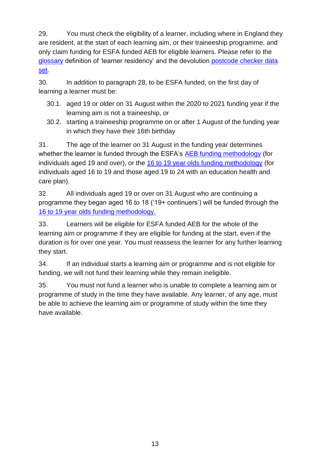29. You must check the eligibility of a learner, including where in England they are resident, at the start of each learning aim, or their traineeship programme, and only claim funding for ESFA funded AEB for eligible learners. Please refer to the [glossary](#page-87-1) definition of 'learner residency' and the devolution [postcode checker data](https://www.gov.uk/government/publications/adult-education-budget-aeb-postcode-files)  [set.](https://www.gov.uk/government/publications/adult-education-budget-aeb-postcode-files)

30. In addition to paragraph [28,](#page-11-7) to be ESFA funded, on the first day of learning a learner must be:

- 30.1. aged 19 or older on 31 August within the 2020 to 2021 funding year if the learning aim is not a traineeship, or
- 30.2. starting a traineeship programme on or after 1 August of the funding year in which they have their 16th birthday

31. The age of the learner on 31 August in the funding year determines whether the learner is funded through the ESFA's [AEB funding methodology](https://www.gov.uk/government/collections/sfa-funding-rates) (for individuals aged 19 and over), or the [16 to 19 year olds funding methodology](https://www.gov.uk/government/collections/funding-education-for-16-to-19-year-olds#16-to-19-funding:-how-it-works) (for individuals aged 16 to 19 and those aged 19 to 24 with an education health and care plan).

32. All individuals aged 19 or over on 31 August who are continuing a programme they began aged 16 to 18 ('19+ continuers') will be funded through the [16 to 19 year olds funding methodology.](https://www.gov.uk/guidance/16-to-19-education-funding-guidance)

33. Learners will be eligible for ESFA funded AEB for the whole of the learning aim or programme if they are eligible for funding at the start, even if the duration is for over one year. You must reassess the learner for any further learning they start.

34. If an individual starts a learning aim or programme and is not eligible for funding, we will not fund their learning while they remain ineligible.

35. You must not fund a learner who is unable to complete a learning aim or programme of study in the time they have available. Any learner, of any age, must be able to achieve the learning aim or programme of study within the time they have available.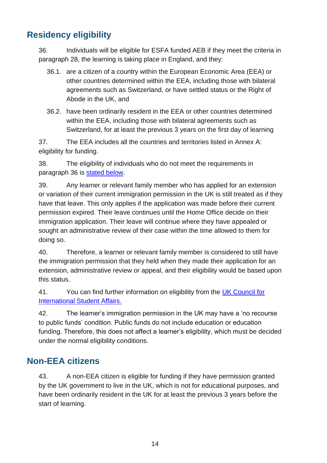# <span id="page-13-0"></span>**Residency eligibility**

<span id="page-13-2"></span>36. Individuals will be eligible for ESFA funded AEB if they meet the criteria in paragraph [28,](#page-11-7) the learning is taking place in England, and they:

- 36.1. are a citizen of a country within the European Economic Area (EEA) or other countries determined within the EEA, including those with bilateral agreements such as Switzerland, or have settled status or the Right of Abode in the UK, and
- 36.2. have been ordinarily resident in the EEA or other countries determined within the EEA, including those with bilateral agreements such as Switzerland, for at least the previous 3 years on the first day of learning

37. The EEA includes all the countries and territories listed in [Annex A:](#page-79-0)  [eligibility for funding.](#page-79-0)

38. The eligibility of individuals who do not meet the requirements in paragraph [36](#page-13-2) is [stated below.](#page-13-1)

39. Any learner or relevant family member who has applied for an extension or variation of their current immigration permission in the UK is still treated as if they have that leave. This only applies if the application was made before their current permission expired. Their leave continues until the Home Office decide on their immigration application. Their leave will continue where they have appealed or sought an administrative review of their case within the time allowed to them for doing so.

40. Therefore, a learner or relevant family member is considered to still have the immigration permission that they held when they made their application for an extension, administrative review or appeal, and their eligibility would be based upon this status.

41. You can find further information on eligibility from the [UK Council for](https://www.ukcisa.org.uk/)  [International Student Affairs.](https://www.ukcisa.org.uk/)

42. The learner's immigration permission in the UK may have a 'no recourse to public funds' condition. Public funds do not include education or education funding. Therefore, this does not affect a learner's eligibility, which must be decided under the normal eligibility conditions.

# <span id="page-13-1"></span>**Non-EEA citizens**

43. A non-EEA citizen is eligible for funding if they have permission granted by the UK government to live in the UK, which is not for educational purposes, and have been ordinarily resident in the UK for at least the previous 3 years before the start of learning.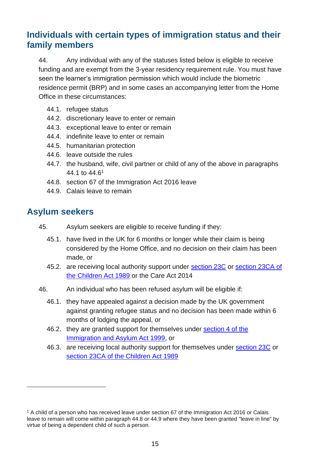#### <span id="page-14-0"></span>**Individuals with certain types of immigration status and their family members**

44. Any individual with any of the statuses listed below is eligible to receive funding and are exempt from the 3-year residency requirement rule. You must have seen the learner's immigration permission which would include the biometric residence permit (BRP) and in some cases an accompanying letter from the Home Office in these circumstances:

- <span id="page-14-2"></span>44.1. refugee status
- 44.2. discretionary leave to enter or remain
- 44.3. exceptional leave to enter or remain
- 44.4. indefinite leave to enter or remain
- 44.5. humanitarian protection
- <span id="page-14-3"></span>44.6. leave outside the rules
- 44.7. the husband, wife, civil partner or child of any of the above in paragraphs [44.1](#page-14-2) to [44.6](#page-14-3)<sup>1</sup>
- 44.8. section 67 of the Immigration Act 2016 leave
- 44.9. Calais leave to remain

#### <span id="page-14-1"></span>**Asylum seekers**

- 45. Asylum seekers are eligible to receive funding if they:
	- 45.1. have lived in the UK for 6 months or longer while their claim is being considered by the Home Office, and no decision on their claim has been made, or
	- 45.2. are receiving local authority support under [section 23C](http://www.legislation.gov.uk/ukpga/1989/41/section/23C) or section 23CA of [the Children Act 1989](http://www.legislation.gov.uk/ukpga/1989/41/section/23CA) or the Care Act 2014
- 46. An individual who has been refused asylum will be eligible if:
	- 46.1. they have appealed against a decision made by the UK government against granting refugee status and no decision has been made within 6 months of lodging the appeal, or
	- 46.2. they are granted support for themselves under [section 4 of the](http://www.legislation.gov.uk/ukpga/1999/33/section/4)  [Immigration and Asylum Act 1999,](http://www.legislation.gov.uk/ukpga/1999/33/section/4) or
	- 46.3. are receiving local authority support for themselves under [section 23C](http://www.legislation.gov.uk/ukpga/1989/41/section/23C) or [section 23CA of the Children Act 1989](http://www.legislation.gov.uk/ukpga/1989/41/section/23CA)

<sup>1</sup> A child of a person who has received leave under section 67 of the Immigration Act 2016 or Calais leave to remain will come within paragraph 44.8 or 44.9 where they have been granted "leave in line" by virtue of being a dependent child of such a person.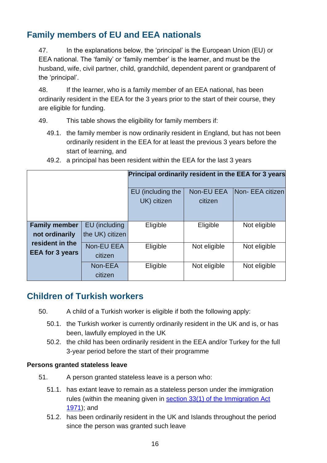# <span id="page-15-0"></span>**Family members of EU and EEA nationals**

47. In the explanations below, the 'principal' is the European Union (EU) or EEA national. The 'family' or 'family member' is the learner, and must be the husband, wife, civil partner, child, grandchild, dependent parent or grandparent of the 'principal'.

48. If the learner, who is a family member of an EEA national, has been ordinarily resident in the EEA for the 3 years prior to the start of their course, they are eligible for funding.

49. This table shows the eligibility for family members if:

49.1. the family member is now ordinarily resident in England, but has not been ordinarily resident in the EEA for at least the previous 3 years before the start of learning, and

|                                           |                                  | Principal ordinarily resident in the EEA for 3 years |                       |                  |
|-------------------------------------------|----------------------------------|------------------------------------------------------|-----------------------|------------------|
|                                           |                                  | EU (including the<br>UK) citizen                     | Non-EU EEA<br>citizen | Non- EEA citizen |
| <b>Family member</b><br>not ordinarily    | EU (including<br>the UK) citizen | Eligible                                             | Eligible              | Not eligible     |
| resident in the<br><b>EEA for 3 years</b> | Non-EU EEA<br>citizen            | Eligible                                             | Not eligible          | Not eligible     |
|                                           | Non-EEA<br>citizen               | Eligible                                             | Not eligible          | Not eligible     |

49.2. a principal has been resident within the EEA for the last 3 years

# <span id="page-15-1"></span>**Children of Turkish workers**

- 50. A child of a Turkish worker is eligible if both the following apply:
	- 50.1. the Turkish worker is currently ordinarily resident in the UK and is, or has been, lawfully employed in the UK
	- 50.2. the child has been ordinarily resident in the EEA and/or Turkey for the full 3-year period before the start of their programme

#### **Persons granted stateless leave**

- 51. A person granted stateless leave is a person who:
	- 51.1. has extant leave to remain as a stateless person under the immigration rules (within the meaning given in section 33(1) of the Immigration Act [1971\)](http://www.legislation.gov.uk/ukpga/1971/77/section/33); and
	- 51.2. has been ordinarily resident in the UK and Islands throughout the period since the person was granted such leave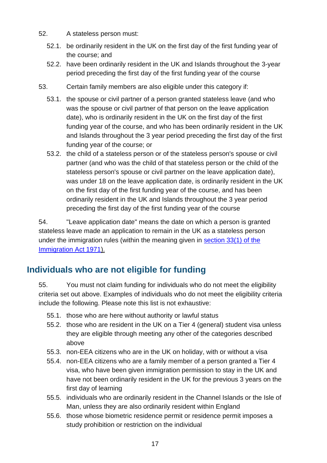- 52. A stateless person must:
	- 52.1. be ordinarily resident in the UK on the first day of the first funding year of the course; and
	- 52.2. have been ordinarily resident in the UK and Islands throughout the 3-year period preceding the first day of the first funding year of the course
- 53. Certain family members are also eligible under this category if:
	- 53.1. the spouse or civil partner of a person granted stateless leave (and who was the spouse or civil partner of that person on the leave application date), who is ordinarily resident in the UK on the first day of the first funding year of the course, and who has been ordinarily resident in the UK and Islands throughout the 3 year period preceding the first day of the first funding year of the course; or
	- 53.2. the child of a stateless person or of the stateless person's spouse or civil partner (and who was the child of that stateless person or the child of the stateless person's spouse or civil partner on the leave application date), was under 18 on the leave application date, is ordinarily resident in the UK on the first day of the first funding year of the course, and has been ordinarily resident in the UK and Islands throughout the 3 year period preceding the first day of the first funding year of the course

54. "Leave application date" means the date on which a person is granted stateless leave made an application to remain in the UK as a stateless person under the immigration rules (within the meaning given in [section 33\(1\) of the](http://www.legislation.gov.uk/ukpga/1971/77/section/33)  [Immigration Act 1971\)](http://www.legislation.gov.uk/ukpga/1971/77/section/33).

# <span id="page-16-0"></span>**Individuals who are not eligible for funding**

55. You must not claim funding for individuals who do not meet the eligibility criteria set out above. Examples of individuals who do not meet the eligibility criteria include the following. Please note this list is not exhaustive:

- 55.1. those who are here without authority or lawful status
- 55.2. those who are resident in the UK on a Tier 4 (general) student visa unless they are eligible through meeting any other of the categories described above
- 55.3. non-EEA citizens who are in the UK on holiday, with or without a visa
- 55.4. non-EEA citizens who are a family member of a person granted a Tier 4 visa, who have been given immigration permission to stay in the UK and have not been ordinarily resident in the UK for the previous 3 years on the first day of learning
- 55.5. individuals who are ordinarily resident in the Channel Islands or the Isle of Man, unless they are also ordinarily resident within England
- 55.6. those whose biometric residence permit or residence permit imposes a study prohibition or restriction on the individual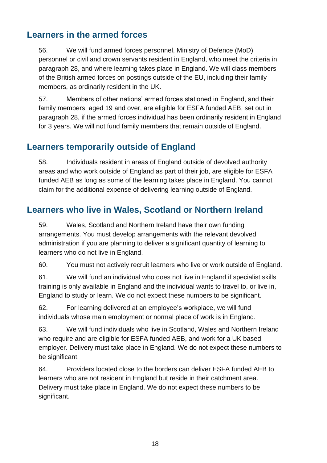#### <span id="page-17-0"></span>**Learners in the armed forces**

56. We will fund armed forces personnel, Ministry of Defence (MoD) personnel or civil and crown servants resident in England, who meet the criteria in paragraph [28,](#page-11-7) and where learning takes place in England. We will class members of the British armed forces on postings outside of the EU, including their family members, as ordinarily resident in the UK.

57. Members of other nations' armed forces stationed in England, and their family members, aged 19 and over, are eligible for ESFA funded AEB, set out in paragraph [28,](#page-11-7) if the armed forces individual has been ordinarily resident in England for 3 years. We will not fund family members that remain outside of England.

#### <span id="page-17-1"></span>**Learners temporarily outside of England**

58. Individuals resident in areas of England outside of devolved authority areas and who work outside of England as part of their job, are eligible for ESFA funded AEB as long as some of the learning takes place in England. You cannot claim for the additional expense of delivering learning outside of England.

#### <span id="page-17-2"></span>**Learners who live in Wales, Scotland or Northern Ireland**

59. Wales, Scotland and Northern Ireland have their own funding arrangements. You must develop arrangements with the relevant devolved administration if you are planning to deliver a significant quantity of learning to learners who do not live in England.

60. You must not actively recruit learners who live or work outside of England.

61. We will fund an individual who does not live in England if specialist skills training is only available in England and the individual wants to travel to, or live in, England to study or learn. We do not expect these numbers to be significant.

62. For learning delivered at an employee's workplace, we will fund individuals whose main employment or normal place of work is in England.

63. We will fund individuals who live in Scotland, Wales and Northern Ireland who require and are eligible for ESFA funded AEB, and work for a UK based employer. Delivery must take place in England. We do not expect these numbers to be significant.

64. Providers located close to the borders can deliver ESFA funded AEB to learners who are not resident in England but reside in their catchment area. Delivery must take place in England. We do not expect these numbers to be significant.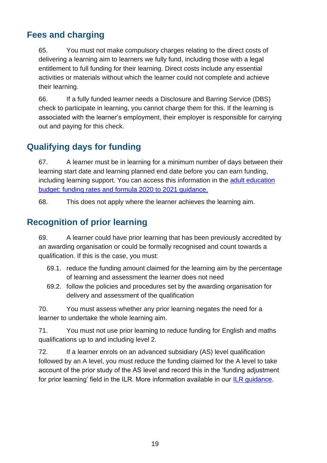## <span id="page-18-0"></span>**Fees and charging**

65. You must not make compulsory charges relating to the direct costs of delivering a learning aim to learners we fully fund, including those with a legal entitlement to full funding for their learning. Direct costs include any essential activities or materials without which the learner could not complete and achieve their learning.

66. If a fully funded learner needs a Disclosure and Barring Service (DBS) check to participate in learning, you cannot charge them for this. If the learning is associated with the learner's employment, their employer is responsible for carrying out and paying for this check.

# <span id="page-18-1"></span>**Qualifying days for funding**

67. A learner must be in learning for a minimum number of days between their learning start date and learning planned end date before you can earn funding, including learning support. You can access this information in the [adult education](https://www.gov.uk/government/publications/adult-education-budget-aeb-funding-rates-and-formula-2020-to-2021)  [budget: funding rates and formula 2020 to 2021 guidance.](https://www.gov.uk/government/publications/adult-education-budget-aeb-funding-rates-and-formula-2020-to-2021)

68. This does not apply where the learner achieves the learning aim.

# <span id="page-18-2"></span>**Recognition of prior learning**

69. A learner could have prior learning that has been previously accredited by an awarding organisation or could be formally recognised and count towards a qualification. If this is the case, you must:

- 69.1. reduce the funding amount claimed for the learning aim by the percentage of learning and assessment the learner does not need
- 69.2. follow the policies and procedures set by the awarding organisation for delivery and assessment of the qualification

70. You must assess whether any prior learning negates the need for a learner to undertake the whole learning aim.

71. You must not use prior learning to reduce funding for English and maths qualifications up to and including level 2.

72. If a learner enrols on an advanced subsidiary (AS) level qualification followed by an A level, you must reduce the funding claimed for the A level to take account of the prior study of the AS level and record this in the 'funding adjustment for prior learning' field in the ILR. More information available in our [ILR guidance.](https://www.gov.uk/government/collections/individualised-learner-record-ilr)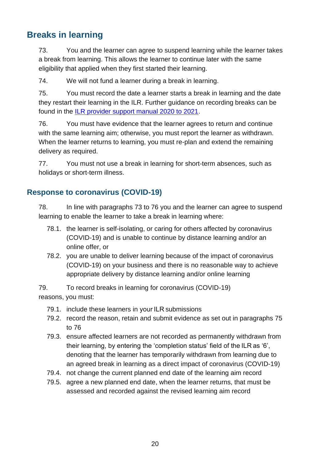#### <span id="page-19-0"></span>**Breaks in learning**

73. You and the learner can agree to suspend learning while the learner takes a break from learning. This allows the learner to continue later with the same eligibility that applied when they first started their learning.

74. We will not fund a learner during a break in learning.

<span id="page-19-2"></span>75. You must record the date a learner starts a break in learning and the date they restart their learning in the ILR. Further guidance on recording breaks can be found in the [ILR provider support manual 2020 to 2021.](https://guidance.submitlearnerdatabeta.fasst.org.uk/)

76. You must have evidence that the learner agrees to return and continue with the same learning aim; otherwise, you must report the learner as withdrawn. When the learner returns to learning, you must re-plan and extend the remaining delivery as required.

77. You must not use a break in learning for short-term absences, such as holidays or short-term illness.

#### <span id="page-19-1"></span>**Response to coronavirus (COVID-19)**

78. In line with paragraphs 73 to 76 you and the learner can agree to suspend learning to enable the learner to take a break in learning where:

- 78.1. the learner is self-isolating, or caring for others affected by coronavirus (COVID-19) and is unable to continue by distance learning and/or an online offer, or
- 78.2. you are unable to deliver learning because of the impact of coronavirus (COVID-19) on your business and there is no reasonable way to achieve appropriate delivery by distance learning and/or online learning

79. To record breaks in learning for coronavirus (COVID-19) reasons, you must:

- 79.1. include these learners in your ILR submissions
- 79.2. record the reason, retain and submit evidence as set out in paragraphs [75](#page-19-2) to 76
- 79.3. ensure affected learners are not recorded as permanently withdrawn from their learning, by entering the 'completion status' field of the ILR as '6', denoting that the learner has temporarily withdrawn from learning due to an agreed break in learning as a direct impact of coronavirus (COVID-19)
- 79.4. not change the current planned end date of the learning aim record
- 79.5. agree a new planned end date, when the learner returns, that must be assessed and recorded against the revised learning aim record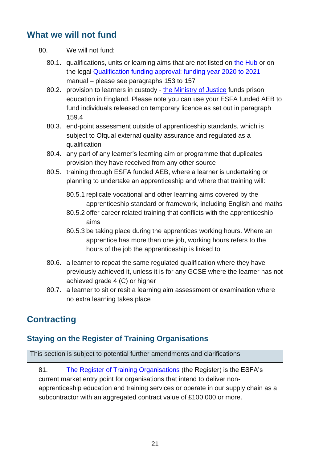#### <span id="page-20-0"></span>**What we will not fund**

- 80. We will not fund:
	- 80.1. qualifications, units or learning aims that are not listed on [the Hub](https://hub.fasst.org.uk/Pages/default.aspx) or on the legal [Qualification funding approval: funding year 2020 to 2021](https://www.gov.uk/guidance/qualification-funding-approval) manual – please see paragraphs [153](#page-34-3) to [157](#page-35-2)
	- 80.2. provision to learners in custody [the Ministry of Justice](https://www.gov.uk/government/organisations/ministry-of-justice) funds prison education in England. Please note you can use your ESFA funded AEB to fund individuals released on temporary licence as set out in paragraph [159.4](#page-37-3)
	- 80.3. end-point assessment outside of apprenticeship standards, which is subject to Ofqual external quality assurance and regulated as a qualification
	- 80.4. any part of any learner's learning aim or programme that duplicates provision they have received from any other source
	- 80.5. training through ESFA funded AEB, where a learner is undertaking or planning to undertake an apprenticeship and where that training will:
		- 80.5.1 replicate vocational and other learning aims covered by the apprenticeship standard or framework, including English and maths
		- 80.5.2 offer career related training that conflicts with the apprenticeship aims
		- 80.5.3 be taking place during the apprentices working hours. Where an apprentice has more than one job, working hours refers to the hours of the job the apprenticeship is linked to
	- 80.6. a learner to repeat the same regulated qualification where they have previously achieved it, unless it is for any GCSE where the learner has not achieved grade 4 (C) or higher
	- 80.7. a learner to sit or resit a learning aim assessment or examination where no extra learning takes place

# <span id="page-20-1"></span>**Contracting**

#### <span id="page-20-2"></span>**Staying on the Register of Training Organisations**

This section is subject to potential further amendments and clarifications

81. [The Register of Training Organisations](https://www.gov.uk/government/collections/sfa-register-of-training-organisations) (the Register) is the ESFA's current market entry point for organisations that intend to deliver nonapprenticeship education and training services or operate in our supply chain as a subcontractor with an aggregated contract value of £100,000 or more.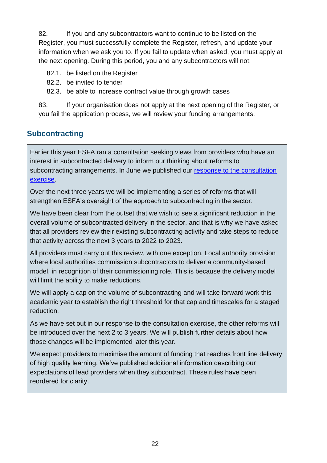82. If you and any subcontractors want to continue to be listed on the Register, you must successfully complete the Register, refresh, and update your information when we ask you to. If you fail to update when asked, you must apply at the next opening. During this period, you and any subcontractors will not:

- 82.1. be listed on the Register
- 82.2. be invited to tender
- 82.3. be able to increase contract value through growth cases

83. If your organisation does not apply at the next opening of the Register, or you fail the application process, we will review your funding arrangements.

#### <span id="page-21-0"></span>**Subcontracting**

Earlier this year ESFA ran a consultation seeking views from providers who have an interest in subcontracted delivery to inform our thinking about reforms to subcontracting arrangements. In June we published our response to the consultation [exercise.](https://www.gov.uk/government/consultations/reforms-to-subcontracting-education-for-learners-over-16)

Over the next three years we will be implementing a series of reforms that will strengthen ESFA's oversight of the approach to subcontracting in the sector.

We have been clear from the outset that we wish to see a significant reduction in the overall volume of subcontracted delivery in the sector, and that is why we have asked that all providers review their existing subcontracting activity and take steps to reduce that activity across the next 3 years to 2022 to 2023.

All providers must carry out this review, with one exception. Local authority provision where local authorities commission subcontractors to deliver a community-based model, in recognition of their commissioning role. This is because the delivery model will limit the ability to make reductions.

We will apply a cap on the volume of subcontracting and will take forward work this academic year to establish the right threshold for that cap and timescales for a staged reduction.

As we have set out in our response to the consultation exercise, the other reforms will be introduced over the next 2 to 3 years. We will publish further details about how those changes will be implemented later this year.

We expect providers to maximise the amount of funding that reaches front line delivery of high quality learning. We've published additional information describing our expectations of lead providers when they subcontract. These rules have been reordered for clarity.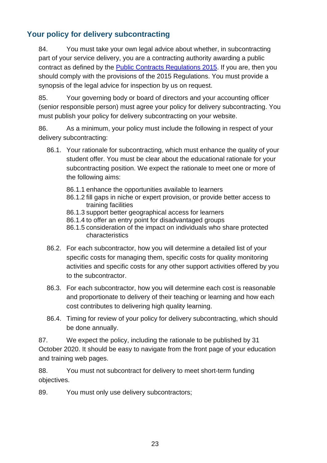#### <span id="page-22-0"></span>**Your policy for delivery subcontracting**

84. You must take your own legal advice about whether, in subcontracting part of your service delivery, you are a contracting authority awarding a public contract as defined by the [Public Contracts Regulations 2015.](https://www.legislation.gov.uk/uksi/2015/102/contents/made) If you are, then you should comply with the provisions of the 2015 Regulations. You must provide a synopsis of the legal advice for inspection by us on request.

85. Your governing body or board of directors and your accounting officer (senior responsible person) must agree your policy for delivery subcontracting. You must publish your policy for delivery subcontracting on your website.

86. As a minimum, your policy must include the following in respect of your delivery subcontracting:

- 86.1. Your rationale for subcontracting, which must enhance the quality of your student offer. You must be clear about the educational rationale for your subcontracting position. We expect the rationale to meet one or more of the following aims:
	- 86.1.1 enhance the opportunities available to learners
	- 86.1.2 fill gaps in niche or expert provision, or provide better access to training facilities
	- 86.1.3 support better geographical access for learners
	- 86.1.4 to offer an entry point for disadvantaged groups
	- 86.1.5 consideration of the impact on individuals who share protected characteristics
- 86.2. For each subcontractor, how you will determine a detailed list of your specific costs for managing them, specific costs for quality monitoring activities and specific costs for any other support activities offered by you to the subcontractor.
- 86.3. For each subcontractor, how you will determine each cost is reasonable and proportionate to delivery of their teaching or learning and how each cost contributes to delivering high quality learning.
- 86.4. Timing for review of your policy for delivery subcontracting, which should be done annually.

87. We expect the policy, including the rationale to be published by 31 October 2020. It should be easy to navigate from the front page of your education and training web pages.

88. You must not subcontract for delivery to meet short-term funding objectives.

89. You must only use delivery subcontractors;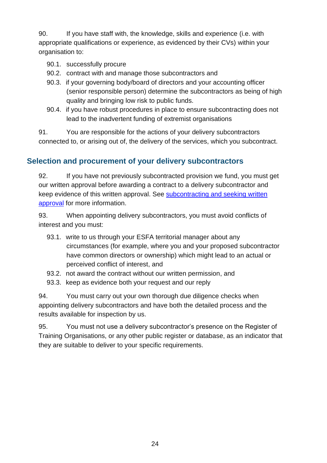90. If you have staff with, the knowledge, skills and experience (i.e. with appropriate qualifications or experience, as evidenced by their CVs) within your organisation to:

- 90.1. successfully procure
- 90.2. contract with and manage those subcontractors and
- 90.3. if your governing body/board of directors and your accounting officer (senior responsible person) determine the subcontractors as being of high quality and bringing low risk to public funds.
- 90.4. if you have robust procedures in place to ensure subcontracting does not lead to the inadvertent funding of extremist organisations

91. You are responsible for the actions of your delivery subcontractors connected to, or arising out of, the delivery of the services, which you subcontract.

#### <span id="page-23-0"></span>**Selection and procurement of your delivery subcontractors**

92. If you have not previously subcontracted provision we fund, you must get our written approval before awarding a contract to a delivery subcontractor and keep evidence of this written approval. See [subcontracting and seeking written](https://www.gov.uk/government/publications/sfa-subcontracting-for-the-first-time-seeking-written-approval)  [approval](https://www.gov.uk/government/publications/sfa-subcontracting-for-the-first-time-seeking-written-approval) for more information.

93. When appointing delivery subcontractors, you must avoid conflicts of interest and you must:

- 93.1. write to us through your ESFA territorial manager about any circumstances (for example, where you and your proposed subcontractor have common directors or ownership) which might lead to an actual or perceived conflict of interest, and
- 93.2. not award the contract without our written permission, and
- 93.3. keep as evidence both your request and our reply

94. You must carry out your own thorough due diligence checks when appointing delivery subcontractors and have both the detailed process and the results available for inspection by us.

95. You must not use a delivery subcontractor's presence on the Register of Training Organisations, or any other public register or database, as an indicator that they are suitable to deliver to your specific requirements.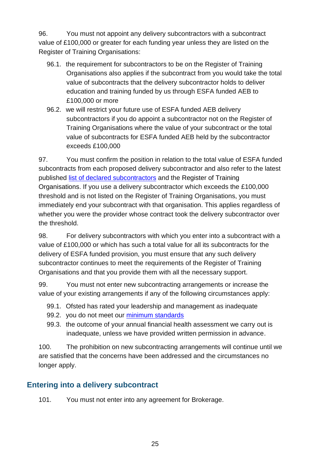96. You must not appoint any delivery subcontractors with a subcontract value of £100,000 or greater for each funding year unless they are listed on the Register of Training Organisations:

- 96.1. the requirement for subcontractors to be on the Register of Training Organisations also applies if the subcontract from you would take the total value of subcontracts that the delivery subcontractor holds to deliver education and training funded by us through ESFA funded AEB to £100,000 or more
- 96.2. we will restrict your future use of ESFA funded AEB delivery subcontractors if you do appoint a subcontractor not on the Register of Training Organisations where the value of your subcontract or the total value of subcontracts for ESFA funded AEB held by the subcontractor exceeds £100,000

97. You must confirm the position in relation to the total value of ESFA funded subcontracts from each proposed delivery subcontractor and also refer to the latest published [list of declared subcontractors](https://www.gov.uk/guidance/subcontracting-using-funding-to-offer-education-and-training#list-of-declared-subcontractors-formerly-the-subcontracting-register) and the Register of Training Organisations. If you use a delivery subcontractor which exceeds the £100,000 threshold and is not listed on the Register of Training Organisations, you must immediately end your subcontract with that organisation. This applies regardless of whether you were the provider whose contract took the delivery subcontractor over the threshold.

98. For delivery subcontractors with which you enter into a subcontract with a value of £100,000 or which has such a total value for all its subcontracts for the delivery of ESFA funded provision, you must ensure that any such delivery subcontractor continues to meet the requirements of the Register of Training Organisations and that you provide them with all the necessary support.

99. You must not enter new subcontracting arrangements or increase the value of your existing arrangements if any of the following circumstances apply:

- 99.1. Ofsted has rated your leadership and management as inadequate
- 99.2. you do not meet our [minimum standards](https://www.gov.uk/government/collections/qualification-achievement-rates-and-minimum-standards#minimum-standards-)
- 99.3. the outcome of your annual financial health assessment we carry out is inadequate, unless we have provided written permission in advance.

100. The prohibition on new subcontracting arrangements will continue until we are satisfied that the concerns have been addressed and the circumstances no longer apply.

#### <span id="page-24-0"></span>**Entering into a delivery subcontract**

101. You must not enter into any agreement for Brokerage.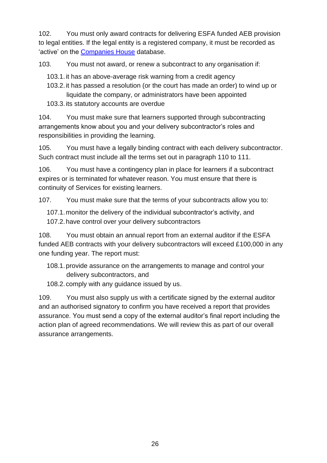102. You must only award contracts for delivering ESFA funded AEB provision to legal entities. If the legal entity is a registered company, it must be recorded as 'active' on the [Companies House](https://www.gov.uk/government/organisations/companies-house) database.

103. You must not award, or renew a subcontract to any organisation if:

103.1.it has an above-average risk warning from a credit agency

- 103.2.it has passed a resolution (or the court has made an order) to wind up or liquidate the company, or administrators have been appointed
- 103.3.its statutory accounts are overdue

104. You must make sure that learners supported through subcontracting arrangements know about you and your delivery subcontractor's roles and responsibilities in providing the learning.

105. You must have a legally binding contract with each delivery subcontractor. Such contract must include all the terms set out in paragraph [110](#page-26-1) to [111.](#page-27-1)

106. You must have a contingency plan in place for learners if a subcontract expires or is terminated for whatever reason. You must ensure that there is continuity of Services for existing learners.

107. You must make sure that the terms of your subcontracts allow you to:

107.1.monitor the delivery of the individual subcontractor's activity, and 107.2.have control over your delivery subcontractors

108. You must obtain an annual report from an external auditor if the ESFA funded AEB contracts with your delivery subcontractors will exceed £100,000 in any one funding year. The report must:

108.1.provide assurance on the arrangements to manage and control your delivery subcontractors, and

108.2. comply with any guidance issued by us.

109. You must also supply us with a certificate signed by the external auditor and an authorised signatory to confirm you have received a report that provides assurance. You must send a copy of the external auditor's final report including the action plan of agreed recommendations. We will review this as part of our overall assurance arrangements.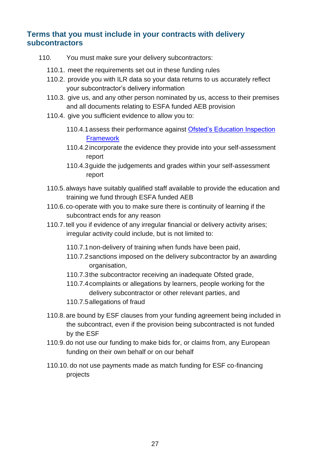#### <span id="page-26-0"></span>**Terms that you must include in your contracts with delivery subcontractors**

- <span id="page-26-1"></span>110. You must make sure your delivery subcontractors:
	- 110.1. meet the requirements set out in these funding rules
	- 110.2. provide you with ILR data so your data returns to us accurately reflect your subcontractor's delivery information
	- 110.3. give us, and any other person nominated by us, access to their premises and all documents relating to ESFA funded AEB provision
	- 110.4. give you sufficient evidence to allow you to:
		- 110.4.1assess their performance against [Ofsted's Education Inspection](https://www.gov.uk/government/collections/education-inspection-framework?#guidance-for-education-providers)  **[Framework](https://www.gov.uk/government/collections/education-inspection-framework?#guidance-for-education-providers)**
		- 110.4.2incorporate the evidence they provide into your self-assessment report
		- 110.4.3guide the judgements and grades within your self-assessment report
	- 110.5.always have suitably qualified staff available to provide the education and training we fund through ESFA funded AEB
	- 110.6. co-operate with you to make sure there is continuity of learning if the subcontract ends for any reason
	- 110.7.tell you if evidence of any irregular financial or delivery activity arises; irregular activity could include, but is not limited to:
		- 110.7.1non-delivery of training when funds have been paid,
		- 110.7.2sanctions imposed on the delivery subcontractor by an awarding organisation,
		- 110.7.3the subcontractor receiving an inadequate Ofsted grade,
		- 110.7.4complaints or allegations by learners, people working for the delivery subcontractor or other relevant parties, and
		- 110.7.5allegations of fraud
	- 110.8.are bound by ESF clauses from your funding agreement being included in the subcontract, even if the provision being subcontracted is not funded by the ESF
	- 110.9.do not use our funding to make bids for, or claims from, any European funding on their own behalf or on our behalf
	- 110.10. do not use payments made as match funding for ESF co-financing projects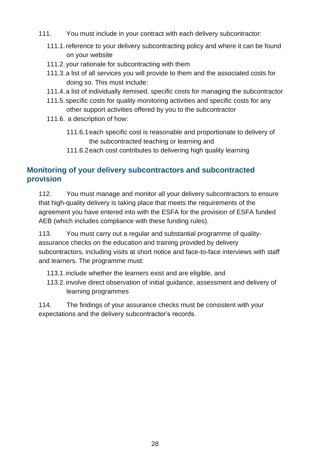- <span id="page-27-1"></span>111. You must include in your contract with each delivery subcontractor:
	- 111.1.reference to your delivery subcontracting policy and where it can be found on your website
	- 111.2. your rationale for subcontracting with them
	- 111.3.a list of all services you will provide to them and the associated costs for doing so. This must include:
	- 111.4.a list of individually itemised, specific costs for managing the subcontractor
	- 111.5. specific costs for quality monitoring activities and specific costs for any other support activities offered by you to the subcontractor
	- 111.6. a description of how:
		- 111.6.1each specific cost is reasonable and proportionate to delivery of the subcontracted teaching or learning and
		- 111.6.2each cost contributes to delivering high quality learning

#### <span id="page-27-0"></span>**Monitoring of your delivery subcontractors and subcontracted provision**

112. You must manage and monitor all your delivery subcontractors to ensure that high-quality delivery is taking place that meets the requirements of the agreement you have entered into with the ESFA for the provision of ESFA funded AEB (which includes compliance with these funding rules).

113. You must carry out a regular and substantial programme of qualityassurance checks on the education and training provided by delivery subcontractors, including visits at short notice and face-to-face interviews with staff and learners. The programme must:

- 113.1.include whether the learners exist and are eligible, and
- 113.2.involve direct observation of initial guidance, assessment and delivery of learning programmes

114. The findings of your assurance checks must be consistent with your expectations and the delivery subcontractor's records.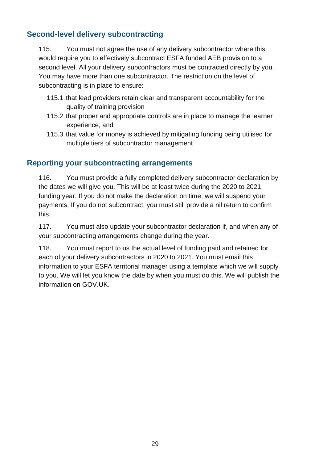#### <span id="page-28-0"></span>**Second-level delivery subcontracting**

115. You must not agree the use of any delivery subcontractor where this would require you to effectively subcontract ESFA funded AEB provision to a second level. All your delivery subcontractors must be contracted directly by you. You may have more than one subcontractor. The restriction on the level of subcontracting is in place to ensure:

- 115.1.that lead providers retain clear and transparent accountability for the quality of training provision
- 115.2.that proper and appropriate controls are in place to manage the learner experience, and
- 115.3.that value for money is achieved by mitigating funding being utilised for multiple tiers of subcontractor management

#### <span id="page-28-1"></span>**Reporting your subcontracting arrangements**

116. You must provide a fully completed delivery subcontractor declaration by the dates we will give you. This will be at least twice during the 2020 to 2021 funding year. If you do not make the declaration on time, we will suspend your payments. If you do not subcontract, you must still provide a nil return to confirm this.

117. You must also update your subcontractor declaration if, and when any of your subcontracting arrangements change during the year.

118. You must report to us the actual level of funding paid and retained for each of your delivery subcontractors in 2020 to 2021. You must email this information to your ESFA territorial manager using a template which we will supply to you. We will let you know the date by when you must do this. We will publish the information on GOV.UK.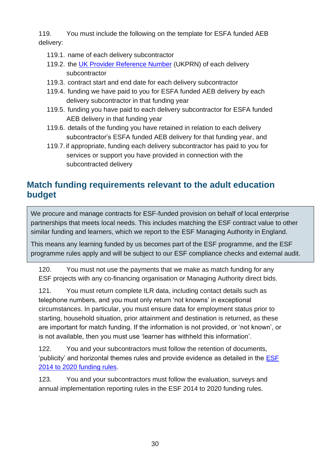119. You must include the following on the template for ESFA funded AEB delivery:

- 119.1. name of each delivery subcontractor
- 119.2. the [UK Provider Reference Number](https://www.ukrlp.co.uk/) (UKPRN) of each delivery subcontractor
- 119.3. contract start and end date for each delivery subcontractor
- 119.4. funding we have paid to you for ESFA funded AEB delivery by each delivery subcontractor in that funding year
- 119.5. funding you have paid to each delivery subcontractor for ESFA funded AEB delivery in that funding year
- 119.6. details of the funding you have retained in relation to each delivery subcontractor's ESFA funded AEB delivery for that funding year, and
- 119.7.if appropriate, funding each delivery subcontractor has paid to you for services or support you have provided in connection with the subcontracted delivery

#### <span id="page-29-0"></span>**Match funding requirements relevant to the adult education budget**

We procure and manage contracts for ESF-funded provision on behalf of local enterprise partnerships that meets local needs. This includes matching the ESF contract value to other similar funding and learners, which we report to the ESF Managing Authority in England.

This means any learning funded by us becomes part of the ESF programme, and the ESF programme rules apply and will be subject to our ESF compliance checks and external audit.

120. You must not use the payments that we make as match funding for any ESF projects with any co-financing organisation or Managing Authority direct bids.

121. You must return complete ILR data, including contact details such as telephone numbers, and you must only return 'not knowns' in exceptional circumstances. In particular, you must ensure data for employment status prior to starting, household situation, prior attainment and destination is returned, as these are important for match funding. If the information is not provided, or 'not known', or is not available, then you must use 'learner has withheld this information'.

122. You and your subcontractors must follow the retention of documents, 'publicity' and horizontal themes rules and provide evidence as detailed in the [ESF](https://www.gov.uk/government/publications/esf-funding-rules)  [2014 to 2020 funding rules.](https://www.gov.uk/government/publications/esf-funding-rules)

123. You and your subcontractors must follow the evaluation, surveys and annual implementation reporting rules in the ESF 2014 to 2020 funding rules.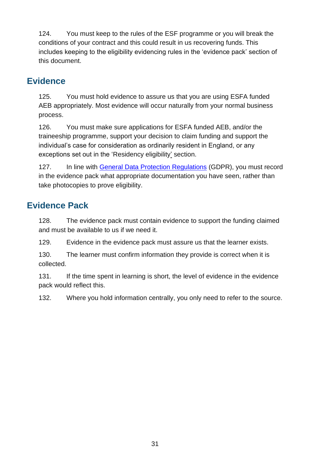124. You must keep to the rules of the ESF programme or you will break the conditions of your contract and this could result in us recovering funds. This includes keeping to the eligibility evidencing rules in the 'evidence pack' section of this document.

#### <span id="page-30-0"></span>**Evidence**

125. You must hold evidence to assure us that you are using ESFA funded AEB appropriately. Most evidence will occur naturally from your normal business process.

126. You must make sure applications for ESFA funded AEB, and/or the traineeship programme, support your decision to claim funding and support the individual's case for consideration as ordinarily resident in England, or any exceptions set out in the ['Residency eligibility'](#page-13-0) section.

127. In line with [General Data Protection Regulations](https://www.gov.uk/government/publications/guide-to-the-general-data-protection-regulation) (GDPR), you must record in the evidence pack what appropriate documentation you have seen, rather than take photocopies to prove eligibility.

#### <span id="page-30-1"></span>**Evidence Pack**

128. The evidence pack must contain evidence to support the funding claimed and must be available to us if we need it.

129. Evidence in the evidence pack must assure us that the learner exists.

130. The learner must confirm information they provide is correct when it is collected.

131. If the time spent in learning is short, the level of evidence in the evidence pack would reflect this.

132. Where you hold information centrally, you only need to refer to the source.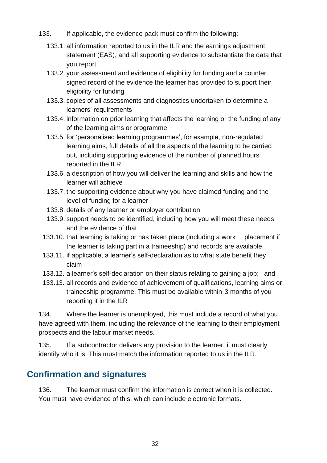- 133. If applicable, the evidence pack must confirm the following:
	- 133.1. all information reported to us in the ILR and the earnings adjustment statement (EAS), and all supporting evidence to substantiate the data that you report
	- 133.2. your assessment and evidence of eligibility for funding and a counter signed record of the evidence the learner has provided to support their eligibility for funding
	- 133.3. copies of all assessments and diagnostics undertaken to determine a learners' requirements
	- 133.4. information on prior learning that affects the learning or the funding of any of the learning aims or programme
	- 133.5. for 'personalised learning programmes', for example, non-regulated learning aims, full details of all the aspects of the learning to be carried out, including supporting evidence of the number of planned hours reported in the ILR
	- 133.6. a description of how you will deliver the learning and skills and how the learner will achieve
	- 133.7. the supporting evidence about why you have claimed funding and the level of funding for a learner
	- 133.8. details of any learner or employer contribution
	- 133.9. support needs to be identified, including how you will meet these needs and the evidence of that
	- 133.10. that learning is taking or has taken place (including a work placement if the learner is taking part in a traineeship) and records are available
	- 133.11. if applicable, a learner's self-declaration as to what state benefit they claim
	- 133.12. a learner's self-declaration on their status relating to gaining a job; and
	- 133.13. all records and evidence of achievement of qualifications, learning aims or traineeship programme. This must be available within 3 months of you reporting it in the ILR

134. Where the learner is unemployed, this must include a record of what you have agreed with them, including the relevance of the learning to their employment prospects and the labour market needs.

135. If a subcontractor delivers any provision to the learner, it must clearly identify who it is. This must match the information reported to us in the ILR.

#### <span id="page-31-0"></span>**Confirmation and signatures**

136. The learner must confirm the information is correct when it is collected. You must have evidence of this, which can include electronic formats.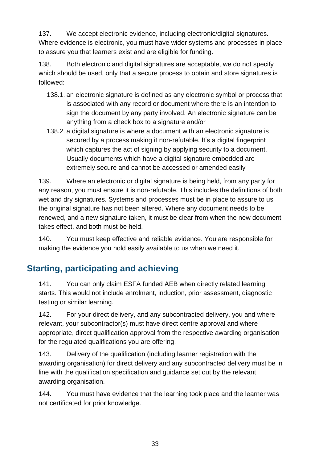137. We accept electronic evidence, including electronic/digital signatures. Where evidence is electronic, you must have wider systems and processes in place to assure you that learners exist and are eligible for funding.

138. Both electronic and digital signatures are acceptable, we do not specify which should be used, only that a secure process to obtain and store signatures is followed:

- 138.1. an electronic signature is defined as any electronic symbol or process that is associated with any record or document where there is an intention to sign the document by any party involved. An electronic signature can be anything from a check box to a signature and/or
- 138.2. a digital signature is where a document with an electronic signature is secured by a process making it non-refutable. It's a digital fingerprint which captures the act of signing by applying security to a document. Usually documents which have a digital signature embedded are extremely secure and cannot be accessed or amended easily

139. Where an electronic or digital signature is being held, from any party for any reason, you must ensure it is non-refutable. This includes the definitions of both wet and dry signatures. Systems and processes must be in place to assure to us the original signature has not been altered. Where any document needs to be renewed, and a new signature taken, it must be clear from when the new document takes effect, and both must be held.

140. You must keep effective and reliable evidence. You are responsible for making the evidence you hold easily available to us when we need it.

# <span id="page-32-0"></span>**Starting, participating and achieving**

141. You can only claim ESFA funded AEB when directly related learning starts. This would not include enrolment, induction, prior assessment, diagnostic testing or similar learning.

142. For your direct delivery, and any subcontracted delivery, you and where relevant, your subcontractor(s) must have direct centre approval and where appropriate, direct qualification approval from the respective awarding organisation for the regulated qualifications you are offering.

143. Delivery of the qualification (including learner registration with the awarding organisation) for direct delivery and any subcontracted delivery must be in line with the qualification specification and guidance set out by the relevant awarding organisation.

144. You must have evidence that the learning took place and the learner was not certificated for prior knowledge.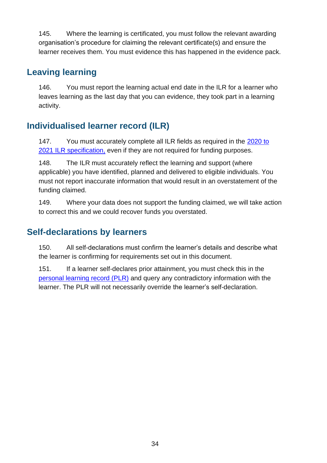145. Where the learning is certificated, you must follow the relevant awarding organisation's procedure for claiming the relevant certificate(s) and ensure the learner receives them. You must evidence this has happened in the evidence pack.

#### <span id="page-33-0"></span>**Leaving learning**

146. You must report the learning actual end date in the ILR for a learner who leaves learning as the last day that you can evidence, they took part in a learning activity.

# <span id="page-33-1"></span>**Individualised learner record (ILR)**

147. You must accurately complete all ILR fields as required in the 2020 to [2021 ILR specification,](https://www.gov.uk/government/collections/individualised-learner-record-ilr) even if they are not required for funding purposes.

148. The ILR must accurately reflect the learning and support (where applicable) you have identified, planned and delivered to eligible individuals. You must not report inaccurate information that would result in an overstatement of the funding claimed.

149. Where your data does not support the funding claimed, we will take action to correct this and we could recover funds you overstated.

#### <span id="page-33-2"></span>**Self-declarations by learners**

150. All self-declarations must confirm the learner's details and describe what the learner is confirming for requirements set out in this document.

151. If a learner self-declares prior attainment, you must check this in the [personal learning record \(PLR\)](https://www.gov.uk/guidance/how-to-access-your-personal-learning-record) and query any contradictory information with the learner. The PLR will not necessarily override the learner's self-declaration.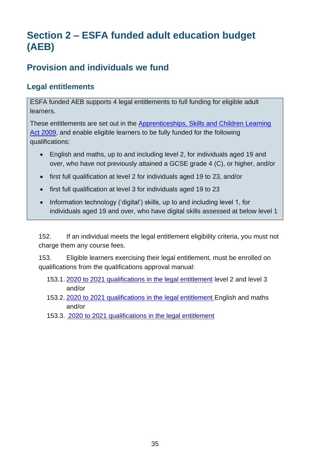# <span id="page-34-0"></span>**Section 2 – ESFA funded adult education budget (AEB)**

# <span id="page-34-1"></span>**Provision and individuals we fund**

#### <span id="page-34-2"></span>**Legal entitlements**

ESFA funded AEB supports 4 legal entitlements to full funding for eligible adult learners.

These entitlements are set out in the [Apprenticeships, Skills and Children Learning](http://www.legislation.gov.uk/ukpga/2009/22/part/4/chapter/1/crossheading/education-and-training-for-persons-aged-19-or-over-etc)  [Act 2009,](http://www.legislation.gov.uk/ukpga/2009/22/part/4/chapter/1/crossheading/education-and-training-for-persons-aged-19-or-over-etc) and enable eligible learners to be fully funded for the following qualifications:

- English and maths, up to and including level 2, for individuals aged 19 and over, who have not previously attained a GCSE grade 4 (C), or higher, and/or
- first full qualification at level 2 for individuals aged 19 to 23, and/or
- first full qualification at level 3 for individuals aged 19 to 23
- Information technology ('digital') skills, up to and including level 1, for individuals aged 19 and over, who have digital skills assessed at below level 1

152. If an individual meets the legal entitlement eligibility criteria, you must not charge them any course fees.

<span id="page-34-3"></span>153. Eligible learners exercising their legal entitlement, must be enrolled on qualifications from the qualifications approval manual:

- 153.1. [2020 to 2021 qualifications in the legal entitlement](https://www.qualifications.education.gov.uk/) level 2 and level 3 and/or
- 153.2. [2020 to 2021 qualifications in the legal entitlement E](https://www.qualifications.education.gov.uk/)nglish and maths and/or
- 153.3. [2020 to 2021 qualifications in the legal entitlement](https://www.qualifications.education.gov.uk/)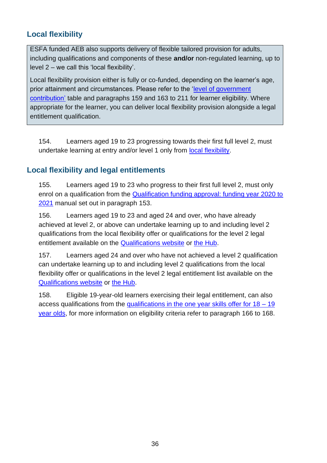#### <span id="page-35-0"></span>**Local flexibility**

ESFA funded AEB also supports delivery of flexible tailored provision for adults, including qualifications and components of these **and/or** non-regulated learning, up to level 2 – we call this 'local flexibility'.

Local flexibility provision either is fully or co-funded, depending on the learner's age, prior attainment and circumstances. Please refer to the ['level of government](#page-35-3)  [contribution'](#page-35-3) table and paragraphs [159](#page-37-4) and 163 to [211](#page-46-1) for learner eligibility. Where appropriate for the learner, you can deliver local flexibility provision alongside a legal entitlement qualification.

154. Learners aged 19 to 23 progressing towards their first full level 2, must undertake learning at entry and/or level 1 only from [local flexibility.](https://www.gov.uk/guidance/qualification-funding-approval)

#### <span id="page-35-1"></span>**Local flexibility and legal entitlements**

155. Learners aged 19 to 23 who progress to their first full level 2, must only enrol on a qualification from the [Qualification funding approval: funding year 2020 to](https://www.gov.uk/guidance/qualification-funding-approval)  [2021](https://www.gov.uk/guidance/qualification-funding-approval) manual set out in paragraph [153.](#page-34-3)

156. Learners aged 19 to 23 and aged 24 and over, who have already achieved at level 2, or above can undertake learning up to and including level 2 qualifications from the local flexibility offer or qualifications for the level 2 legal entitlement available on the **Qualifications website** or [the Hub.](https://hub.fasst.org.uk/Pages/default.aspx)

<span id="page-35-2"></span>157. Learners aged 24 and over who have not achieved a level 2 qualification can undertake learning up to and including level 2 qualifications from the local flexibility offer or qualifications in the level 2 legal entitlement list available on the [Qualifications website](https://www.qualifications.education.gov.uk/) or [the Hub.](https://hub.fasst.org.uk/learning%20aims/pages/default.aspx)

<span id="page-35-3"></span>158. Eligible 19-year-old learners exercising their legal entitlement, can also access qualifications from the [qualifications in the one year skills offer for 18 –](https://www.gov.uk/government/publications/qualifications-in-covid-19-support-packages?utm_source=94e8fb88-2c74-404e-be36-b10fe4f67594&utm_medium=email&utm_campaign=govuk-notifications&utm_content=immediate) 19 [year olds,](https://www.gov.uk/government/publications/qualifications-in-covid-19-support-packages?utm_source=94e8fb88-2c74-404e-be36-b10fe4f67594&utm_medium=email&utm_campaign=govuk-notifications&utm_content=immediate) for more information on eligibility criteria refer to paragraph [166](#page-39-1) to [168.](#page-40-3)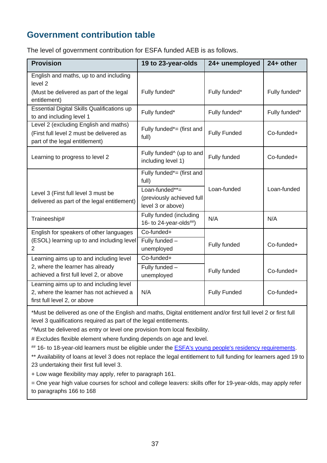## **Government contribution table**

The level of government contribution for ESFA funded AEB is as follows.

| <b>Provision</b>                                                                                                       | 19 to 23-year-olds                                                                                     | 24+ unemployed      | $24+$ other   |
|------------------------------------------------------------------------------------------------------------------------|--------------------------------------------------------------------------------------------------------|---------------------|---------------|
| English and maths, up to and including<br>level <sub>2</sub><br>(Must be delivered as part of the legal                | Fully funded*                                                                                          | Fully funded*       | Fully funded* |
| entitlement)<br><b>Essential Digital Skills Qualifications up</b><br>to and including level 1                          | Fully funded*                                                                                          | Fully funded*       | Fully funded* |
| Level 2 (excluding English and maths)<br>(First full level 2 must be delivered as<br>part of the legal entitlement)    | Fully funded*= (first and<br>full)                                                                     | <b>Fully Funded</b> | Co-funded+    |
| Learning to progress to level 2                                                                                        | Fully funded <sup>^</sup> (up to and<br>including level 1)                                             | Fully funded        | Co-funded+    |
| Level 3 (First full level 3 must be<br>delivered as part of the legal entitlement)                                     | Fully funded*= (first and<br>full)<br>Loan-funded**=<br>(previously achieved full<br>level 3 or above) | Loan-funded         | Loan-funded   |
| Traineeship#                                                                                                           | Fully funded (including<br>16- to 24-year-olds $\#$ )                                                  | N/A                 | N/A           |
| English for speakers of other languages<br>(ESOL) learning up to and including level<br>2                              | Co-funded+<br>Fully funded -<br>unemployed                                                             | Fully funded        | Co-funded+    |
| Learning aims up to and including level<br>2, where the learner has already<br>achieved a first full level 2, or above | Co-funded+<br>Fully funded -<br>unemployed                                                             | Fully funded        | Co-funded+    |
| Learning aims up to and including level<br>2, where the learner has not achieved a<br>first full level 2, or above     | N/A                                                                                                    | <b>Fully Funded</b> | Co-funded+    |

\*Must be delivered as one of the English and maths, Digital entitlement and/or first full level 2 or first full level 3 qualifications required as part of the legal entitlements.

^Must be delivered as entry or level one provision from local flexibility.

# Excludes flexible element where funding depends on age and level.

## 16- to 18-year-old learners must be eligible under the **ESFA's young people's residency requirements**.

\*\* Availability of loans at level 3 does not replace the legal entitlement to full funding for learners aged 19 to 23 undertaking their first full level 3.

+ Low wage flexibility may apply, refer to paragraph 161.

= One year high value courses for school and college leavers: skills offer for 19-year-olds, may apply refer to paragraphs 166 to 168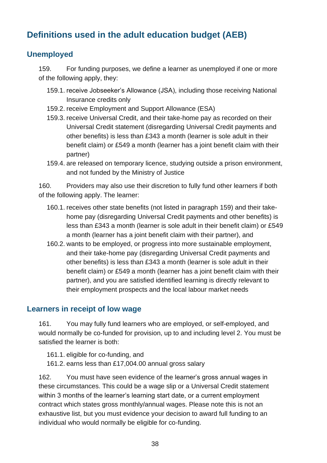# **Definitions used in the adult education budget (AEB)**

### **Unemployed**

<span id="page-37-0"></span>159. For funding purposes, we define a learner as unemployed if one or more of the following apply, they:

- 159.1. receive Jobseeker's Allowance (JSA), including those receiving National Insurance credits only
- 159.2. receive Employment and Support Allowance (ESA)
- 159.3. receive Universal Credit, and their take-home pay as recorded on their Universal Credit statement (disregarding Universal Credit payments and other benefits) is less than £343 a month (learner is sole adult in their benefit claim) or £549 a month (learner has a joint benefit claim with their partner)
- 159.4. are released on temporary licence, studying outside a prison environment, and not funded by the Ministry of Justice

<span id="page-37-3"></span>160. Providers may also use their discretion to fully fund other learners if both of the following apply. The learner:

- 160.1. receives other state benefits (not listed in paragraph [159\)](#page-37-0) and their takehome pay (disregarding Universal Credit payments and other benefits) is less than £343 a month (learner is sole adult in their benefit claim) or £549 a month (learner has a joint benefit claim with their partner), and
- 160.2. wants to be employed, or progress into more sustainable employment, and their take-home pay (disregarding Universal Credit payments and other benefits) is less than £343 a month (learner is sole adult in their benefit claim) or £549 a month (learner has a joint benefit claim with their partner), and you are satisfied identified learning is directly relevant to their employment prospects and the local labour market needs

### **Learners in receipt of low wage**

<span id="page-37-1"></span>161. You may fully fund learners who are employed, or self-employed, and would normally be co-funded for provision, up to and including level 2. You must be satisfied the learner is both:

161.1. eligible for co-funding, and

161.2. earns less than £17,004.00 annual gross salary

<span id="page-37-2"></span>162. You must have seen evidence of the learner's gross annual wages in these circumstances. This could be a wage slip or a Universal Credit statement within 3 months of the learner's learning start date, or a current employment contract which states gross monthly/annual wages. Please note this is not an exhaustive list, but you must evidence your decision to award full funding to an individual who would normally be eligible for co-funding.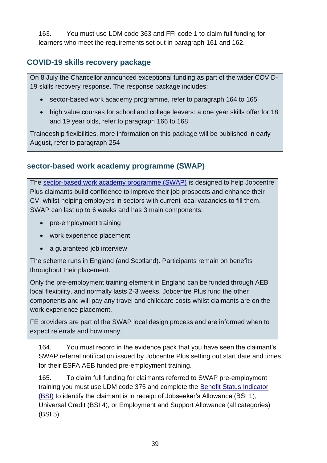163. You must use LDM code 363 and FFI code 1 to claim full funding for learners who meet the requirements set out in paragraph [161](#page-37-1) and [162.](#page-37-2)

### **COVID-19 skills recovery package**

On 8 July the Chancellor announced exceptional funding as part of the wider COVID-19 skills recovery response. The response package includes;

- sector-based work academy programme, refer to paragraph [164](#page-38-0) to [165](#page-38-1)
- high value courses for school and college leavers: a one year skills offer for 18 and 19 year olds, refer to paragraph [166](#page-39-0) to [168](#page-40-0)

Traineeship flexibilities, more information on this package will be published in early August, refer to paragraph [254](#page-55-0)

#### **sector-based work academy programme (SWAP)**

The [sector-based work academy programme \(SWAP\)](https://www.gov.uk/government/publications/sector-based-work-academies-employer-guide/sector-based-work-academies-employer-guide) is designed to help Jobcentre Plus claimants build confidence to improve their job prospects and enhance their CV, whilst helping employers in sectors with current local vacancies to fill them. SWAP can last up to 6 weeks and has 3 main components:

- pre-employment training
- work experience placement
- a guaranteed job interview

The scheme runs in England (and Scotland). Participants remain on benefits throughout their placement.

Only the pre-employment training element in England can be funded through AEB local flexibility, and normally lasts 2-3 weeks. Jobcentre Plus fund the other components and will pay any travel and childcare costs whilst claimants are on the work experience placement.

FE providers are part of the SWAP local design process and are informed when to expect referrals and how many.

<span id="page-38-0"></span>164. You must record in the evidence pack that you have seen the claimant's SWAP referral notification issued by Jobcentre Plus setting out start date and times for their ESFA AEB funded pre-employment training.

<span id="page-38-1"></span>165. To claim full funding for claimants referred to SWAP pre-employment training you must use LDM code 375 and complete the **Benefit Status Indicator** [\(BSI\)](https://guidance.submitlearnerdatabeta.fasst.org.uk/ilr/field/esmcode) to identify the claimant is in receipt of Jobseeker's Allowance (BSI 1), Universal Credit (BSI 4), or Employment and Support Allowance (all categories) (BSI 5).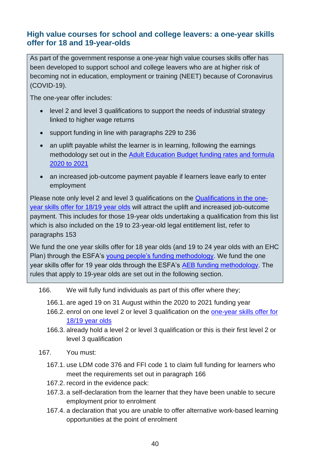#### **High value courses for school and college leavers: a one-year skills offer for 18 and 19-year-olds**

As part of the government response a one-year high value courses skills offer has been developed to support school and college leavers who are at higher risk of becoming not in education, employment or training (NEET) because of Coronavirus (COVID-19).

The one-year offer includes:

- level 2 and level 3 qualifications to support the needs of industrial strategy linked to higher wage returns
- support funding in line with paragraphs [229](#page-49-0) to [236](#page-50-0)
- an uplift payable whilst the learner is in learning, following the earnings methodology set out in the [Adult Education Budget funding rates and formula](https://www.gov.uk/government/publications/adult-education-budget-aeb-funding-rates-and-formula-2020-to-2021)  [2020 to 2021](https://www.gov.uk/government/publications/adult-education-budget-aeb-funding-rates-and-formula-2020-to-2021)
- an increased job-outcome payment payable if learners leave early to enter employment

Please note only level 2 and level 3 qualifications on the [Qualifications in the one](https://www.gov.uk/government/publications/qualifications-in-covid-19-support-packages?utm_source=94e8fb88-2c74-404e-be36-b10fe4f67594&utm_medium=email&utm_campaign=govuk-notifications&utm_content=immediate)[year skills offer for 18/19 year olds](https://www.gov.uk/government/publications/qualifications-in-covid-19-support-packages?utm_source=94e8fb88-2c74-404e-be36-b10fe4f67594&utm_medium=email&utm_campaign=govuk-notifications&utm_content=immediate) will attract the uplift and increased job-outcome payment. This includes for those 19-year olds undertaking a qualification from this list which is also included on the 19 to 23-year-old legal entitlement list, refer to paragraphs [153](#page-34-0)

We fund the one year skills offer for 18 year olds (and 19 to 24 year olds with an EHC Plan) through the ESFA's [young people's funding methodology.](https://www.gov.uk/government/collections/funding-education-for-16-to-19-year-olds#16-to-19-funding:-how-it-works) We fund the one year skills offer for 19 year olds through the ESFA's [AEB funding methodology.](https://www.gov.uk/government/collections/sfa-funding-rates) The rules that apply to 19-year olds are set out in the following section.

- <span id="page-39-0"></span>166. We will fully fund individuals as part of this offer where they;
	- 166.1. are aged 19 on 31 August within the 2020 to 2021 funding year
	- 166.2. enrol on one level 2 or level 3 qualification on the [one-year skills offer for](https://www.gov.uk/government/publications/qualifications-in-covid-19-support-packages?utm_source=94e8fb88-2c74-404e-be36-b10fe4f67594&utm_medium=email&utm_campaign=govuk-notifications&utm_content=immediate)  [18/19 year olds](https://www.gov.uk/government/publications/qualifications-in-covid-19-support-packages?utm_source=94e8fb88-2c74-404e-be36-b10fe4f67594&utm_medium=email&utm_campaign=govuk-notifications&utm_content=immediate)
	- 166.3. already hold a level 2 or level 3 qualification or this is their first level 2 or level 3 qualification
- 167. You must:
	- 167.1. use LDM code 376 and FFI code 1 to claim full funding for learners who meet the requirements set out in paragraph [166](#page-39-0)
	- 167.2. record in the evidence pack:
	- 167.3. a self-declaration from the learner that they have been unable to secure employment prior to enrolment
	- 167.4. a declaration that you are unable to offer alternative work-based learning opportunities at the point of enrolment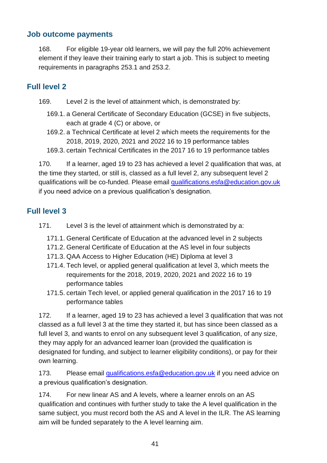#### **Job outcome payments**

<span id="page-40-0"></span>168. For eligible 19-year old learners, we will pay the full 20% achievement element if they leave their training early to start a job. This is subject to meeting requirements in paragraphs [253.](#page-54-0)1 and [253.](#page-54-0)2.

#### **Full level 2**

- 169. Level 2 is the level of attainment which, is demonstrated by:
	- 169.1. a General Certificate of Secondary Education (GCSE) in five subjects, each at grade 4 (C) or above, or
	- 169.2. a Technical Certificate at level 2 which meets the requirements for the 2018, 2019, 2020, 2021 and 2022 16 to 19 performance tables
	- 169.3. certain Technical Certificates in the 2017 16 to 19 performance tables

170. If a learner, aged 19 to 23 has achieved a level 2 qualification that was, at the time they started, or still is, classed as a full level 2, any subsequent level 2 qualifications will be co-funded. Please email [qualifications.esfa@education.gov.uk](mailto:qualifications.esfa@education.gov.uk) if you need advice on a previous qualification's designation.

### **Full level 3**

- 171. Level 3 is the level of attainment which is demonstrated by a:
	- 171.1. General Certificate of Education at the advanced level in 2 subjects
	- 171.2. General Certificate of Education at the AS level in four subjects
	- 171.3. QAA Access to Higher Education (HE) Diploma at level 3
	- 171.4. Tech level, or applied general qualification at level 3, which meets the requirements for the 2018, 2019, 2020, 2021 and 2022 16 to 19 performance tables
	- 171.5. certain Tech level, or applied general qualification in the 2017 16 to 19 performance tables

172. If a learner, aged 19 to 23 has achieved a level 3 qualification that was not classed as a full level 3 at the time they started it, but has since been classed as a full level 3, and wants to enrol on any subsequent level 3 qualification, of any size, they may apply for an advanced learner loan (provided the qualification is designated for funding, and subject to learner eligibility conditions), or pay for their own learning.

173. Please email [qualifications.esfa@education.gov.uk](mailto:qualifications.esfa@education.gov.uk) if you need advice on a previous qualification's designation.

174. For new linear AS and A levels, where a learner enrols on an AS qualification and continues with further study to take the A level qualification in the same subject, you must record both the AS and A level in the ILR. The AS learning aim will be funded separately to the A level learning aim.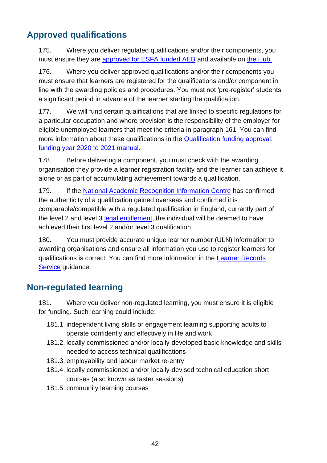# **Approved qualifications**

175. Where you deliver regulated qualifications and/or their components, you must ensure they are [approved for ESFA funded AEB](https://www.qualifications.education.gov.uk/) and available on [the Hub.](https://hub.fasst.org.uk/learning%20aims/pages/default.aspx)

176. Where you deliver approved qualifications and/or their components you must ensure that learners are registered for the qualifications and/or component in line with the awarding policies and procedures. You must not 'pre-register' students a significant period in advance of the learner starting the qualification.

177. We will fund certain qualifications that are linked to specific regulations for a particular occupation and where provision is the responsibility of the employer for eligible unemployed learners that meet the criteria in paragraph [161.](#page-37-1) You can find more information about these qualifications in the [Qualification funding approval:](https://www.gov.uk/guidance/qualification-funding-approval)  [funding year 2020 to 2021 manual.](https://www.gov.uk/guidance/qualification-funding-approval)

178. Before delivering a component, you must check with the awarding organisation they provide a learner registration facility and the learner can achieve it alone or as part of accumulating achievement towards a qualification.

179. If the [National Academic Recognition Information Centre](https://www.naric.org.uk/naric/) has confirmed the authenticity of a qualification gained overseas and confirmed it is comparable/compatible with a regulated qualification in England, currently part of the level 2 and level 3 [legal entitlement,](https://www.gov.uk/government/publications/qualifications-getting-approval-for-funding) the individual will be deemed to have achieved their first level 2 and/or level 3 qualification.

180. You must provide accurate unique learner number (ULN) information to awarding organisations and ensure all information you use to register learners for qualifications is correct. You can find more information in the [Learner Records](https://www.gov.uk/government/publications/learning-records-service-personal-learning-record)  [Service](https://www.gov.uk/government/publications/learning-records-service-personal-learning-record) guidance.

# **Non-regulated learning**

181. Where you deliver non-regulated learning, you must ensure it is eligible for funding. Such learning could include:

- 181.1. independent living skills or engagement learning supporting adults to operate confidently and effectively in life and work
- 181.2. locally commissioned and/or locally-developed basic knowledge and skills needed to access technical qualifications
- 181.3. employability and labour market re-entry
- 181.4. locally commissioned and/or locally-devised technical education short courses (also known as taster sessions)
- 181.5. community learning courses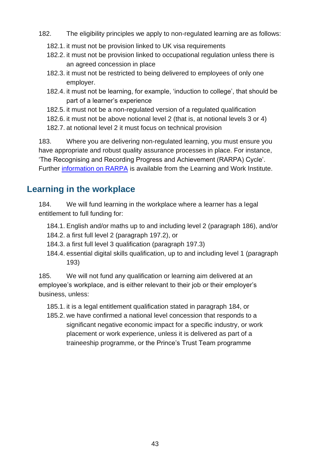- 182. The eligibility principles we apply to non-regulated learning are as follows:
	- 182.1. it must not be provision linked to UK visa requirements
	- 182.2. it must not be provision linked to occupational regulation unless there is an agreed concession in place
	- 182.3. it must not be restricted to being delivered to employees of only one employer.
	- 182.4. it must not be learning, for example, 'induction to college', that should be part of a learner's experience
	- 182.5. it must not be a non-regulated version of a regulated qualification
	- 182.6. it must not be above notional level 2 (that is, at notional levels 3 or 4)
	- 182.7. at notional level 2 it must focus on technical provision

183. Where you are delivering non-regulated learning, you must ensure you have appropriate and robust quality assurance processes in place. For instance, 'The Recognising and Recording Progress and Achievement (RARPA) Cycle'. Further [information on RARPA](http://www.learningandwork.org.uk/resource/updated-rarpa-guidance-and-case-studies/) is available from the Learning and Work Institute.

## **Learning in the workplace**

<span id="page-42-0"></span>184. We will fund learning in the workplace where a learner has a legal entitlement to full funding for:

- 184.1. English and/or maths up to and including level 2 (paragraph [186\)](#page-43-0), and/or 184.2. a first full level 2 (paragraph [197.2\)](#page-44-0), or
- 184.3. a first full level 3 qualification (paragraph [197.3\)](#page-44-1)
- 184.4. essential digital skills qualification, up to and including level 1 (paragraph [193\)](#page-43-1)

185. We will not fund any qualification or learning aim delivered at an employee's workplace, and is either relevant to their job or their employer's business, unless:

185.1. it is a legal entitlement qualification stated in paragraph [184,](#page-42-0) or

185.2. we have confirmed a national level concession that responds to a significant negative economic impact for a specific industry, or work placement or work experience, unless it is delivered as part of a traineeship programme, or the Prince's Trust Team programme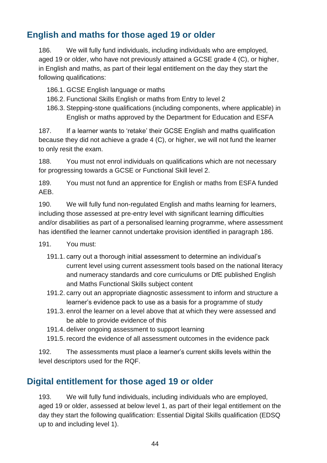## **English and maths for those aged 19 or older**

<span id="page-43-0"></span>186. We will fully fund individuals, including individuals who are employed, aged 19 or older, who have not previously attained a GCSE grade 4 (C), or higher, in English and maths, as part of their legal entitlement on the day they start the following qualifications:

- 186.1. GCSE English language or maths
- 186.2. Functional Skills English or maths from Entry to level 2
- 186.3. Stepping-stone qualifications (including components, where applicable) in English or maths approved by the Department for Education and ESFA

187. If a learner wants to 'retake' their GCSE English and maths qualification because they did not achieve a grade 4 (C), or higher, we will not fund the learner to only resit the exam.

188. You must not enrol individuals on qualifications which are not necessary for progressing towards a GCSE or Functional Skill level 2.

189. You must not fund an apprentice for English or maths from ESFA funded AEB.

190. We will fully fund non-regulated English and maths learning for learners, including those assessed at pre-entry level with significant learning difficulties and/or disabilities as part of a personalised learning programme, where assessment has identified the learner cannot undertake provision identified in paragraph [186.](#page-43-0)

- <span id="page-43-3"></span>191. You must:
	- 191.1. carry out a thorough initial assessment to determine an individual's current level using current assessment tools based on the national literacy and numeracy standards and core curriculums or DfE published English and Maths Functional Skills subject content
	- 191.2. carry out an appropriate diagnostic assessment to inform and structure a learner's evidence pack to use as a basis for a programme of study
	- 191.3. enrol the learner on a level above that at which they were assessed and be able to provide evidence of this
	- 191.4. deliver ongoing assessment to support learning
	- 191.5. record the evidence of all assessment outcomes in the evidence pack

192. The assessments must place a learner's current skills levels within the level descriptors used for the RQF.

## **Digital entitlement for those aged 19 or older**

<span id="page-43-2"></span><span id="page-43-1"></span>193. We will fully fund individuals, including individuals who are employed, aged 19 or older, assessed at below level 1, as part of their legal entitlement on the day they start the following qualification: Essential Digital Skills qualification (EDSQ up to and including level 1).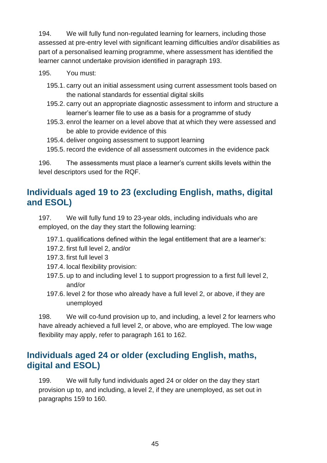194. We will fully fund non-regulated learning for learners, including those assessed at pre-entry level with significant learning difficulties and/or disabilities as part of a personalised learning programme, where assessment has identified the learner cannot undertake provision identified in paragraph [193.](#page-43-2)

195. You must:

- 195.1. carry out an initial assessment using current assessment tools based on the national standards for essential digital skills
- 195.2. carry out an appropriate diagnostic assessment to inform and structure a learner's learner file to use as a basis for a programme of study
- 195.3. enrol the learner on a level above that at which they were assessed and be able to provide evidence of this
- 195.4. deliver ongoing assessment to support learning
- 195.5. record the evidence of all assessment outcomes in the evidence pack

196. The assessments must place a learner's current skills levels within the level descriptors used for the RQF.

## **Individuals aged 19 to 23 (excluding English, maths, digital and ESOL)**

197. We will fully fund 19 to 23-year olds, including individuals who are employed, on the day they start the following learning:

- 197.1. qualifications defined within the legal entitlement that are a learner's:
- <span id="page-44-0"></span>197.2. first full level 2, and/or
- <span id="page-44-1"></span>197.3. first full level 3
- 197.4. local flexibility provision:
- 197.5. up to and including level 1 to support progression to a first full level 2, and/or
- 197.6. level 2 for those who already have a full level 2, or above, if they are unemployed

198. We will co-fund provision up to, and including, a level 2 for learners who have already achieved a full level 2, or above, who are employed. The low wage flexibility may apply, refer to paragraph [161](#page-37-1) to [162.](#page-37-2)

### **Individuals aged 24 or older (excluding English, maths, digital and ESOL)**

199. We will fully fund individuals aged 24 or older on the day they start provision up to, and including, a level 2, if they are unemployed, as set out in paragraphs [159](#page-37-0) to [160.](#page-37-3)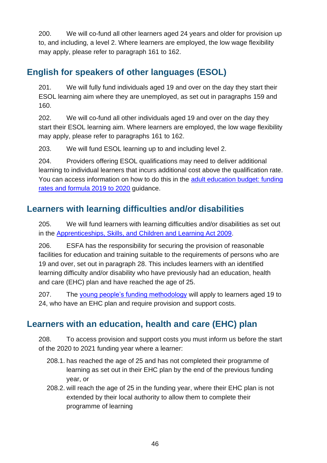200. We will co-fund all other learners aged 24 years and older for provision up to, and including, a level 2. Where learners are employed, the low wage flexibility may apply, please refer to paragraph [161](#page-37-1) to [162.](#page-37-2)

## **English for speakers of other languages (ESOL)**

201. We will fully fund individuals aged 19 and over on the day they start their ESOL learning aim where they are unemployed, as set out in paragraphs [159](#page-37-0) and [160.](#page-37-3)

202. We will co-fund all other individuals aged 19 and over on the day they start their ESOL learning aim. Where learners are employed, the low wage flexibility may apply, please refer to paragraphs [161](#page-37-1) to [162.](#page-37-2)

203. We will fund ESOL learning up to and including level 2.

204. Providers offering ESOL qualifications may need to deliver additional learning to individual learners that incurs additional cost above the qualification rate. You can access information on how to do this in the [adult education budget: funding](https://www.gov.uk/government/publications/adult-education-budget-aeb-funding-rates-and-formula-2019-to-2020)  [rates and formula 2019 to 2020](https://www.gov.uk/government/publications/adult-education-budget-aeb-funding-rates-and-formula-2019-to-2020) guidance.

## **Learners with learning difficulties and/or disabilities**

205. We will fund learners with learning difficulties and/or disabilities as set out in the [Apprenticeships, Skills, and Children and Learning Act 2009.](https://www.legislation.gov.uk/ukpga/2009/22/contents)

206. ESFA has the responsibility for securing the provision of reasonable facilities for education and training suitable to the requirements of persons who are 19 and over, set out in paragraph [28.](#page-11-0) This includes learners with an identified learning difficulty and/or disability who have previously had an education, health and care (EHC) plan and have reached the age of 25.

207. The [young people's funding methodology](https://www.gov.uk/government/collections/funding-education-for-16-to-19-year-olds#16-to-19-funding:-how-it-works) will apply to learners aged 19 to 24, who have an EHC plan and require provision and support costs.

# **Learners with an education, health and care (EHC) plan**

208. To access provision and support costs you must inform us before the start of the 2020 to 2021 funding year where a learner:

- 208.1. has reached the age of 25 and has not completed their programme of learning as set out in their EHC plan by the end of the previous funding year, or
- 208.2. will reach the age of 25 in the funding year, where their EHC plan is not extended by their local authority to allow them to complete their programme of learning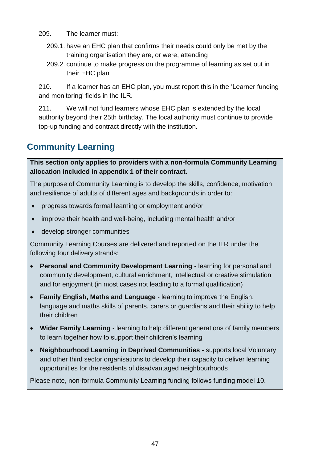- 209. The learner must:
	- 209.1. have an EHC plan that confirms their needs could only be met by the training organisation they are, or were, attending
	- 209.2. continue to make progress on the programme of learning as set out in their EHC plan

210. If a learner has an EHC plan, you must report this in the 'Learner funding and monitoring' fields in the ILR.

<span id="page-46-0"></span>211. We will not fund learners whose EHC plan is extended by the local authority beyond their 25th birthday. The local authority must continue to provide top-up funding and contract directly with the institution.

# **Community Learning**

**This section only applies to providers with a non-formula Community Learning allocation included in appendix 1 of their contract.** 

The purpose of Community Learning is to develop the skills, confidence, motivation and resilience of adults of different ages and backgrounds in order to:

- progress towards formal learning or employment and/or
- improve their health and well-being, including mental health and/or
- develop stronger communities

Community Learning Courses are delivered and reported on the ILR under the following four delivery strands:

- **Personal and Community Development Learning** learning for personal and community development, cultural enrichment, intellectual or creative stimulation and for enjoyment (in most cases not leading to a formal qualification)
- **Family English, Maths and Language** learning to improve the English, language and maths skills of parents, carers or guardians and their ability to help their children
- **Wider Family Learning** learning to help different generations of family members to learn together how to support their children's learning
- **Neighbourhood Learning in Deprived Communities** supports local Voluntary and other third sector organisations to develop their capacity to deliver learning opportunities for the residents of disadvantaged neighbourhoods

Please note, non-formula Community Learning funding follows funding model 10.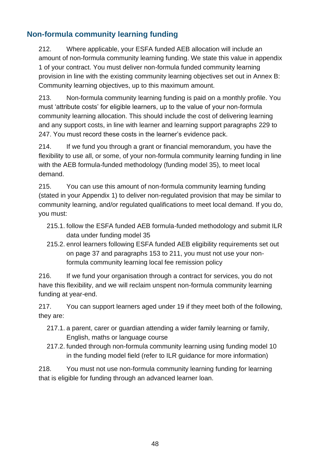### **Non-formula community learning funding**

212. Where applicable, your ESFA funded AEB allocation will include an amount of non-formula community learning funding. We state this value in appendix 1 of your contract. You must deliver non-formula funded community learning provision in line with the existing community learning objectives set out in [Annex B:](#page-81-0)  [Community learning objectives,](#page-81-0) up to this maximum amount.

213. Non-formula community learning funding is paid on a monthly profile. You must 'attribute costs' for eligible learners, up to the value of your non-formula community learning allocation. This should include the cost of delivering learning and any support costs, in line with learner and learning support paragraphs [229](#page-49-0) to [247.](#page-53-0) You must record these costs in the learner's evidence pack.

214. If we fund you through a grant or financial memorandum, you have the flexibility to use all, or some, of your non-formula community learning funding in line with the AEB formula-funded methodology (funding model 35), to meet local demand.

215. You can use this amount of non-formula community learning funding (stated in your Appendix 1) to deliver non-regulated provision that may be similar to community learning, and/or regulated qualifications to meet local demand. If you do, you must:

- 215.1. follow the ESFA funded AEB formula-funded methodology and submit ILR data under funding model 35
- 215.2. enrol learners following ESFA funded AEB eligibility requirements set out on page [37](#page-35-0) and paragraphs [153](#page-34-0) to [211,](#page-46-0) you must not use your nonformula community learning local fee remission policy

216. If we fund your organisation through a contract for services, you do not have this flexibility, and we will reclaim unspent non-formula community learning funding at year-end.

217. You can support learners aged under 19 if they meet both of the following, they are:

- 217.1. a parent, carer or guardian attending a wider family learning or family, English, maths or language course
- 217.2. funded through non-formula community learning using funding model 10 in the funding model field (refer to ILR guidance for more information)

218. You must not use non-formula community learning funding for learning that is eligible for funding through an advanced learner loan.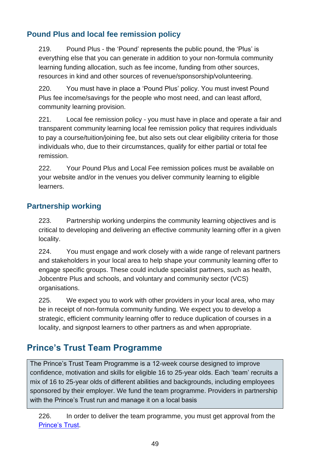### **Pound Plus and local fee remission policy**

219. Pound Plus - the 'Pound' represents the public pound, the 'Plus' is everything else that you can generate in addition to your non-formula community learning funding allocation, such as fee income, funding from other sources, resources in kind and other sources of revenue/sponsorship/volunteering.

220. You must have in place a 'Pound Plus' policy. You must invest Pound Plus fee income/savings for the people who most need, and can least afford, community learning provision.

221. Local fee remission policy - you must have in place and operate a fair and transparent community learning local fee remission policy that requires individuals to pay a course/tuition/joining fee, but also sets out clear eligibility criteria for those individuals who, due to their circumstances, qualify for either partial or total fee remission.

222. Your Pound Plus and Local Fee remission polices must be available on your website and/or in the venues you deliver community learning to eligible learners.

#### **Partnership working**

223. Partnership working underpins the community learning objectives and is critical to developing and delivering an effective community learning offer in a given locality.

224. You must engage and work closely with a wide range of relevant partners and stakeholders in your local area to help shape your community learning offer to engage specific groups. These could include specialist partners, such as health, Jobcentre Plus and schools, and voluntary and community sector (VCS) organisations.

225. We expect you to work with other providers in your local area, who may be in receipt of non-formula community funding. We expect you to develop a strategic, efficient community learning offer to reduce duplication of courses in a locality, and signpost learners to other partners as and when appropriate.

# **Prince's Trust Team Programme**

The Prince's Trust Team Programme is a 12-week course designed to improve confidence, motivation and skills for eligible 16 to 25-year olds. Each 'team' recruits a mix of 16 to 25-year olds of different abilities and backgrounds, including employees sponsored by their employer. We fund the team programme. Providers in partnership with the Prince's Trust run and manage it on a local basis

226. In order to deliver the team programme, you must get approval from the [Prince's Trust.](https://www.princes-trust.org.uk/about-the-trust/qualifications/employment-teamwork-community/funding-team-qualifications)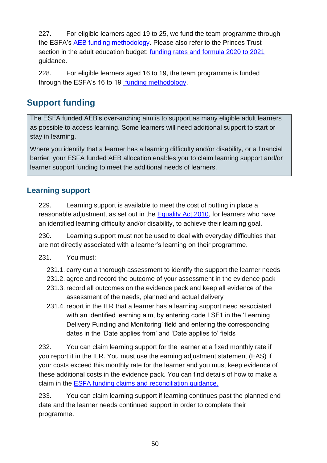227. For eligible learners aged 19 to 25, we fund the team programme through the ESFA's [AEB funding methodology.](https://www.gov.uk/government/publications/adult-education-budget-funding-rates-and-formula-2018-to-2019) Please also refer to the Princes Trust section in the adult education budget: [funding rates and formula 2020 to 2021](https://www.gov.uk/government/collections/sfa-funding-rates) guidance.

228. For eligible learners aged 16 to 19, the team programme is funded through the ESFA's 16 to 19 [funding methodology.](https://www.gov.uk/government/collections/funding-education-for-16-to-19-year-olds#16-to-19-funding:-how-it-works)

# **Support funding**

The ESFA funded AEB's over-arching aim is to support as many eligible adult learners as possible to access learning. Some learners will need additional support to start or stay in learning.

Where you identify that a learner has a learning difficulty and/or disability, or a financial barrier, your ESFA funded AEB allocation enables you to claim learning support and/or learner support funding to meet the additional needs of learners.

### **Learning support**

<span id="page-49-0"></span>229. Learning support is available to meet the cost of putting in place a reasonable adjustment, as set out in the [Equality Act 2010,](http://www.legislation.gov.uk/ukpga/2010/15/contents) for learners who have an identified learning difficulty and/or disability, to achieve their learning goal.

230. Learning support must not be used to deal with everyday difficulties that are not directly associated with a learner's learning on their programme.

#### 231. You must:

- 231.1. carry out a thorough assessment to identify the support the learner needs
- 231.2. agree and record the outcome of your assessment in the evidence pack
- 231.3. record all outcomes on the evidence pack and keep all evidence of the assessment of the needs, planned and actual delivery
- 231.4. report in the ILR that a learner has a learning support need associated with an identified learning aim, by entering code LSF1 in the 'Learning Delivery Funding and Monitoring' field and entering the corresponding dates in the 'Date applies from' and 'Date applies to' fields

232. You can claim learning support for the learner at a fixed monthly rate if you report it in the ILR. You must use the earning adjustment statement (EAS) if your costs exceed this monthly rate for the learner and you must keep evidence of these additional costs in the evidence pack. You can find details of how to make a claim in the [ESFA funding claims and reconciliation guidance.](https://www.gov.uk/government/publications/sfa-funding-claims)

233. You can claim learning support if learning continues past the planned end date and the learner needs continued support in order to complete their programme.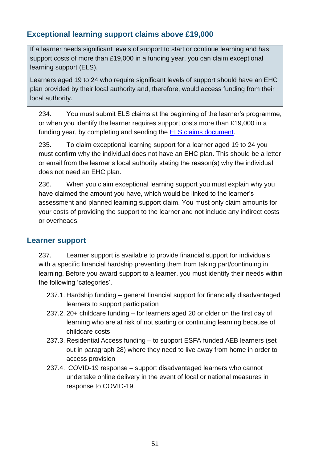### **Exceptional learning support claims above £19,000**

If a learner needs significant levels of support to start or continue learning and has support costs of more than £19,000 in a funding year, you can claim exceptional learning support (ELS).

Learners aged 19 to 24 who require significant levels of support should have an EHC plan provided by their local authority and, therefore, would access funding from their local authority.

234. You must submit ELS claims at the beginning of the learner's programme, or when you identify the learner requires support costs more than £19,000 in a funding year, by completing and sending the [ELS claims document.](https://www.gov.uk/government/publications/exceptional-learning-support-cost-form)

235. To claim exceptional learning support for a learner aged 19 to 24 you must confirm why the individual does not have an EHC plan. This should be a letter or email from the learner's local authority stating the reason(s) why the individual does not need an EHC plan.

<span id="page-50-0"></span>236. When you claim exceptional learning support you must explain why you have claimed the amount you have, which would be linked to the learner's assessment and planned learning support claim. You must only claim amounts for your costs of providing the support to the learner and not include any indirect costs or overheads.

#### **Learner support**

<span id="page-50-1"></span>237. Learner support is available to provide financial support for individuals with a specific financial hardship preventing them from taking part/continuing in learning. Before you award support to a learner, you must identify their needs within the following 'categories'.

- 237.1. Hardship funding general financial support for financially disadvantaged learners to support participation
- 237.2. 20+ childcare funding for learners aged 20 or older on the first day of learning who are at risk of not starting or continuing learning because of childcare costs
- 237.3. Residential Access funding to support ESFA funded AEB learners (set out in paragraph [28\)](#page-11-0) where they need to live away from home in order to access provision
- 237.4. COVID-19 response support disadvantaged learners who cannot undertake online delivery in the event of local or national measures in response to COVID-19.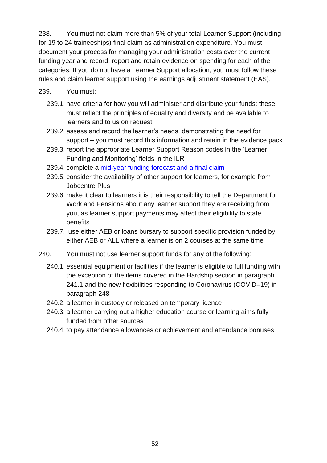238. You must not claim more than 5% of your total Learner Support (including for 19 to 24 traineeships) final claim as administration expenditure. You must document your process for managing your administration costs over the current funding year and record, report and retain evidence on spending for each of the categories. If you do not have a Learner Support allocation, you must follow these rules and claim learner support using the earnings adjustment statement (EAS).

#### 239. You must:

- 239.1. have criteria for how you will administer and distribute your funds; these must reflect the principles of equality and diversity and be available to learners and to us on request
- 239.2. assess and record the learner's needs, demonstrating the need for support – you must record this information and retain in the evidence pack
- 239.3. report the appropriate Learner Support Reason codes in the 'Learner Funding and Monitoring' fields in the ILR
- 239.4. complete a [mid-year funding forecast and a final claim](https://www.gov.uk/government/publications/sfa-funding-claims)
- 239.5. consider the availability of other support for learners, for example from Jobcentre Plus
- 239.6. make it clear to learners it is their responsibility to tell the Department for Work and Pensions about any learner support they are receiving from you, as learner support payments may affect their eligibility to state benefits
- 239.7. use either AEB or loans bursary to support specific provision funded by either AEB or ALL where a learner is on 2 courses at the same time
- 240. You must not use learner support funds for any of the following:
	- 240.1. essential equipment or facilities if the learner is eligible to full funding with the exception of the items covered in the Hardship section in paragraph [241.1](#page-52-0) and the new flexibilities responding to Coronavirus (COVID–19) in paragraph [248](#page-53-1)
	- 240.2. a learner in custody or released on temporary licence
	- 240.3. a learner carrying out a higher education course or learning aims fully funded from other sources
	- 240.4. to pay attendance allowances or achievement and attendance bonuses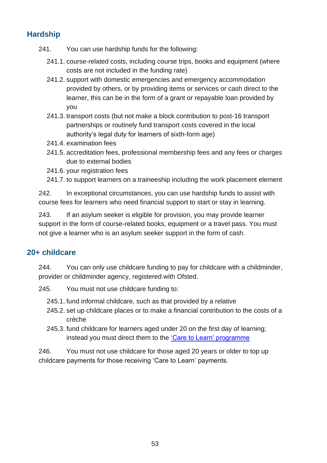### **Hardship**

- <span id="page-52-0"></span>241. You can use hardship funds for the following:
	- 241.1. course-related costs, including course trips, books and equipment (where costs are not included in the funding rate)
	- 241.2. support with domestic emergencies and emergency accommodation provided by others, or by providing items or services or cash direct to the learner, this can be in the form of a grant or repayable loan provided by you
	- 241.3. transport costs (but not make a block contribution to post-16 transport partnerships or routinely fund transport costs covered in the local authority's legal duty for learners of sixth-form age)
	- 241.4. examination fees
	- 241.5. accreditation fees, professional membership fees and any fees or charges due to external bodies
	- 241.6. your registration fees
	- 241.7. to support learners on a traineeship including the work placement element

242. In exceptional circumstances, you can use hardship funds to assist with course fees for learners who need financial support to start or stay in learning.

243. If an asylum seeker is eligible for provision, you may provide learner support in the form of course-related books, equipment or a travel pass. You must not give a learner who is an asylum seeker support in the form of cash.

#### **20+ childcare**

244. You can only use childcare funding to pay for childcare with a childminder, provider or childminder agency, registered with Ofsted.

- 245. You must not use childcare funding to:
	- 245.1. fund informal childcare, such as that provided by a relative
	- 245.2. set up childcare places or to make a financial contribution to the costs of a crèche
	- 245.3. fund childcare for learners aged under 20 on the first day of learning; instead you must direct them to the ['Care to Learn' programme](https://www.gov.uk/guidance/16-to-19-education-financial-support-for-students#care-to-learn-1)

246. You must not use childcare for those aged 20 years or older to top up childcare payments for those receiving 'Care to Learn' payments.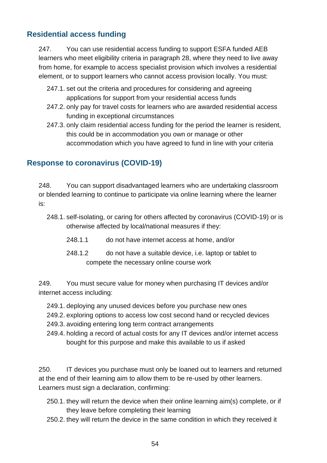### **Residential access funding**

<span id="page-53-0"></span>247. You can use residential access funding to support ESFA funded AEB learners who meet eligibility criteria in paragraph [28,](#page-11-0) where they need to live away from home, for example to access specialist provision which involves a residential element, or to support learners who cannot access provision locally. You must:

- 247.1. set out the criteria and procedures for considering and agreeing applications for support from your residential access funds
- 247.2. only pay for travel costs for learners who are awarded residential access funding in exceptional circumstances
- 247.3. only claim residential access funding for the period the learner is resident, this could be in accommodation you own or manage or other accommodation which you have agreed to fund in line with your criteria

### **Response to coronavirus (COVID-19)**

<span id="page-53-1"></span>248. You can support disadvantaged learners who are undertaking classroom or blended learning to continue to participate via online learning where the learner is:

- 248.1. self-isolating, or caring for others affected by coronavirus (COVID-19) or is otherwise affected by local/national measures if they:
	- 248.1.1 do not have internet access at home, and/or
	- 248.1.2 do not have a suitable device, i.e. laptop or tablet to compete the necessary online course work

249. You must secure value for money when purchasing IT devices and/or internet access including:

- 249.1. deploying any unused devices before you purchase new ones
- 249.2. exploring options to access low cost second hand or recycled devices
- 249.3. avoiding entering long term contract arrangements
- 249.4. holding a record of actual costs for any IT devices and/or internet access bought for this purpose and make this available to us if asked

<span id="page-53-2"></span>250. IT devices you purchase must only be loaned out to learners and returned at the end of their learning aim to allow them to be re-used by other learners. Learners must sign a declaration, confirming:

- 250.1. they will return the device when their online learning aim(s) complete, or if they leave before completing their learning
- 250.2. they will return the device in the same condition in which they received it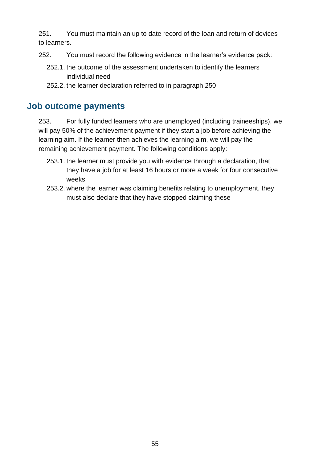251. You must maintain an up to date record of the loan and return of devices to learners.

- 252. You must record the following evidence in the learner's evidence pack:
	- 252.1. the outcome of the assessment undertaken to identify the learners individual need
	- 252.2. the learner declaration referred to in paragraph [250](#page-53-2)

#### **Job outcome payments**

<span id="page-54-0"></span>253. For fully funded learners who are unemployed (including traineeships), we will pay 50% of the achievement payment if they start a job before achieving the learning aim. If the learner then achieves the learning aim, we will pay the remaining achievement payment. The following conditions apply:

- 253.1. the learner must provide you with evidence through a declaration, that they have a job for at least 16 hours or more a week for four consecutive weeks
- 253.2. where the learner was claiming benefits relating to unemployment, they must also declare that they have stopped claiming these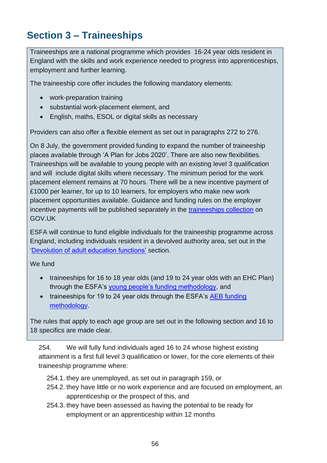# **Section 3 – Traineeships**

Traineeships are a national programme which provides 16-24 year olds resident in England with the skills and work experience needed to progress into apprenticeships, employment and further learning.

The traineeship core offer includes the following mandatory elements:

- work-preparation training
- substantial work-placement element, and
- English, maths, ESOL or digital skills as necessary

Providers can also offer a flexible element as set out in paragraphs [272](#page-57-0) to [276.](#page-58-0)

On 8 July, the government provided funding to expand the number of traineeship places available through 'A Plan for Jobs 2020'. There are also new flexibilities. Traineeships will be available to young people with an existing level 3 qualification and will include digital skills where necessary. The minimum period for the work placement element remains at 70 hours. There will be a new incentive payment of £1000 per learner, for up to 10 learners, for employers who make new work placement opportunities available. Guidance and funding rules on the employer incentive payments will be published separately in the [traineeships collection](https://www.gov.uk/government/collections/traineeships--2) on GOV.UK

ESFA will continue to fund eligible individuals for the traineeship programme across England, including individuals resident in a devolved authority area, set out in the 'Devolution of adult education functions' section.

We fund

- traineeships for 16 to 18 year olds (and 19 to 24 year olds with an EHC Plan) through the ESFA's [young people's funding methodology,](https://www.gov.uk/government/collections/funding-education-for-16-to-19-year-olds#16-to-19-funding:-how-it-works) and
- traineeships for 19 to 24 year olds through the ESFA's AEB funding [methodology.](https://www.gov.uk/government/collections/sfa-funding-rates)

The rules that apply to each age group are set out in the following section and 16 to 18 specifics are made clear.

<span id="page-55-0"></span>254. We will fully fund individuals aged 16 to 24 whose highest existing attainment is a first full level 3 qualification or lower, for the core elements of their traineeship programme where:

- 254.1. they are unemployed, as set out in paragraph [159,](#page-37-0) or
- 254.2. they have little or no work experience and are focused on employment, an apprenticeship or the prospect of this, and
- 254.3. they have been assessed as having the potential to be ready for employment or an apprenticeship within 12 months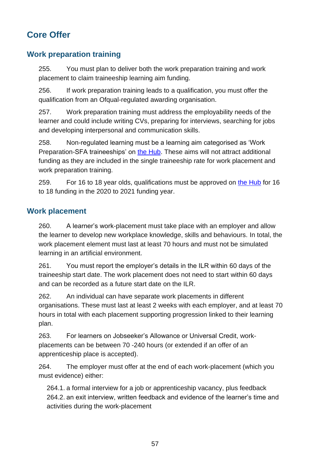# **Core Offer**

### **Work preparation training**

255. You must plan to deliver both the work preparation training and work placement to claim traineeship learning aim funding.

256. If work preparation training leads to a qualification, you must offer the qualification from an Ofqual-regulated awarding organisation.

257. Work preparation training must address the employability needs of the learner and could include writing CVs, preparing for interviews, searching for jobs and developing interpersonal and communication skills.

258. Non-regulated learning must be a learning aim categorised as 'Work Preparation-SFA traineeships' on [the Hub.](https://hub.fasst.org.uk/learning%20aims/pages/default.aspx) These aims will not attract additional funding as they are included in the single traineeship rate for work placement and work preparation training.

259. For 16 to 18 year olds, qualifications must be approved on [the Hub](https://hub.fasst.org.uk/learning%20aims/pages/default.aspx) for 16 to 18 funding in the 2020 to 2021 funding year.

#### **Work placement**

260. A learner's work-placement must take place with an employer and allow the learner to develop new workplace knowledge, skills and behaviours. In total, the work placement element must last at least 70 hours and must not be simulated learning in an artificial environment.

261. You must report the employer's details in the ILR within 60 days of the traineeship start date. The work placement does not need to start within 60 days and can be recorded as a future start date on the ILR.

262. An individual can have separate work placements in different organisations. These must last at least 2 weeks with each employer, and at least 70 hours in total with each placement supporting progression linked to their learning plan.

263. For learners on Jobseeker's Allowance or Universal Credit, workplacements can be between 70 -240 hours (or extended if an offer of an apprenticeship place is accepted).

264. The employer must offer at the end of each work-placement (which you must evidence) either:

264.1. a formal interview for a job or apprenticeship vacancy, plus feedback 264.2. an exit interview, written feedback and evidence of the learner's time and activities during the work-placement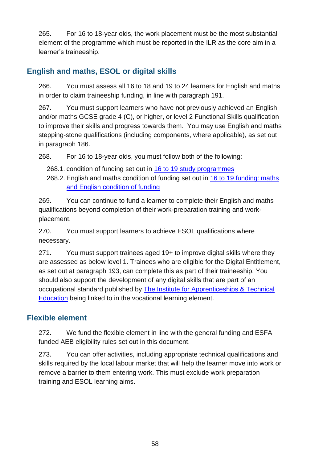265. For 16 to 18-year olds, the work placement must be the most substantial element of the programme which must be reported in the ILR as the core aim in a learner's traineeship.

### **English and maths, ESOL or digital skills**

266. You must assess all 16 to 18 and 19 to 24 learners for English and maths in order to claim traineeship funding, in line with paragraph [191.](#page-43-3)

267. You must support learners who have not previously achieved an English and/or maths GCSE grade 4 (C), or higher, or level 2 Functional Skills qualification to improve their skills and progress towards them. You may use English and maths stepping-stone qualifications (including components, where applicable), as set out in paragraph [186.](#page-43-0)

268. For 16 to 18-year olds, you must follow both of the following:

- 268.1. condition of funding set out in [16 to 19 study programmes](https://www.gov.uk/government/collections/funding-education-for-16-to-19-year-olds)
- 268.2. English and maths condition of funding set out in [16 to 19 funding: maths](https://www.gov.uk/guidance/16-to-19-funding-maths-and-english-condition-of-funding)  [and English condition of funding](https://www.gov.uk/guidance/16-to-19-funding-maths-and-english-condition-of-funding)

269. You can continue to fund a learner to complete their English and maths qualifications beyond completion of their work-preparation training and workplacement.

270. You must support learners to achieve ESOL qualifications where necessary.

271. You must support trainees aged 19+ to improve digital skills where they are assessed as below level 1. Trainees who are eligible for the Digital Entitlement, as set out at paragraph [193,](#page-43-1) can complete this as part of their traineeship. You should also support the development of any digital skills that are part of an occupational standard published by [The Institute for Apprenticeships & Technical](https://www.instituteforapprenticeships.org/)  [Education](https://www.instituteforapprenticeships.org/) being linked to in the vocational learning element.

### **Flexible element**

<span id="page-57-0"></span>272. We fund the flexible element in line with the general funding and ESFA funded AEB eligibility rules set out in this document.

273. You can offer activities, including appropriate technical qualifications and skills required by the local labour market that will help the learner move into work or remove a barrier to them entering work. This must exclude work preparation training and ESOL learning aims.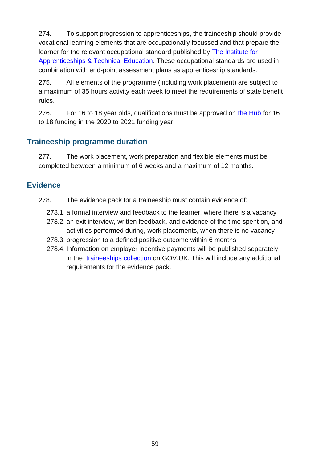274. To support progression to apprenticeships, the traineeship should provide vocational learning elements that are occupationally focussed and that prepare the learner for the relevant occupational standard published by [The Institute for](https://www.institutef/)  [Apprenticeships & Technical Education.](https://www.institutef/) These occupational standards are used in combination with end-point assessment plans as apprenticeship standards.

275. All elements of the programme (including work placement) are subject to a maximum of 35 hours activity each week to meet the requirements of state benefit rules.

<span id="page-58-0"></span>276. For 16 to 18 year olds, qualifications must be approved on [the Hub](https://hub.fasst.org.uk/learning%20aims/pages/default.aspx) for 16 to 18 funding in the 2020 to 2021 funding year.

### **Traineeship programme duration**

277. The work placement, work preparation and flexible elements must be completed between a minimum of 6 weeks and a maximum of 12 months.

#### **Evidence**

- 278. The evidence pack for a traineeship must contain evidence of:
	- 278.1. a formal interview and feedback to the learner, where there is a vacancy
	- 278.2. an exit interview, written feedback, and evidence of the time spent on, and activities performed during, work placements, when there is no vacancy
	- 278.3. progression to a defined positive outcome within 6 months
	- 278.4. Information on employer incentive payments will be published separately in the [traineeships collection](https://www.gov.uk/government/collections/traineeships--2) on GOV.UK. This will include any additional requirements for the evidence pack.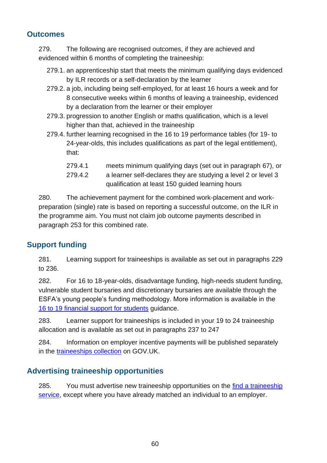#### **Outcomes**

279. The following are recognised outcomes, if they are achieved and evidenced within 6 months of completing the traineeship:

- 279.1. an apprenticeship start that meets the minimum qualifying days evidenced by ILR records or a self-declaration by the learner
- 279.2. a job, including being self-employed, for at least 16 hours a week and for 8 consecutive weeks within 6 months of leaving a traineeship, evidenced by a declaration from the learner or their employer
- 279.3. progression to another English or maths qualification, which is a level higher than that, achieved in the traineeship
- 279.4. further learning recognised in the 16 to 19 performance tables (for 19- to 24-year-olds, this includes qualifications as part of the legal entitlement), that:
	- 279.4.1 meets minimum qualifying days (set out in paragraph [67\)](#page-18-0), or
	- 279.4.2 a learner self-declares they are studying a level 2 or level 3 qualification at least 150 guided learning hours

280. The achievement payment for the combined work-placement and workpreparation (single) rate is based on reporting a successful outcome, on the ILR in the programme aim. You must not claim job outcome payments described in paragraph [253](#page-54-0) for this combined rate.

### **Support funding**

281. Learning support for traineeships is available as set out in paragraphs [229](#page-49-0) to [236.](#page-50-0)

282. For 16 to 18-year-olds, disadvantage funding, high-needs student funding, vulnerable student bursaries and discretionary bursaries are available through the ESFA's young people's funding methodology. More information is available in the [16 to 19 financial support for students](https://www.gov.uk/guidance/16-to-19-education-financial-support-for-students) guidance.

283. Learner support for traineeships is included in your 19 to 24 traineeship allocation and is available as set out in paragraphs [237](#page-50-1) to [247](#page-53-0)

284. Information on employer incentive payments will be published separately in the [traineeships collection](https://www.gov.uk/government/collections/traineeships--2) on GOV.UK.

### **Advertising traineeship opportunities**

285. You must advertise new traineeship opportunities on the find a traineeship [service,](https://www.gov.uk/find-traineeship) except where you have already matched an individual to an employer.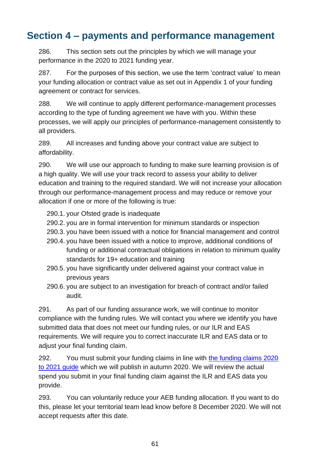# **Section 4 – payments and performance management**

286. This section sets out the principles by which we will manage your performance in the 2020 to 2021 funding year.

287. For the purposes of this section, we use the term 'contract value' to mean your funding allocation or contract value as set out in Appendix 1 of your funding agreement or contract for services.

288. We will continue to apply different performance-management processes according to the type of funding agreement we have with you. Within these processes, we will apply our principles of performance-management consistently to all providers.

289. All increases and funding above your contract value are subject to affordability.

<span id="page-60-0"></span>290. We will use our approach to funding to make sure learning provision is of a high quality. We will use your track record to assess your ability to deliver education and training to the required standard. We will not increase your allocation through our performance-management process and may reduce or remove your allocation if one or more of the following is true:

- 290.1. your Ofsted grade is inadequate
- 290.2. you are in formal intervention for minimum standards or inspection
- 290.3. you have been issued with a notice for financial management and control
- 290.4. you have been issued with a notice to improve, additional conditions of funding or additional contractual obligations in relation to minimum quality standards for 19+ education and training
- 290.5. you have significantly under delivered against your contract value in previous years
- 290.6. you are subject to an investigation for breach of contract and/or failed audit.

291. As part of our funding assurance work, we will continue to monitor compliance with the funding rules. We will contact you where we identify you have submitted data that does not meet our funding rules, or our ILR and EAS requirements. We will require you to correct inaccurate ILR and EAS data or to adjust your final funding claim.

292. You must submit your funding claims in line with [the funding claims 2020](https://www.gov.uk/government/publications/sfa-funding-claims)  [to 2021 guide](https://www.gov.uk/government/publications/sfa-funding-claims) which we will publish in autumn 2020. We will review the actual spend you submit in your final funding claim against the ILR and EAS data you provide.

293. You can voluntarily reduce your AEB funding allocation. If you want to do this, please let your territorial team lead know before 8 December 2020. We will not accept requests after this date.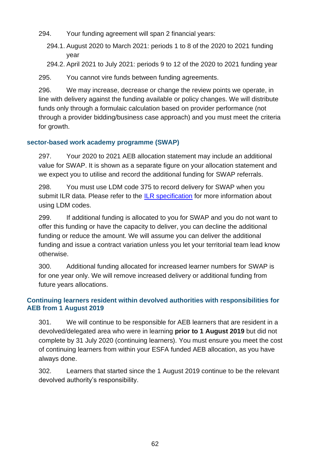- 294. Your funding agreement will span 2 financial years:
	- 294.1. August 2020 to March 2021: periods 1 to 8 of the 2020 to 2021 funding year
	- 294.2. April 2021 to July 2021: periods 9 to 12 of the 2020 to 2021 funding year

295. You cannot vire funds between funding agreements.

296. We may increase, decrease or change the review points we operate, in line with delivery against the funding available or policy changes. We will distribute funds only through a formulaic calculation based on provider performance (not through a provider bidding/business case approach) and you must meet the criteria for growth.

#### **sector-based work academy programme (SWAP)**

297. Your 2020 to 2021 AEB allocation statement may include an additional value for SWAP. It is shown as a separate figure on your allocation statement and we expect you to utilise and record the additional funding for SWAP referrals.

298. You must use LDM code 375 to record delivery for SWAP when you submit ILR data. Please refer to the [ILR specification](https://www.gov.uk/government/collections/individualised-learner-record-ilr) for more information about using LDM codes.

299. If additional funding is allocated to you for SWAP and you do not want to offer this funding or have the capacity to deliver, you can decline the additional funding or reduce the amount. We will assume you can deliver the additional funding and issue a contract variation unless you let your territorial team lead know otherwise.

300. Additional funding allocated for increased learner numbers for SWAP is for one year only. We will remove increased delivery or additional funding from future years allocations.

#### **Continuing learners resident within devolved authorities with responsibilities for AEB from 1 August 2019**

301. We will continue to be responsible for AEB learners that are resident in a devolved/delegated area who were in learning **prior to 1 August 2019** but did not complete by 31 July 2020 (continuing learners). You must ensure you meet the cost of continuing learners from within your ESFA funded AEB allocation, as you have always done.

302. Learners that started since the 1 August 2019 continue to be the relevant devolved authority's responsibility.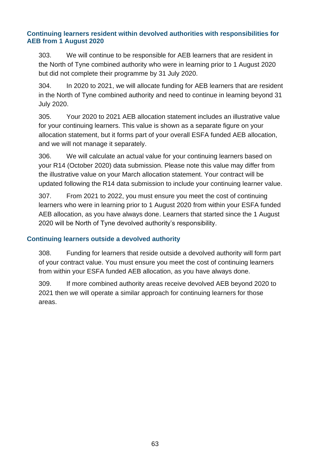#### **Continuing learners resident within devolved authorities with responsibilities for AEB from 1 August 2020**

303. We will continue to be responsible for AEB learners that are resident in the North of Tyne combined authority who were in learning prior to 1 August 2020 but did not complete their programme by 31 July 2020.

304. In 2020 to 2021, we will allocate funding for AEB learners that are resident in the North of Tyne combined authority and need to continue in learning beyond 31 July 2020.

305. Your 2020 to 2021 AEB allocation statement includes an illustrative value for your continuing learners. This value is shown as a separate figure on your allocation statement, but it forms part of your overall ESFA funded AEB allocation, and we will not manage it separately.

306. We will calculate an actual value for your continuing learners based on your R14 (October 2020) data submission. Please note this value may differ from the illustrative value on your March allocation statement. Your contract will be updated following the R14 data submission to include your continuing learner value.

307. From 2021 to 2022, you must ensure you meet the cost of continuing learners who were in learning prior to 1 August 2020 from within your ESFA funded AEB allocation, as you have always done. Learners that started since the 1 August 2020 will be North of Tyne devolved authority's responsibility.

#### **Continuing learners outside a devolved authority**

308. Funding for learners that reside outside a devolved authority will form part of your contract value. You must ensure you meet the cost of continuing learners from within your ESFA funded AEB allocation, as you have always done.

309. If more combined authority areas receive devolved AEB beyond 2020 to 2021 then we will operate a similar approach for continuing learners for those areas.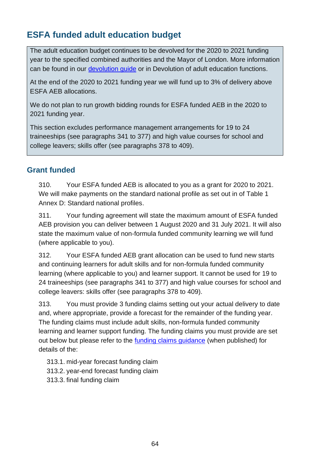# **ESFA funded adult education budget**

The adult education budget continues to be devolved for the 2020 to 2021 funding year to the specified combined authorities and the Mayor of London. More information can be found in our *devolution guide* or in [Devolution of adult education functions.](#page-6-0)

At the end of the 2020 to 2021 funding year we will fund up to 3% of delivery above ESFA AEB allocations.

We do not plan to run growth bidding rounds for ESFA funded AEB in the 2020 to 2021 funding year.

This section excludes performance management arrangements for 19 to 24 traineeships (see paragraphs [341](#page-67-0) to [377\)](#page-71-0) and high value courses for school and college leavers; skills offer (see paragraphs [378](#page-72-0) to [409\)](#page-75-0).

### **Grant funded**

310. Your ESFA funded AEB is allocated to you as a grant for 2020 to 2021. We will make payments on the standard national profile as set out in of Table 1 [Annex D: Standard national profiles.](#page-83-0)

311. Your funding agreement will state the maximum amount of ESFA funded AEB provision you can deliver between 1 August 2020 and 31 July 2021. It will also state the maximum value of non-formula funded community learning we will fund (where applicable to you).

312. Your ESFA funded AEB grant allocation can be used to fund new starts and continuing learners for adult skills and for non-formula funded community learning (where applicable to you) and learner support. It cannot be used for 19 to 24 traineeships (see paragraphs [341](#page-67-0) to [377\)](#page-71-0) and high value courses for school and college leavers: skills offer (see paragraphs [378](#page-72-0) to [409\)](#page-75-0).

313. You must provide 3 funding claims setting out your actual delivery to date and, where appropriate, provide a forecast for the remainder of the funding year. The funding claims must include adult skills, non-formula funded community learning and learner support funding. The funding claims you must provide are set out below but please refer to the [funding claims guidance](https://www.gov.uk/government/publications/sfa-funding-claims) (when published) for details of the:

313.1. mid-year forecast funding claim

- 313.2. year-end forecast funding claim
- 313.3. final funding claim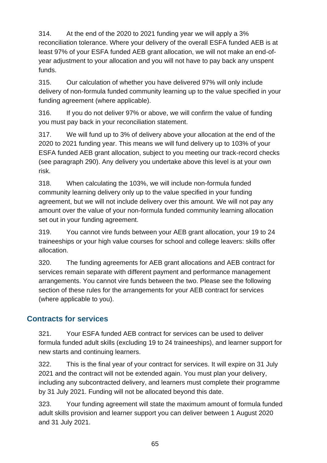314. At the end of the 2020 to 2021 funding year we will apply a 3% reconciliation tolerance. Where your delivery of the overall ESFA funded AEB is at least 97% of your ESFA funded AEB grant allocation, we will not make an end-ofyear adjustment to your allocation and you will not have to pay back any unspent funds.

315. Our calculation of whether you have delivered 97% will only include delivery of non-formula funded community learning up to the value specified in your funding agreement (where applicable).

316. If you do not deliver 97% or above, we will confirm the value of funding you must pay back in your reconciliation statement.

317. We will fund up to 3% of delivery above your allocation at the end of the 2020 to 2021 funding year. This means we will fund delivery up to 103% of your ESFA funded AEB grant allocation, subject to you meeting our track-record checks (see paragraph [290\)](#page-60-0). Any delivery you undertake above this level is at your own risk.

318. When calculating the 103%, we will include non-formula funded community learning delivery only up to the value specified in your funding agreement, but we will not include delivery over this amount. We will not pay any amount over the value of your non-formula funded community learning allocation set out in your funding agreement.

319. You cannot vire funds between your AEB grant allocation, your 19 to 24 traineeships or your high value courses for school and college leavers: skills offer allocation.

320. The funding agreements for AEB grant allocations and AEB contract for services remain separate with different payment and performance management arrangements. You cannot vire funds between the two. Please see the following section of these rules for the arrangements for your AEB contract for services (where applicable to you).

### **Contracts for services**

321. Your ESFA funded AEB contract for services can be used to deliver formula funded adult skills (excluding 19 to 24 traineeships), and learner support for new starts and continuing learners.

322. This is the final year of your contract for services. It will expire on 31 July 2021 and the contract will not be extended again. You must plan your delivery, including any subcontracted delivery, and learners must complete their programme by 31 July 2021. Funding will not be allocated beyond this date.

323. Your funding agreement will state the maximum amount of formula funded adult skills provision and learner support you can deliver between 1 August 2020 and 31 July 2021.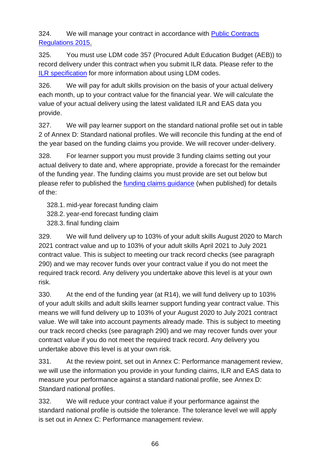324. We will manage your contract in accordance with [Public Contracts](http://www.legislation.gov.uk/uksi/2015/102/contents/made)  [Regulations 2015.](http://www.legislation.gov.uk/uksi/2015/102/contents/made)

325. You must use LDM code 357 (Procured Adult Education Budget (AEB)) to record delivery under this contract when you submit ILR data. Please refer to the [ILR specification](https://www.gov.uk/government/collections/individualised-learner-record-ilr) for more information about using LDM codes.

326. We will pay for adult skills provision on the basis of your actual delivery each month, up to your contract value for the financial year. We will calculate the value of your actual delivery using the latest validated ILR and EAS data you provide.

327. We will pay learner support on the standard national profile set out in table 2 of [Annex D: Standard national profiles.](#page-83-0) We will reconcile this funding at the end of the year based on the funding claims you provide. We will recover under-delivery.

328. For learner support you must provide 3 funding claims setting out your actual delivery to date and, where appropriate, provide a forecast for the remainder of the funding year. The funding claims you must provide are set out below but please refer to published the [funding claims guidance](https://www.gov.uk/government/publications/sfa-funding-claims) (when published) for details of the:

328.1. mid-year forecast funding claim

328.2. year-end forecast funding claim

328.3. final funding claim

329. We will fund delivery up to 103% of your adult skills August 2020 to March 2021 contract value and up to 103% of your adult skills April 2021 to July 2021 contract value. This is subject to meeting our track record checks (see paragraph [290\)](#page-60-0) and we may recover funds over your contract value if you do not meet the required track record. Any delivery you undertake above this level is at your own risk.

330. At the end of the funding year (at R14), we will fund delivery up to 103% of your adult skills and adult skills learner support funding year contract value. This means we will fund delivery up to 103% of your August 2020 to July 2021 contract value. We will take into account payments already made. This is subject to meeting our track record checks (see paragraph [290\)](#page-60-0) and we may recover funds over your contract value if you do not meet the required track record. Any delivery you undertake above this level is at your own risk.

331. At the review point, set out in [Annex C: Performance management review,](#page-82-0) we will use the information you provide in your funding claims, ILR and EAS data to measure your performance against a standard national profile, see [Annex D:](#page-83-0)  [Standard national profiles.](#page-83-0)

332. We will reduce your contract value if your performance against the standard national profile is outside the tolerance. The tolerance level we will apply is set out in [Annex C: Performance management review.](#page-82-0)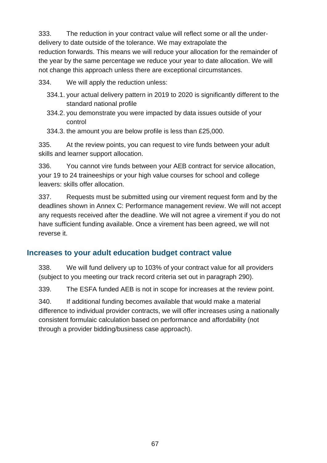333. The reduction in your contract value will reflect some or all the underdelivery to date outside of the tolerance. We may extrapolate the reduction forwards. This means we will reduce your allocation for the remainder of the year by the same percentage we reduce your year to date allocation. We will not change this approach unless there are exceptional circumstances.

334. We will apply the reduction unless:

- 334.1. your actual delivery pattern in 2019 to 2020 is significantly different to the standard national profile
- 334.2. you demonstrate you were impacted by data issues outside of your control
- 334.3. the amount you are below profile is less than £25,000.

335. At the review points, you can request to vire funds between your adult skills and learner support allocation.

336. You cannot vire funds between your AEB contract for service allocation, your 19 to 24 traineeships or your high value courses for school and college leavers: skills offer allocation.

337. Requests must be submitted using our virement request form and by the deadlines shown in [Annex C: Performance management review.](#page-82-0) We will not accept any requests received after the deadline. We will not agree a virement if you do not have sufficient funding available. Once a virement has been agreed, we will not reverse it.

### **Increases to your adult education budget contract value**

338. We will fund delivery up to 103% of your contract value for all providers (subject to you meeting our track record criteria set out in paragraph [290\)](#page-60-0).

339. The ESFA funded AEB is not in scope for increases at the review point.

340. If additional funding becomes available that would make a material difference to individual provider contracts, we will offer increases using a nationally consistent formulaic calculation based on performance and affordability (not through a provider bidding/business case approach).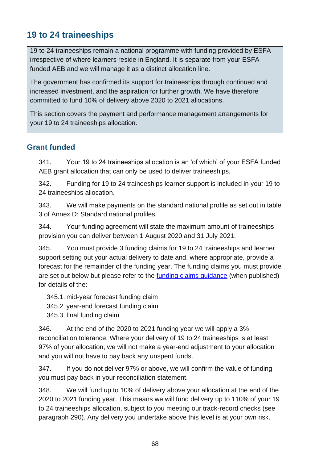## **19 to 24 traineeships**

19 to 24 traineeships remain a national programme with funding provided by ESFA irrespective of where learners reside in England. It is separate from your ESFA funded AEB and we will manage it as a distinct allocation line.

The government has confirmed its support for traineeships through continued and increased investment, and the aspiration for further growth. We have therefore committed to fund 10% of delivery above 2020 to 2021 allocations.

This section covers the payment and performance management arrangements for your 19 to 24 traineeships allocation.

#### **Grant funded**

<span id="page-67-0"></span>341. Your 19 to 24 traineeships allocation is an 'of which' of your ESFA funded AEB grant allocation that can only be used to deliver traineeships.

342. Funding for 19 to 24 traineeships learner support is included in your 19 to 24 traineeships allocation.

343. We will make payments on the standard national profile as set out in table 3 of [Annex D: Standard national profiles.](#page-83-0)

344. Your funding agreement will state the maximum amount of traineeships provision you can deliver between 1 August 2020 and 31 July 2021.

345. You must provide 3 funding claims for 19 to 24 traineeships and learner support setting out your actual delivery to date and, where appropriate, provide a forecast for the remainder of the funding year. The funding claims you must provide are set out below but please refer to the [funding claims guidance](https://www.gov.uk/government/publications/sfa-funding-claims) (when published) for details of the:

345.1. mid-year forecast funding claim 345.2. year-end forecast funding claim 345.3. final funding claim

346. At the end of the 2020 to 2021 funding year we will apply a 3% reconciliation tolerance. Where your delivery of 19 to 24 traineeships is at least 97% of your allocation, we will not make a year-end adjustment to your allocation and you will not have to pay back any unspent funds.

347. If you do not deliver 97% or above, we will confirm the value of funding you must pay back in your reconciliation statement.

348. We will fund up to 10% of delivery above your allocation at the end of the 2020 to 2021 funding year. This means we will fund delivery up to 110% of your 19 to 24 traineeships allocation, subject to you meeting our track-record checks (see paragraph [290\)](#page-60-0). Any delivery you undertake above this level is at your own risk.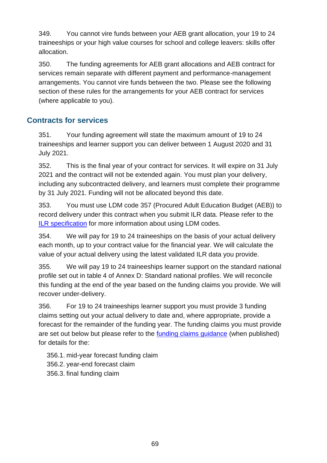349. You cannot vire funds between your AEB grant allocation, your 19 to 24 traineeships or your high value courses for school and college leavers: skills offer allocation.

350. The funding agreements for AEB grant allocations and AEB contract for services remain separate with different payment and performance-management arrangements. You cannot vire funds between the two. Please see the following section of these rules for the arrangements for your AEB contract for services (where applicable to you).

### **Contracts for services**

351. Your funding agreement will state the maximum amount of 19 to 24 traineeships and learner support you can deliver between 1 August 2020 and 31 July 2021.

352. This is the final year of your contract for services. It will expire on 31 July 2021 and the contract will not be extended again. You must plan your delivery, including any subcontracted delivery, and learners must complete their programme by 31 July 2021. Funding will not be allocated beyond this date.

353. You must use LDM code 357 (Procured Adult Education Budget (AEB)) to record delivery under this contract when you submit ILR data. Please refer to the [ILR specification](https://www.gov.uk/government/collections/individualised-learner-record-ilr) for more information about using LDM codes.

354. We will pay for 19 to 24 traineeships on the basis of your actual delivery each month, up to your contract value for the financial year. We will calculate the value of your actual delivery using the latest validated ILR data you provide.

355. We will pay 19 to 24 traineeships learner support on the standard national profile set out in table 4 of [Annex D: Standard national profiles.](#page-83-0) We will reconcile this funding at the end of the year based on the funding claims you provide. We will recover under-delivery.

356. For 19 to 24 traineeships learner support you must provide 3 funding claims setting out your actual delivery to date and, where appropriate, provide a forecast for the remainder of the funding year. The funding claims you must provide are set out below but please refer to the [funding claims guidance](https://www.gov.uk/government/publications/sfa-funding-claims) (when published) for details for the:

356.1. mid-year forecast funding claim 356.2. year-end forecast claim 356.3. final funding claim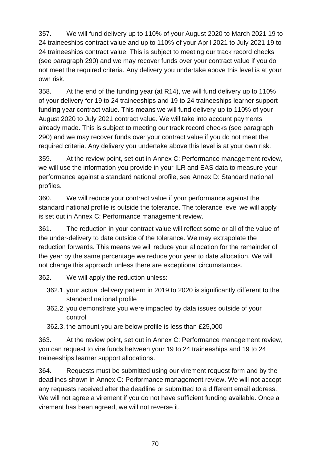357. We will fund delivery up to 110% of your August 2020 to March 2021 19 to 24 traineeships contract value and up to 110% of your April 2021 to July 2021 19 to 24 traineeships contract value. This is subject to meeting our track record checks (see paragraph [290\)](#page-60-0) and we may recover funds over your contract value if you do not meet the required criteria. Any delivery you undertake above this level is at your own risk.

358. At the end of the funding year (at R14), we will fund delivery up to 110% of your delivery for 19 to 24 traineeships and 19 to 24 traineeships learner support funding year contract value. This means we will fund delivery up to 110% of your August 2020 to July 2021 contract value. We will take into account payments already made. This is subject to meeting our track record checks (see paragraph [290\)](#page-60-0) and we may recover funds over your contract value if you do not meet the required criteria. Any delivery you undertake above this level is at your own risk.

359. At the review point, set out in [Annex C: Performance management review,](#page-82-0) we will use the information you provide in your ILR and EAS data to measure your performance against a standard national profile, see [Annex D: Standard national](#page-83-0)  [profiles.](#page-83-0)

360. We will reduce your contract value if your performance against the standard national profile is outside the tolerance. The tolerance level we will apply is set out in [Annex C: Performance management review.](#page-82-0)

361. The reduction in your contract value will reflect some or all of the value of the under-delivery to date outside of the tolerance. We may extrapolate the reduction forwards. This means we will reduce your allocation for the remainder of the year by the same percentage we reduce your year to date allocation. We will not change this approach unless there are exceptional circumstances.

362. We will apply the reduction unless:

- 362.1. your actual delivery pattern in 2019 to 2020 is significantly different to the standard national profile
- 362.2. you demonstrate you were impacted by data issues outside of your control
- 362.3. the amount you are below profile is less than £25,000

363. At the review point, set out in [Annex C: Performance management review,](#page-82-0) you can request to vire funds between your 19 to 24 traineeships and 19 to 24 traineeships learner support allocations.

364. Requests must be submitted using our virement request form and by the deadlines shown in [Annex C: Performance management review.](#page-82-0) We will not accept any requests received after the deadline or submitted to a different email address. We will not agree a virement if you do not have sufficient funding available. Once a virement has been agreed, we will not reverse it.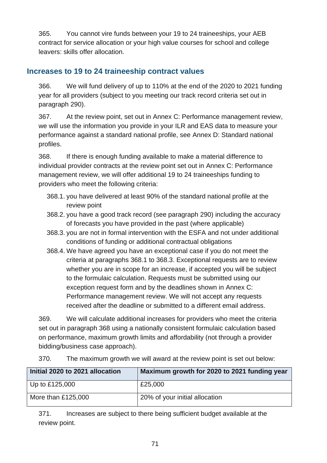365. You cannot vire funds between your 19 to 24 traineeships, your AEB contract for service allocation or your high value courses for school and college leavers: skills offer allocation.

#### **Increases to 19 to 24 traineeship contract values**

366. We will fund delivery of up to 110% at the end of the 2020 to 2021 funding year for all providers (subject to you meeting our track record criteria set out in paragraph [290\)](#page-60-0).

367. At the review point, set out in [Annex C: Performance management review,](#page-82-0) we will use the information you provide in your ILR and EAS data to measure your performance against a standard national profile, see [Annex D: Standard national](#page-83-0)  [profiles.](#page-83-0)

<span id="page-70-2"></span>368. If there is enough funding available to make a material difference to individual provider contracts at the review point set out in [Annex C: Performance](#page-82-0)  [management review,](#page-82-0) we will offer additional 19 to 24 traineeships funding to providers who meet the following criteria:

- <span id="page-70-0"></span>368.1. you have delivered at least 90% of the standard national profile at the review point
- 368.2. you have a good track record (see paragraph [290\)](#page-60-0) including the accuracy of forecasts you have provided in the past (where applicable)
- <span id="page-70-1"></span>368.3. you are not in formal intervention with the ESFA and not under additional conditions of funding or additional contractual obligations
- 368.4. We have agreed you have an exceptional case if you do not meet the criteria at paragraphs [368.1](#page-70-0) to [368.3.](#page-70-1) Exceptional requests are to review whether you are in scope for an increase, if accepted you will be subject to the formulaic calculation. Requests must be submitted using our exception request form and by the deadlines shown in [Annex C:](#page-82-0)  [Performance management review.](#page-82-0) We will not accept any requests received after the deadline or submitted to a different email address.

369. We will calculate additional increases for providers who meet the criteria set out in paragraph [368](#page-70-2) using a nationally consistent formulaic calculation based on performance, maximum growth limits and affordability (not through a provider bidding/business case approach).

370. The maximum growth we will award at the review point is set out below:

| Initial 2020 to 2021 allocation | Maximum growth for 2020 to 2021 funding year |  |
|---------------------------------|----------------------------------------------|--|
| $ $ Up to £125,000              | £25,000                                      |  |
| More than $£125,000$            | 20% of your initial allocation               |  |

371. Increases are subject to there being sufficient budget available at the review point.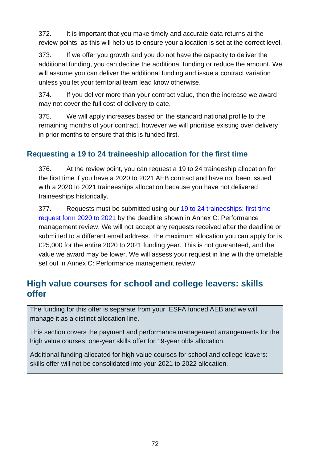372. It is important that you make timely and accurate data returns at the review points, as this will help us to ensure your allocation is set at the correct level.

373. If we offer you growth and you do not have the capacity to deliver the additional funding, you can decline the additional funding or reduce the amount. We will assume you can deliver the additional funding and issue a contract variation unless you let your territorial team lead know otherwise.

374. If you deliver more than your contract value, then the increase we award may not cover the full cost of delivery to date.

375. We will apply increases based on the standard national profile to the remaining months of your contract, however we will prioritise existing over delivery in prior months to ensure that this is funded first.

### **Requesting a 19 to 24 traineeship allocation for the first time**

376. At the review point, you can request a 19 to 24 traineeship allocation for the first time if you have a 2020 to 2021 AEB contract and have not been issued with a 2020 to 2021 traineeships allocation because you have not delivered traineeships historically.

<span id="page-71-0"></span>377. Requests must be submitted using our 19 to 24 traineeships: first time [request form 2020 to 2021](https://www.gov.uk/government/collections/funding-allocations-and-performance-management-for-providers#performance-management) by the deadline shown in [Annex C: Performance](#page-82-0)  [management review.](#page-82-0) We will not accept any requests received after the deadline or submitted to a different email address. The maximum allocation you can apply for is £25,000 for the entire 2020 to 2021 funding year. This is not guaranteed, and the value we award may be lower. We will assess your request in line with the timetable set out in [Annex C: Performance management review.](#page-82-0)

## **High value courses for school and college leavers: skills offer**

The funding for this offer is separate from your ESFA funded AEB and we will manage it as a distinct allocation line.

This section covers the payment and performance management arrangements for the high value courses: one-year skills offer for 19-year olds allocation.

Additional funding allocated for high value courses for school and college leavers: skills offer will not be consolidated into your 2021 to 2022 allocation.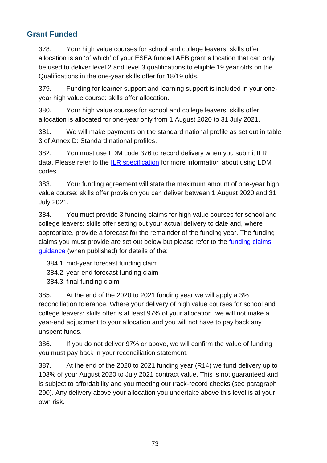### **Grant Funded**

378. Your high value courses for school and college leavers: skills offer allocation is an 'of which' of your ESFA funded AEB grant allocation that can only be used to deliver level 2 and level 3 qualifications to eligible 19 year olds on the Qualifications in the one-year skills offer for 18/19 olds.

379. Funding for learner support and learning support is included in your oneyear high value course: skills offer allocation.

380. Your high value courses for school and college leavers: skills offer allocation is allocated for one-year only from 1 August 2020 to 31 July 2021.

381. We will make payments on the standard national profile as set out in table 3 of [Annex D: Standard national profiles.](#page-83-0)

382. You must use LDM code 376 to record delivery when you submit ILR data. Please refer to the [ILR specification](https://www.gov.uk/government/collections/individualised-learner-record-ilr) for more information about using LDM codes.

383. Your funding agreement will state the maximum amount of one-year high value course: skills offer provision you can deliver between 1 August 2020 and 31 July 2021.

384. You must provide 3 funding claims for high value courses for school and college leavers: skills offer setting out your actual delivery to date and, where appropriate, provide a forecast for the remainder of the funding year. The funding claims you must provide are set out below but please refer to the *funding claims* [guidance](https://www.gov.uk/government/publications/sfa-funding-claims) (when published) for details of the:

- 384.1. mid-year forecast funding claim
- 384.2. year-end forecast funding claim
- 384.3. final funding claim

385. At the end of the 2020 to 2021 funding year we will apply a 3% reconciliation tolerance. Where your delivery of high value courses for school and college leavers: skills offer is at least 97% of your allocation, we will not make a year-end adjustment to your allocation and you will not have to pay back any unspent funds.

386. If you do not deliver 97% or above, we will confirm the value of funding you must pay back in your reconciliation statement.

387. At the end of the 2020 to 2021 funding year (R14) we fund delivery up to 103% of your August 2020 to July 2021 contract value. This is not guaranteed and is subject to affordability and you meeting our track-record checks (see paragraph [290\)](#page-60-0). Any delivery above your allocation you undertake above this level is at your own risk.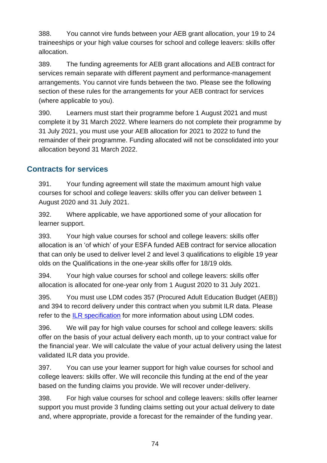388. You cannot vire funds between your AEB grant allocation, your 19 to 24 traineeships or your high value courses for school and college leavers: skills offer allocation.

389. The funding agreements for AEB grant allocations and AEB contract for services remain separate with different payment and performance-management arrangements. You cannot vire funds between the two. Please see the following section of these rules for the arrangements for your AEB contract for services (where applicable to you).

390. Learners must start their programme before 1 August 2021 and must complete it by 31 March 2022. Where learners do not complete their programme by 31 July 2021, you must use your AEB allocation for 2021 to 2022 to fund the remainder of their programme. Funding allocated will not be consolidated into your allocation beyond 31 March 2022.

#### **Contracts for services**

391. Your funding agreement will state the maximum amount high value courses for school and college leavers: skills offer you can deliver between 1 August 2020 and 31 July 2021.

392. Where applicable, we have apportioned some of your allocation for learner support.

393. Your high value courses for school and college leavers: skills offer allocation is an 'of which' of your ESFA funded AEB contract for service allocation that can only be used to deliver level 2 and level 3 qualifications to eligible 19 year olds on the Qualifications in the one-year skills offer for 18/19 olds*.*

<span id="page-73-0"></span>394. Your high value courses for school and college leavers: skills offer allocation is allocated for one-year only from 1 August 2020 to 31 July 2021.

395. You must use LDM codes 357 (Procured Adult Education Budget (AEB)) and [394](#page-73-0) to record delivery under this contract when you submit ILR data. Please refer to the [ILR specification](https://www.gov.uk/government/collections/individualised-learner-record-ilr) for more information about using LDM codes.

396. We will pay for high value courses for school and college leavers: skills offer on the basis of your actual delivery each month, up to your contract value for the financial year. We will calculate the value of your actual delivery using the latest validated ILR data you provide.

397. You can use your learner support for high value courses for school and college leavers: skills offer. We will reconcile this funding at the end of the year based on the funding claims you provide. We will recover under-delivery.

398. For high value courses for school and college leavers: skills offer learner support you must provide 3 funding claims setting out your actual delivery to date and, where appropriate, provide a forecast for the remainder of the funding year.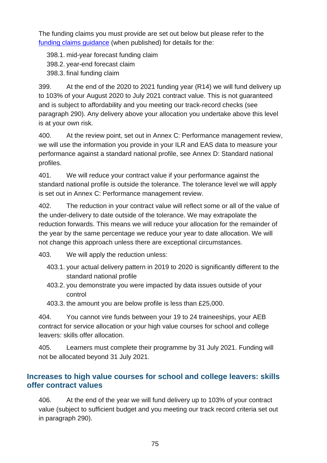The funding claims you must provide are set out below but please refer to the [funding claims guidance](https://www.gov.uk/government/publications/sfa-funding-claims) (when published) for details for the:

398.1. mid-year forecast funding claim 398.2. year-end forecast claim 398.3. final funding claim

399. At the end of the 2020 to 2021 funding year (R14) we will fund delivery up to 103% of your August 2020 to July 2021 contract value. This is not guaranteed and is subject to affordability and you meeting our track-record checks (see paragraph [290\)](#page-60-0). Any delivery above your allocation you undertake above this level is at your own risk.

400. At the review point, set out in [Annex C: Performance management review,](#page-82-0) we will use the information you provide in your ILR and EAS data to measure your performance against a standard national profile, see [Annex D: Standard national](#page-83-0)  [profiles.](#page-83-0)

401. We will reduce your contract value if your performance against the standard national profile is outside the tolerance. The tolerance level we will apply is set out in [Annex C: Performance management review.](#page-82-0)

402. The reduction in your contract value will reflect some or all of the value of the under-delivery to date outside of the tolerance. We may extrapolate the reduction forwards. This means we will reduce your allocation for the remainder of the year by the same percentage we reduce your year to date allocation. We will not change this approach unless there are exceptional circumstances.

403. We will apply the reduction unless:

- 403.1. your actual delivery pattern in 2019 to 2020 is significantly different to the standard national profile
- 403.2. you demonstrate you were impacted by data issues outside of your control
- 403.3. the amount you are below profile is less than £25,000.

404. You cannot vire funds between your 19 to 24 traineeships, your AEB contract for service allocation or your high value courses for school and college leavers: skills offer allocation.

405. Learners must complete their programme by 31 July 2021. Funding will not be allocated beyond 31 July 2021.

#### **Increases to high value courses for school and college leavers: skills offer contract values**

406. At the end of the year we will fund delivery up to 103% of your contract value (subject to sufficient budget and you meeting our track record criteria set out in paragraph [290\)](#page-60-0).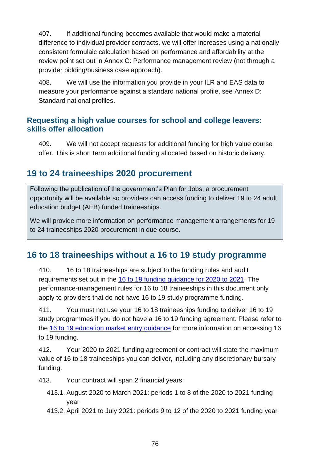407. If additional funding becomes available that would make a material difference to individual provider contracts, we will offer increases using a nationally consistent formulaic calculation based on performance and affordability at the review point set out in [Annex C: Performance management review](#page-82-0) (not through a provider bidding/business case approach).

408. We will use the information you provide in your ILR and EAS data to measure your performance against a standard national profile, see [Annex D:](#page-83-0)  [Standard national profiles.](#page-83-0)

#### **Requesting a high value courses for school and college leavers: skills offer allocation**

409. We will not accept requests for additional funding for high value course offer. This is short term additional funding allocated based on historic delivery.

### <span id="page-75-0"></span>**19 to 24 traineeships 2020 procurement**

Following the publication of the government's [Plan for Jobs,](https://www.gov.uk/government/publications/a-plan-for-jobs-documents/a-plan-for-jobs-2020) a procurement opportunity will be available so providers can access funding to deliver 19 to 24 adult education budget (AEB) funded traineeships.

We will provide more information on performance management arrangements for 19 to 24 traineeships 2020 procurement in due course.

### **16 to 18 traineeships without a 16 to 19 study programme**

410. 16 to 18 traineeships are subject to the funding rules and audit requirements set out in the [16 to 19 funding guidance for 2020 to 2021.](https://www.gov.uk/guidance/16-to-19-education-funding-guidance#information-for-institutions-2018-to-2019) The performance-management rules for 16 to 18 traineeships in this document only apply to providers that do not have 16 to 19 study programme funding.

411. You must not use your 16 to 18 traineeships funding to deliver 16 to 19 study programmes if you do not have a 16 to 19 funding agreement. Please refer to the [16 to 19 education market entry guidance](https://www.gov.uk/guidance/16-to-19-education-market-entry) for more information on accessing 16 to 19 funding.

412. Your 2020 to 2021 funding agreement or contract will state the maximum value of 16 to 18 traineeships you can deliver, including any discretionary bursary funding.

413. Your contract will span 2 financial years:

- 413.1. August 2020 to March 2021: periods 1 to 8 of the 2020 to 2021 funding year
- 413.2. April 2021 to July 2021: periods 9 to 12 of the 2020 to 2021 funding year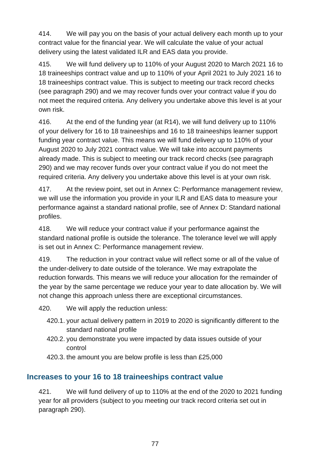414. We will pay you on the basis of your actual delivery each month up to your contract value for the financial year. We will calculate the value of your actual delivery using the latest validated ILR and EAS data you provide.

415. We will fund delivery up to 110% of your August 2020 to March 2021 16 to 18 traineeships contract value and up to 110% of your April 2021 to July 2021 16 to 18 traineeships contract value. This is subject to meeting our track record checks (see paragraph [290\)](#page-60-0) and we may recover funds over your contract value if you do not meet the required criteria. Any delivery you undertake above this level is at your own risk.

416. At the end of the funding year (at R14), we will fund delivery up to 110% of your delivery for 16 to 18 traineeships and 16 to 18 traineeships learner support funding year contract value. This means we will fund delivery up to 110% of your August 2020 to July 2021 contract value. We will take into account payments already made. This is subject to meeting our track record checks (see paragraph [290\)](#page-60-0) and we may recover funds over your contract value if you do not meet the required criteria. Any delivery you undertake above this level is at your own risk.

417. At the review point, set out in [Annex C: Performance management review,](#page-82-0) we will use the information you provide in your ILR and EAS data to measure your performance against a standard national profile, see of [Annex D: Standard national](#page-83-0)  [profiles.](#page-83-0)

418. We will reduce your contract value if your performance against the standard national profile is outside the tolerance. The tolerance level we will apply is set out in [Annex C: Performance management review.](#page-82-0)

419. The reduction in your contract value will reflect some or all of the value of the under-delivery to date outside of the tolerance. We may extrapolate the reduction forwards. This means we will reduce your allocation for the remainder of the year by the same percentage we reduce your year to date allocation by. We will not change this approach unless there are exceptional circumstances.

420. We will apply the reduction unless:

- 420.1. your actual delivery pattern in 2019 to 2020 is significantly different to the standard national profile
- 420.2. you demonstrate you were impacted by data issues outside of your control
- 420.3. the amount you are below profile is less than £25,000

#### **Increases to your 16 to 18 traineeships contract value**

421. We will fund delivery of up to 110% at the end of the 2020 to 2021 funding year for all providers (subject to you meeting our track record criteria set out in paragraph [290\)](#page-60-0).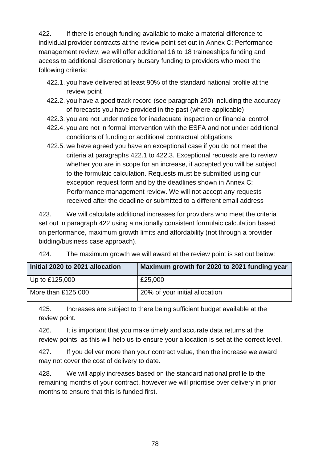<span id="page-77-2"></span>422. If there is enough funding available to make a material difference to individual provider contracts at the review point set out in [Annex C: Performance](#page-82-0)  [management review,](#page-82-0) we will offer additional 16 to 18 traineeships funding and access to additional discretionary bursary funding to providers who meet the following criteria:

- <span id="page-77-0"></span>422.1. you have delivered at least 90% of the standard national profile at the review point
- 422.2. you have a good track record (see paragraph [290\)](#page-60-0) including the accuracy of forecasts you have provided in the past (where applicable)
- <span id="page-77-1"></span>422.3. you are not under notice for inadequate inspection or financial control
- 422.4. you are not in formal intervention with the ESFA and not under additional conditions of funding or additional contractual obligations
- 422.5. we have agreed you have an exceptional case if you do not meet the criteria at paragraphs [422.1](#page-77-0) to [422.3.](#page-77-1) Exceptional requests are to review whether you are in scope for an increase, if accepted you will be subject to the formulaic calculation. Requests must be submitted using our exception request form and by the deadlines shown in [Annex C:](#page-82-0)  [Performance management review.](#page-82-0) We will not accept any requests received after the deadline or submitted to a different email address

423. We will calculate additional increases for providers who meet the criteria set out in paragraph [422](#page-77-2) using a nationally consistent formulaic calculation based on performance, maximum growth limits and affordability (not through a provider bidding/business case approach).

424. The maximum growth we will award at the review point is set out below:

| Initial 2020 to 2021 allocation | Maximum growth for 2020 to 2021 funding year |
|---------------------------------|----------------------------------------------|
| $\vert$ Up to £125,000          | £25,000                                      |
| More than £125,000              | 20% of your initial allocation               |

425. Increases are subject to there being sufficient budget available at the review point.

426. It is important that you make timely and accurate data returns at the review points, as this will help us to ensure your allocation is set at the correct level.

427. If you deliver more than your contract value, then the increase we award may not cover the cost of delivery to date.

428. We will apply increases based on the standard national profile to the remaining months of your contract, however we will prioritise over delivery in prior months to ensure that this is funded first.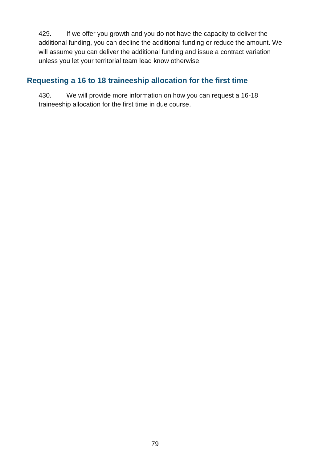429. If we offer you growth and you do not have the capacity to deliver the additional funding, you can decline the additional funding or reduce the amount. We will assume you can deliver the additional funding and issue a contract variation unless you let your territorial team lead know otherwise.

### **Requesting a 16 to 18 traineeship allocation for the first time**

430. We will provide more information on how you can request a 16-18 traineeship allocation for the first time in due course.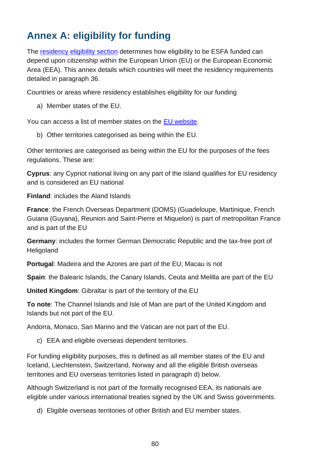# **Annex A: eligibility for funding**

The [residency eligibility section](#page-13-0) determines how eligibility to be ESFA funded can depend upon citizenship within the European Union (EU) or the European Economic Area (EEA). This annex details which countries will meet the residency requirements detailed in paragraph [36.](#page-13-1)

Countries or areas where residency establishes eligibility for our funding

a) Member states of the EU.

You can access a list of member states on the [EU website.](http://europa.eu/about-eu/countries/index_en.htm)

b) Other territories categorised as being within the EU.

Other territories are categorised as being within the EU for the purposes of the fees regulations. These are:

**Cyprus**: any Cypriot national living on any part of the island qualifies for EU residency and is considered an EU national

**Finland**: includes the Aland Islands

**France**: the French Overseas Department (DOMS) (Guadeloupe, Martinique, French Guiana (Guyana), Reunion and Saint-Pierre et Miquelon) is part of metropolitan France and is part of the EU

**Germany**: includes the former German Democratic Republic and the tax-free port of **Heligoland** 

**Portugal**: Madeira and the Azores are part of the EU; Macau is not

**Spain**: the Balearic Islands, the Canary Islands, Ceuta and Melilla are part of the EU

**United Kingdom**: Gibraltar is part of the territory of the EU

**To note**: The Channel Islands and Isle of Man are part of the United Kingdom and Islands but not part of the EU.

Andorra, Monaco, San Marino and the Vatican are not part of the EU.

c) EEA and eligible overseas dependent territories.

For funding eligibility purposes, this is defined as all member states of the EU and Iceland, Liechtenstein, Switzerland, Norway and all the eligible British overseas territories and EU overseas territories listed in paragraph [d\)](#page-79-0) below.

Although Switzerland is not part of the formally recognised EEA, its nationals are eligible under various international treaties signed by the UK and Swiss governments.

<span id="page-79-0"></span>d) Eligible overseas territories of other British and EU member states.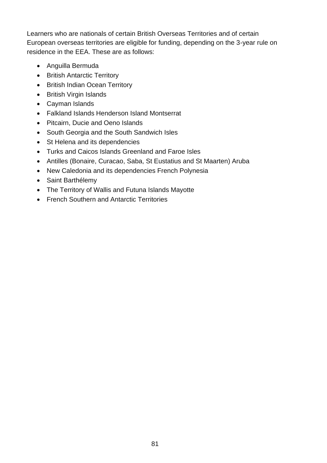Learners who are nationals of certain British Overseas Territories and of certain European overseas territories are eligible for funding, depending on the 3-year rule on residence in the EEA. These are as follows:

- Anguilla Bermuda
- British Antarctic Territory
- British Indian Ocean Territory
- British Virgin Islands
- Cayman Islands
- Falkland Islands Henderson Island Montserrat
- Pitcairn, Ducie and Oeno Islands
- South Georgia and the South Sandwich Isles
- St Helena and its dependencies
- Turks and Caicos Islands Greenland and Faroe Isles
- Antilles (Bonaire, Curacao, Saba, St Eustatius and St Maarten) Aruba
- New Caledonia and its dependencies French Polynesia
- Saint Barthélemy
- The Territory of Wallis and Futuna Islands Mayotte
- French Southern and Antarctic Territories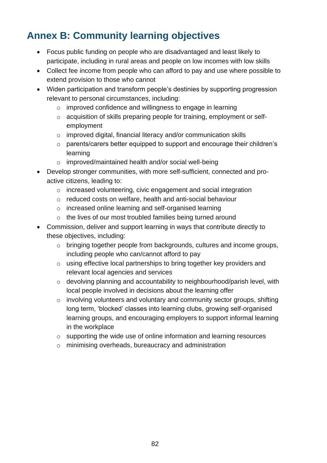# **Annex B: Community learning objectives**

- Focus public funding on people who are disadvantaged and least likely to participate, including in rural areas and people on low incomes with low skills
- Collect fee income from people who can afford to pay and use where possible to extend provision to those who cannot
- Widen participation and transform people's destinies by supporting progression relevant to personal circumstances, including:
	- o improved confidence and willingness to engage in learning
	- o acquisition of skills preparing people for training, employment or selfemployment
	- o improved digital, financial literacy and/or communication skills
	- o parents/carers better equipped to support and encourage their children's learning
	- o improved/maintained health and/or social well-being
- Develop stronger communities, with more self-sufficient, connected and proactive citizens, leading to:
	- o increased volunteering, civic engagement and social integration
	- o reduced costs on welfare, health and anti-social behaviour
	- o increased online learning and self-organised learning
	- o the lives of our most troubled families being turned around
- Commission, deliver and support learning in ways that contribute directly to these objectives, including:
	- o bringing together people from backgrounds, cultures and income groups, including people who can/cannot afford to pay
	- o using effective local partnerships to bring together key providers and relevant local agencies and services
	- o devolving planning and accountability to neighbourhood/parish level, with local people involved in decisions about the learning offer
	- o involving volunteers and voluntary and community sector groups, shifting long term, 'blocked' classes into learning clubs, growing self-organised learning groups, and encouraging employers to support informal learning in the workplace
	- o supporting the wide use of online information and learning resources
	- o minimising overheads, bureaucracy and administration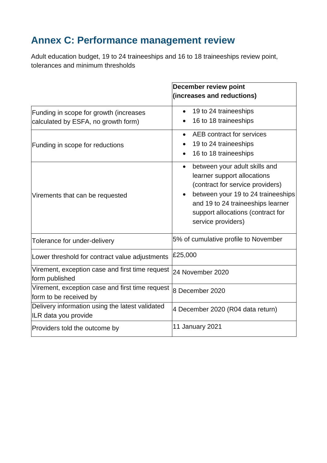# <span id="page-82-1"></span><span id="page-82-0"></span>**Annex C: Performance management review**

Adult education budget, 19 to 24 traineeships and 16 to 18 traineeships review point, tolerances and minimum thresholds

|                                                                               | <b>December review point</b>                                                                                                                                                                                                                        |
|-------------------------------------------------------------------------------|-----------------------------------------------------------------------------------------------------------------------------------------------------------------------------------------------------------------------------------------------------|
|                                                                               | (increases and reductions)                                                                                                                                                                                                                          |
| Funding in scope for growth (increases<br>calculated by ESFA, no growth form) | 19 to 24 traineeships<br>16 to 18 traineeships                                                                                                                                                                                                      |
| Funding in scope for reductions                                               | AEB contract for services<br>19 to 24 traineeships<br>16 to 18 traineeships                                                                                                                                                                         |
| Virements that can be requested                                               | between your adult skills and<br>$\bullet$<br>learner support allocations<br>(contract for service providers)<br>between your 19 to 24 traineeships<br>and 19 to 24 traineeships learner<br>support allocations (contract for<br>service providers) |
| Tolerance for under-delivery                                                  | 5% of cumulative profile to November                                                                                                                                                                                                                |
| Lower threshold for contract value adjustments                                | £25,000                                                                                                                                                                                                                                             |
| Virement, exception case and first time request<br>form published             | 24 November 2020                                                                                                                                                                                                                                    |
| Virement, exception case and first time request<br>form to be received by     | 8 December 2020                                                                                                                                                                                                                                     |
| Delivery information using the latest validated<br>ILR data you provide       | 4 December 2020 (R04 data return)                                                                                                                                                                                                                   |
| Providers told the outcome by                                                 | 11 January 2021                                                                                                                                                                                                                                     |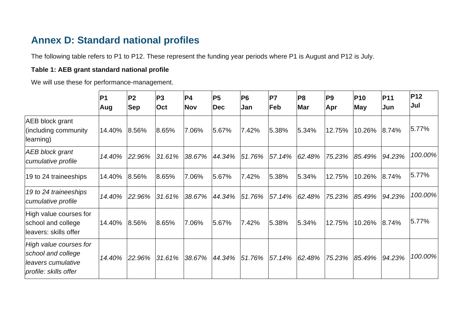### **Annex D: Standard national profiles**

The following table refers to P1 to P12. These represent the funding year periods where P1 is August and P12 is July.

#### **Table 1: AEB grant standard national profile**

We will use these for performance-management.

<span id="page-83-0"></span>

|                                                                                             | P <sub>1</sub><br>Aug | P <sub>2</sub><br><b>Sep</b> | P <sub>3</sub><br>Oct | P4 <br><b>Nov</b> | <b>P5</b><br><b>Dec</b> | P <sub>6</sub><br>Jan | <b>P7</b><br>Feb | P <sub>8</sub><br><b>Mar</b> | P <sub>9</sub><br>Apr | <b>P10</b><br><b>May</b> | <b>P11</b><br>Jun | <b>P12</b><br>Jul |
|---------------------------------------------------------------------------------------------|-----------------------|------------------------------|-----------------------|-------------------|-------------------------|-----------------------|------------------|------------------------------|-----------------------|--------------------------|-------------------|-------------------|
| <b>AEB block grant</b><br>(including community<br>learning)                                 | 14.40%                | 8.56%                        | 8.65%                 | 7.06%             | 5.67%                   | 7.42%                 | 5.38%            | 5.34%                        | 12.75%                | 10.26%                   | 8.74%             | 5.77%             |
| <b>AEB block grant</b><br>cumulative profile                                                | 14.40%                | 22.96%                       | 31.61%                | 38.67%            | 44.34%                  | 51.76%                | 57.14%           | 62.48%                       | 75.23%                | 85.49%                   | 94.23%            | 100.00%           |
| 19 to 24 traineeships                                                                       | 14.40%                | 8.56%                        | 8.65%                 | 7.06%             | 5.67%                   | 7.42%                 | 5.38%            | 5.34%                        | 12.75%                | 10.26%                   | 8.74%             | 5.77%             |
| 19 to 24 traineeships<br>cumulative profile                                                 | 14.40%                | 22.96%                       | 31.61%                | 38.67%            | 44.34%                  | 51.76%                | 57.14%           | 62.48%                       | 75.23%                | 85.49%                   | 94.23%            | 100.00%           |
| High value courses for<br>school and college<br>lleavers: skills offer                      | 14.40%                | 8.56%                        | 8.65%                 | 7.06%             | 5.67%                   | 7.42%                 | 5.38%            | 5.34%                        | 12.75%                | 10.26%                   | 8.74%             | 5.77%             |
| High value courses for<br>school and college<br>leavers cumulative<br>profile: skills offer | 14.40%                | 22.96%                       | 31.61%                | 38.67%            | 44.34%                  | 51.76%                | 57.14%           | 62.48%                       | 75.23%                | 85.49%                   | 94.23%            | 100.00%           |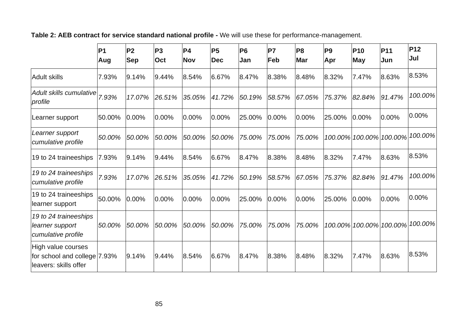**Table 2: AEB contract for service standard national profile -** We will use these for performance-management.

|                                                                             | P <sub>1</sub><br>Aug | P <sub>2</sub><br><b>Sep</b> | P <sub>3</sub><br>Oct | P <sub>4</sub><br><b>Nov</b> | P <sub>5</sub><br>Dec | <b>P6</b><br>Jan | <b>P7</b><br>Feb | P <sub>8</sub><br><b>Mar</b> | P <sub>9</sub><br>Apr | <b>P10</b><br><b>May</b> | <b>P11</b><br>Jun       | <b>P12</b><br>Jul |
|-----------------------------------------------------------------------------|-----------------------|------------------------------|-----------------------|------------------------------|-----------------------|------------------|------------------|------------------------------|-----------------------|--------------------------|-------------------------|-------------------|
| <b>Adult skills</b>                                                         | 7.93%                 | 9.14%                        | 9.44%                 | 8.54%                        | 6.67%                 | 8.47%            | 8.38%            | 8.48%                        | 8.32%                 | 7.47%                    | 8.63%                   | 8.53%             |
| Adult skills cumulative<br>profile                                          | 7.93%                 | 17.07%                       | 26.51%                | 35.05%                       | 41.72%                | 50.19%           | 58.57%           | 67.05%                       | 75.37%                | 82.84%                   | 91.47%                  | 100.00%           |
| Learner support                                                             | 50.00%                | 0.00%                        | 0.00%                 | 0.00%                        | 0.00%                 | 25.00%           | 0.00%            | 0.00%                        | 25.00%                | 0.00%                    | 0.00%                   | 0.00%             |
| Learner support<br>cumulative profile                                       | 50.00%                | 50.00%                       | 50.00%                | 50.00%                       | 50.00%                | 75.00%           | 75.00%           | 75.00%                       |                       |                          | 100.00% 100.00% 100.00% | 100.00%           |
| 19 to 24 traineeships                                                       | 7.93%                 | 9.14%                        | 9.44%                 | 8.54%                        | 6.67%                 | 8.47%            | 8.38%            | 8.48%                        | 8.32%                 | 7.47%                    | 8.63%                   | 8.53%             |
| 19 to 24 traineeships<br>cumulative profile                                 | 7.93%                 | 17.07%                       | 26.51%                | 35.05%                       | 41.72%                | 50.19%           | 58.57%           | 67.05%                       | 75.37%                | 82.84%                   | 91.47%                  | 100.00%           |
| 19 to 24 traineeships<br>learner support                                    | 50.00%                | 0.00%                        | 0.00%                 | 0.00%                        | 0.00%                 | 25.00%           | 0.00%            | $0.00\%$                     | 25.00%                | 0.00%                    | 0.00%                   | 0.00%             |
| 19 to 24 traineeships<br>learner support<br>cumulative profile              | 50.00%                | 50.00%                       | 50.00%                | 50.00%                       | 50.00%                | 75.00%           | 75.00%           | 75.00%                       |                       |                          | 100.00% 100.00% 100.00% | 100.00%           |
| High value courses<br>for school and college 7.93%<br>leavers: skills offer |                       | 9.14%                        | 9.44%                 | 8.54%                        | 6.67%                 | 8.47%            | 8.38%            | 8.48%                        | 8.32%                 | 7.47%                    | 8.63%                   | 8.53%             |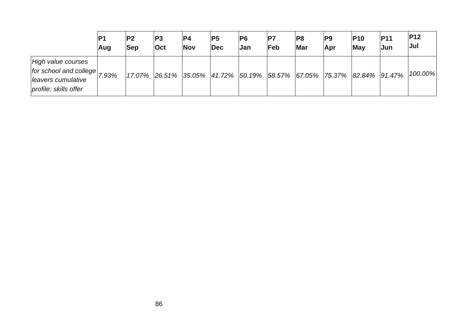|                                                                                                           | P <sub>1</sub> | P <sub>2</sub> | P3         | <b>P4</b>  | P5  | IP6 | P7  | P8         | <b>P9</b> | IP10                                                               | <b>P11</b> | <b>P12</b> |
|-----------------------------------------------------------------------------------------------------------|----------------|----------------|------------|------------|-----|-----|-----|------------|-----------|--------------------------------------------------------------------|------------|------------|
|                                                                                                           | Aug            | <b>Sep</b>     | <b>Oct</b> | <b>Nov</b> | Dec | Jan | Feb | <b>Mar</b> | Apr       | May                                                                | Jun        | Jul        |
| High value courses<br>for school and college $\vert$ 7.93%<br>leavers cumulative<br>profile: skills offer |                | 17.07% 26.51%  |            |            |     |     |     |            |           | $ 35.05\% 41.72\% 50.19\% 58.57\% 67.05\% 75.37\% 82.84\% 91.47\%$ |            | 100.00%    |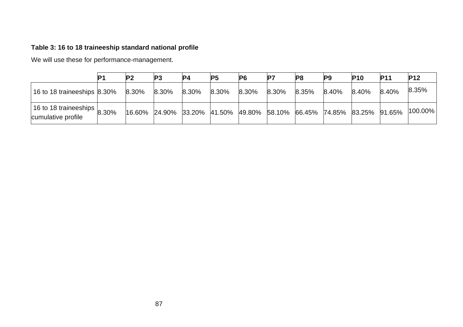### **Table 3: 16 to 18 traineeship standard national profile**

We will use these for performance-management.

|                                                           | P <sub>2</sub> | P <sub>3</sub> | <b>P4</b> | P <sub>5</sub> | P6    | IP7                                                                        | P <sub>8</sub> | <b>P9</b> | <b>P10</b> | <b>P11</b> | <b>P12</b>  |
|-----------------------------------------------------------|----------------|----------------|-----------|----------------|-------|----------------------------------------------------------------------------|----------------|-----------|------------|------------|-------------|
| 16 to 18 traineeships 8.30%                               | 8.30%          | $8.30\%$       | 8.30%     | 8.30%          | 8.30% | 8.30%                                                                      | 8.35%          | 8.40%     | 8.40%      | 8.40%      | 8.35%       |
| 16 to 18 traineeships $\vert$ 8.30%<br>cumulative profile |                |                |           |                |       | $ 16.60\% $ 24.90% 33.20% 41.50% 49.80% 58.10% 66.45% 74.85% 83.25% 91.65% |                |           |            |            | $ 100.00\%$ |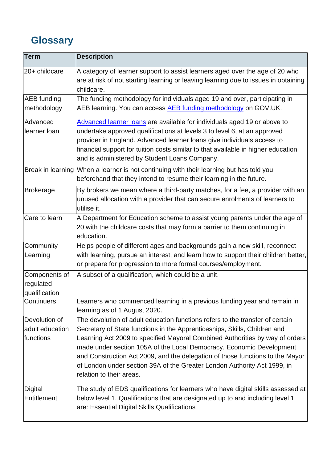# **Glossary**

| <b>Term</b>                                   | <b>Description</b>                                                                                                                                                                                                                                                                                                                                                                                                                                                                                          |
|-----------------------------------------------|-------------------------------------------------------------------------------------------------------------------------------------------------------------------------------------------------------------------------------------------------------------------------------------------------------------------------------------------------------------------------------------------------------------------------------------------------------------------------------------------------------------|
| 20+ childcare                                 | A category of learner support to assist learners aged over the age of 20 who<br>are at risk of not starting learning or leaving learning due to issues in obtaining<br>childcare.                                                                                                                                                                                                                                                                                                                           |
| <b>AEB</b> funding<br>methodology             | The funding methodology for individuals aged 19 and over, participating in<br>AEB learning. You can access AEB funding methodology on GOV.UK.                                                                                                                                                                                                                                                                                                                                                               |
| Advanced<br>llearner Ioan                     | Advanced learner loans are available for individuals aged 19 or above to<br>undertake approved qualifications at levels 3 to level 6, at an approved<br>provider in England. Advanced learner loans give individuals access to<br>financial support for tuition costs similar to that available in higher education<br>and is administered by Student Loans Company.                                                                                                                                        |
|                                               | Break in learning When a learner is not continuing with their learning but has told you<br>beforehand that they intend to resume their learning in the future.                                                                                                                                                                                                                                                                                                                                              |
| Brokerage                                     | By brokers we mean where a third-party matches, for a fee, a provider with an<br>unused allocation with a provider that can secure enrolments of learners to<br>utilise it.                                                                                                                                                                                                                                                                                                                                 |
| Care to learn                                 | A Department for Education scheme to assist young parents under the age of<br>20 with the childcare costs that may form a barrier to them continuing in<br>education.                                                                                                                                                                                                                                                                                                                                       |
| Community<br>Learning                         | Helps people of different ages and backgrounds gain a new skill, reconnect<br>with learning, pursue an interest, and learn how to support their children better,<br>or prepare for progression to more formal courses/employment.                                                                                                                                                                                                                                                                           |
| Components of<br>regulated<br>qualification   | A subset of a qualification, which could be a unit.                                                                                                                                                                                                                                                                                                                                                                                                                                                         |
| Continuers                                    | Learners who commenced learning in a previous funding year and remain in<br>learning as of 1 August 2020.                                                                                                                                                                                                                                                                                                                                                                                                   |
| Devolution of<br>adult education<br>functions | The devolution of adult education functions refers to the transfer of certain<br>Secretary of State functions in the Apprenticeships, Skills, Children and<br>Learning Act 2009 to specified Mayoral Combined Authorities by way of orders<br>made under section 105A of the Local Democracy, Economic Development<br>and Construction Act 2009, and the delegation of those functions to the Mayor<br>of London under section 39A of the Greater London Authority Act 1999, in<br>relation to their areas. |
| Digital<br>Entitlement                        | The study of EDS qualifications for learners who have digital skills assessed at<br>below level 1. Qualifications that are designated up to and including level 1<br>are: Essential Digital Skills Qualifications                                                                                                                                                                                                                                                                                           |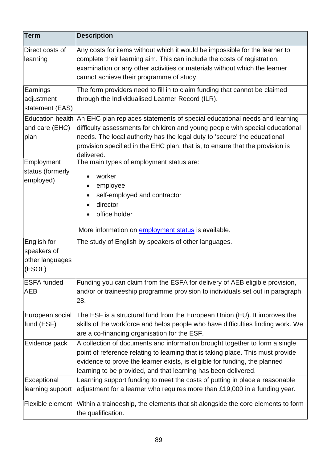| <b>Term</b>                                             | <b>Description</b>                                                                                                                                                                                                                                                                                                                                      |
|---------------------------------------------------------|---------------------------------------------------------------------------------------------------------------------------------------------------------------------------------------------------------------------------------------------------------------------------------------------------------------------------------------------------------|
| Direct costs of<br>learning                             | Any costs for items without which it would be impossible for the learner to<br>complete their learning aim. This can include the costs of registration,<br>examination or any other activities or materials without which the learner<br>cannot achieve their programme of study.                                                                       |
| Earnings<br>adjustment<br>statement (EAS)               | The form providers need to fill in to claim funding that cannot be claimed<br>through the Individualised Learner Record (ILR).                                                                                                                                                                                                                          |
| and care (EHC)<br>plan                                  | Education health An EHC plan replaces statements of special educational needs and learning<br>difficulty assessments for children and young people with special educational<br>needs. The local authority has the legal duty to 'secure' the educational<br>provision specified in the EHC plan, that is, to ensure that the provision is<br>delivered. |
| Employment<br>status (formerly<br>employed)             | The main types of employment status are:<br>worker<br>employee<br>self-employed and contractor<br>director<br>office holder<br>More information on <b>employment status</b> is available.                                                                                                                                                               |
| English for<br>speakers of<br>other languages<br>(ESOL) | The study of English by speakers of other languages.                                                                                                                                                                                                                                                                                                    |
| <b>ESFA</b> funded<br><b>AEB</b>                        | Funding you can claim from the ESFA for delivery of AEB eligible provision,<br>and/or or traineeship programme provision to individuals set out in paragraph<br>28.                                                                                                                                                                                     |
| European social<br>fund (ESF)                           | The ESF is a structural fund from the European Union (EU). It improves the<br>skills of the workforce and helps people who have difficulties finding work. We<br>are a co-financing organisation for the ESF.                                                                                                                                           |
| Evidence pack                                           | A collection of documents and information brought together to form a single<br>point of reference relating to learning that is taking place. This must provide<br>evidence to prove the learner exists, is eligible for funding, the planned<br>learning to be provided, and that learning has been delivered.                                          |
| Exceptional<br>learning support                         | Learning support funding to meet the costs of putting in place a reasonable<br>adjustment for a learner who requires more than £19,000 in a funding year.                                                                                                                                                                                               |
|                                                         | Flexible element  Within a traineeship, the elements that sit alongside the core elements to form<br>the qualification.                                                                                                                                                                                                                                 |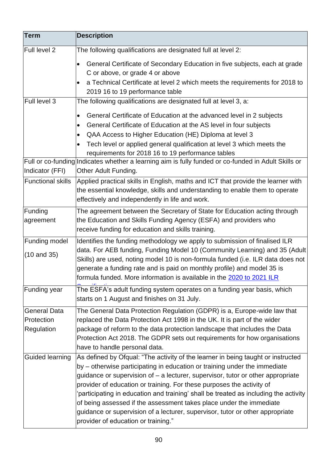| <b>Term</b>                                     | <b>Description</b>                                                                                                                                                                                                                                                                                                                                                                                                                                                                                                                                                                                              |
|-------------------------------------------------|-----------------------------------------------------------------------------------------------------------------------------------------------------------------------------------------------------------------------------------------------------------------------------------------------------------------------------------------------------------------------------------------------------------------------------------------------------------------------------------------------------------------------------------------------------------------------------------------------------------------|
| <b>Full level 2</b>                             | The following qualifications are designated full at level 2:                                                                                                                                                                                                                                                                                                                                                                                                                                                                                                                                                    |
|                                                 | General Certificate of Secondary Education in five subjects, each at grade<br>$\bullet$<br>C or above, or grade 4 or above<br>a Technical Certificate at level 2 which meets the requirements for 2018 to                                                                                                                                                                                                                                                                                                                                                                                                       |
|                                                 | 2019 16 to 19 performance table                                                                                                                                                                                                                                                                                                                                                                                                                                                                                                                                                                                 |
| Full level 3                                    | The following qualifications are designated full at level 3, a:<br>General Certificate of Education at the advanced level in 2 subjects<br>$\bullet$                                                                                                                                                                                                                                                                                                                                                                                                                                                            |
|                                                 | General Certificate of Education at the AS level in four subjects<br>$\bullet$                                                                                                                                                                                                                                                                                                                                                                                                                                                                                                                                  |
|                                                 | QAA Access to Higher Education (HE) Diploma at level 3<br>$\bullet$                                                                                                                                                                                                                                                                                                                                                                                                                                                                                                                                             |
|                                                 | Tech level or applied general qualification at level 3 which meets the<br>$\bullet$                                                                                                                                                                                                                                                                                                                                                                                                                                                                                                                             |
|                                                 | requirements for 2018 16 to 19 performance tables<br>Full or co-funding Indicates whether a learning aim is fully funded or co-funded in Adult Skills or                                                                                                                                                                                                                                                                                                                                                                                                                                                        |
| Indicator (FFI)<br><b>Functional skills</b>     | Other Adult Funding.<br>Applied practical skills in English, maths and ICT that provide the learner with<br>the essential knowledge, skills and understanding to enable them to operate<br>effectively and independently in life and work.                                                                                                                                                                                                                                                                                                                                                                      |
| Funding<br>agreement                            | The agreement between the Secretary of State for Education acting through<br>the Education and Skills Funding Agency (ESFA) and providers who<br>receive funding for education and skills training.                                                                                                                                                                                                                                                                                                                                                                                                             |
| Funding model<br>$(10$ and 35)                  | Identifies the funding methodology we apply to submission of finalised ILR<br>data. For AEB funding, Funding Model 10 (Community Learning) and 35 (Adult<br>Skills) are used, noting model 10 is non-formula funded (i.e. ILR data does not<br>generate a funding rate and is paid on monthly profile) and model 35 is<br>formula funded. More information is available in the 2020 to 2021 ILR                                                                                                                                                                                                                 |
| Funding year                                    | The ESFA's adult funding system operates on a funding year basis, which<br>starts on 1 August and finishes on 31 July.                                                                                                                                                                                                                                                                                                                                                                                                                                                                                          |
| <b>General Data</b><br>Protection<br>Regulation | The General Data Protection Regulation (GDPR) is a, Europe-wide law that<br>replaced the Data Protection Act 1998 in the UK. It is part of the wider<br>package of reform to the data protection landscape that includes the Data<br>Protection Act 2018. The GDPR sets out requirements for how organisations<br>have to handle personal data.                                                                                                                                                                                                                                                                 |
| Guided learning                                 | As defined by Ofqual: "The activity of the learner in being taught or instructed<br>by – otherwise participating in education or training under the immediate<br>guidance or supervision of - a lecturer, supervisor, tutor or other appropriate<br>provider of education or training. For these purposes the activity of<br>participating in education and training' shall be treated as including the activity<br>of being assessed if the assessment takes place under the immediate<br>guidance or supervision of a lecturer, supervisor, tutor or other appropriate<br>provider of education or training." |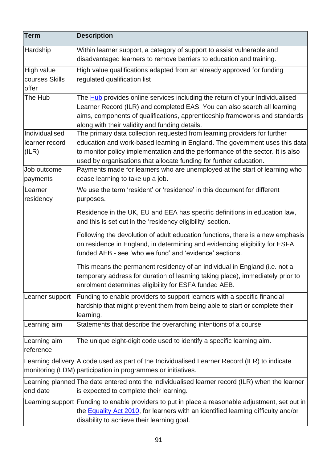| <b>Term</b>     | <b>Description</b>                                                                                                                                                                                                       |
|-----------------|--------------------------------------------------------------------------------------------------------------------------------------------------------------------------------------------------------------------------|
| Hardship        | Within learner support, a category of support to assist vulnerable and<br>disadvantaged learners to remove barriers to education and training.                                                                           |
| High value      | High value qualifications adapted from an already approved for funding                                                                                                                                                   |
| courses Skills  | regulated qualification list                                                                                                                                                                                             |
| offer           |                                                                                                                                                                                                                          |
| The Hub         | The Hub provides online services including the return of your Individualised                                                                                                                                             |
|                 | Learner Record (ILR) and completed EAS. You can also search all learning                                                                                                                                                 |
|                 | aims, components of qualifications, apprenticeship frameworks and standards                                                                                                                                              |
|                 | along with their validity and funding details.                                                                                                                                                                           |
| Individualised  | The primary data collection requested from learning providers for further                                                                                                                                                |
| learner record  | education and work-based learning in England. The government uses this data                                                                                                                                              |
| (ILR)           | to monitor policy implementation and the performance of the sector. It is also                                                                                                                                           |
|                 | used by organisations that allocate funding for further education.                                                                                                                                                       |
| Job outcome     | Payments made for learners who are unemployed at the start of learning who                                                                                                                                               |
| payments        | cease learning to take up a job.                                                                                                                                                                                         |
| Learner         | We use the term 'resident' or 'residence' in this document for different                                                                                                                                                 |
| residency       | purposes.                                                                                                                                                                                                                |
|                 | Residence in the UK, EU and EEA has specific definitions in education law,<br>and this is set out in the 'residency eligibility' section.                                                                                |
|                 | Following the devolution of adult education functions, there is a new emphasis<br>on residence in England, in determining and evidencing eligibility for ESFA<br>funded AEB - see 'who we fund' and 'evidence' sections. |
|                 | This means the permanent residency of an individual in England (i.e. not a<br>temporary address for duration of learning taking place), immediately prior to<br>enrolment determines eligibility for ESFA funded AEB.    |
| Learner support | Funding to enable providers to support learners with a specific financial<br>hardship that might prevent them from being able to start or complete their<br>learning.                                                    |
| Learning aim    | Statements that describe the overarching intentions of a course                                                                                                                                                          |
| Learning aim    | The unique eight-digit code used to identify a specific learning aim.                                                                                                                                                    |
| reference       |                                                                                                                                                                                                                          |
|                 | Learning delivery A code used as part of the Individualised Learner Record (ILR) to indicate                                                                                                                             |
|                 | monitoring (LDM) participation in programmes or initiatives.                                                                                                                                                             |
|                 | Learning planned The date entered onto the individualised learner record (ILR) when the learner                                                                                                                          |
| end date        | is expected to complete their learning.                                                                                                                                                                                  |
|                 | Learning support Funding to enable providers to put in place a reasonable adjustment, set out in                                                                                                                         |
|                 | the <b>Equality Act 2010</b> , for learners with an identified learning difficulty and/or<br>disability to achieve their learning goal.                                                                                  |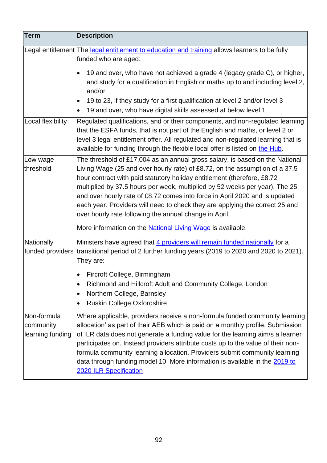| <b>Term</b>                                  | <b>Description</b>                                                                                                                                                                                                                                                                                                                                                                                                                                                                                                                             |
|----------------------------------------------|------------------------------------------------------------------------------------------------------------------------------------------------------------------------------------------------------------------------------------------------------------------------------------------------------------------------------------------------------------------------------------------------------------------------------------------------------------------------------------------------------------------------------------------------|
|                                              | Legal entitlement The legal entitlement to education and training allows learners to be fully<br>funded who are aged:                                                                                                                                                                                                                                                                                                                                                                                                                          |
|                                              | 19 and over, who have not achieved a grade 4 (legacy grade C), or higher,<br>$\bullet$<br>and study for a qualification in English or maths up to and including level 2,<br>and/or<br>19 to 23, if they study for a first qualification at level 2 and/or level 3<br>$\bullet$<br>19 and over, who have digital skills assessed at below level 1<br>$\bullet$                                                                                                                                                                                  |
| Local flexibility                            | Regulated qualifications, and or their components, and non-regulated learning<br>that the ESFA funds, that is not part of the English and maths, or level 2 or<br>level 3 legal entitlement offer. All regulated and non-regulated learning that is<br>available for funding through the flexible local offer is listed on the Hub.                                                                                                                                                                                                            |
| Low wage<br>threshold                        | The threshold of £17,004 as an annual gross salary, is based on the National<br>Living Wage (25 and over hourly rate) of £8.72, on the assumption of a 37.5<br>hour contract with paid statutory holiday entitlement (therefore, £8.72<br>multiplied by 37.5 hours per week, multiplied by 52 weeks per year). The 25<br>and over hourly rate of £8.72 comes into force in April 2020 and is updated<br>each year. Providers will need to check they are applying the correct 25 and<br>over hourly rate following the annual change in April. |
| Nationally                                   | More information on the <b>National Living Wage</b> is available.<br>Ministers have agreed that 4 providers will remain funded nationally for a<br>funded providers transitional period of 2 further funding years (2019 to 2020 and 2020 to 2021).<br>They are:                                                                                                                                                                                                                                                                               |
|                                              | Fircroft College, Birmingham<br>Richmond and Hillcroft Adult and Community College, London<br>$\bullet$<br>Northern College, Barnsley<br>$\bullet$<br>Ruskin College Oxfordshire<br>$\bullet$                                                                                                                                                                                                                                                                                                                                                  |
| Non-formula<br>community<br>learning funding | Where applicable, providers receive a non-formula funded community learning<br>allocation' as part of their AEB which is paid on a monthly profile. Submission<br>of ILR data does not generate a funding value for the learning aim/s a learner<br>participates on. Instead providers attribute costs up to the value of their non-<br>formula community learning allocation. Providers submit community learning<br>data through funding model 10. More information is available in the 2019 to<br><b>2020 ILR Specification</b>             |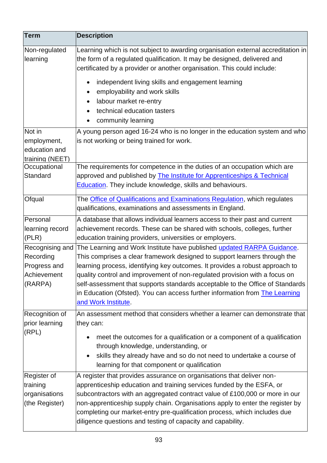| <b>Term</b>                                                | <b>Description</b>                                                                                                                                                                                                                                                                                                                                                                                                                                         |
|------------------------------------------------------------|------------------------------------------------------------------------------------------------------------------------------------------------------------------------------------------------------------------------------------------------------------------------------------------------------------------------------------------------------------------------------------------------------------------------------------------------------------|
| Non-regulated<br>learning                                  | Learning which is not subject to awarding organisation external accreditation in<br>the form of a regulated qualification. It may be designed, delivered and<br>certificated by a provider or another organisation. This could include:                                                                                                                                                                                                                    |
|                                                            | independent living skills and engagement learning<br>$\bullet$<br>employability and work skills<br>$\bullet$<br>labour market re-entry<br>technical education tasters<br>community learning                                                                                                                                                                                                                                                                |
| Not in                                                     | A young person aged 16-24 who is no longer in the education system and who                                                                                                                                                                                                                                                                                                                                                                                 |
| employment,                                                | is not working or being trained for work.                                                                                                                                                                                                                                                                                                                                                                                                                  |
| education and                                              |                                                                                                                                                                                                                                                                                                                                                                                                                                                            |
| training (NEET)                                            |                                                                                                                                                                                                                                                                                                                                                                                                                                                            |
| Occupational                                               | The requirements for competence in the duties of an occupation which are                                                                                                                                                                                                                                                                                                                                                                                   |
| Standard                                                   | approved and published by <b>The Institute for Apprenticeships &amp; Technical</b>                                                                                                                                                                                                                                                                                                                                                                         |
|                                                            | <b>Education</b> . They include knowledge, skills and behaviours.                                                                                                                                                                                                                                                                                                                                                                                          |
| Ofqual                                                     | The Office of Qualifications and Examinations Regulation, which regulates                                                                                                                                                                                                                                                                                                                                                                                  |
|                                                            | qualifications, examinations and assessments in England.                                                                                                                                                                                                                                                                                                                                                                                                   |
| Personal                                                   | A database that allows individual learners access to their past and current                                                                                                                                                                                                                                                                                                                                                                                |
| learning record                                            | achievement records. These can be shared with schools, colleges, further                                                                                                                                                                                                                                                                                                                                                                                   |
| (PLR)                                                      | education training providers, universities or employers.                                                                                                                                                                                                                                                                                                                                                                                                   |
| Recognising and                                            | The Learning and Work Institute have published updated RARPA Guidance.                                                                                                                                                                                                                                                                                                                                                                                     |
| Recording                                                  | This comprises a clear framework designed to support learners through the                                                                                                                                                                                                                                                                                                                                                                                  |
| Progress and                                               | learning process, identifying key outcomes. It provides a robust approach to                                                                                                                                                                                                                                                                                                                                                                               |
| Achievement                                                | quality control and improvement of non-regulated provision with a focus on                                                                                                                                                                                                                                                                                                                                                                                 |
| (RARPA)                                                    | self-assessment that supports standards acceptable to the Office of Standards<br>in Education (Ofsted). You can access further information from The Learning<br>and Work Institute.                                                                                                                                                                                                                                                                        |
| Recognition of                                             | An assessment method that considers whether a learner can demonstrate that                                                                                                                                                                                                                                                                                                                                                                                 |
| prior learning                                             | they can:                                                                                                                                                                                                                                                                                                                                                                                                                                                  |
| (RPL)                                                      | meet the outcomes for a qualification or a component of a qualification<br>through knowledge, understanding, or<br>skills they already have and so do not need to undertake a course of                                                                                                                                                                                                                                                                    |
|                                                            | learning for that component or qualification                                                                                                                                                                                                                                                                                                                                                                                                               |
| Register of<br>training<br>organisations<br>(the Register) | A register that provides assurance on organisations that deliver non-<br>apprenticeship education and training services funded by the ESFA, or<br>subcontractors with an aggregated contract value of £100,000 or more in our<br>non-apprenticeship supply chain. Organisations apply to enter the register by<br>completing our market-entry pre-qualification process, which includes due<br>diligence questions and testing of capacity and capability. |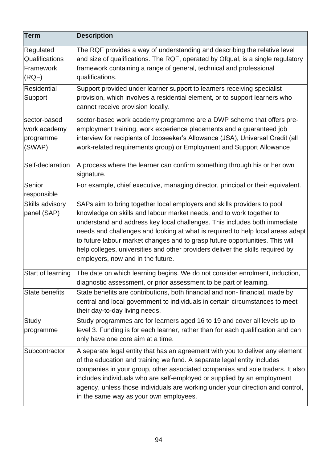| <b>Term</b>                                         | <b>Description</b>                                                                                                                                                                                                                                                                                                                                                                                                                                                                                                    |
|-----------------------------------------------------|-----------------------------------------------------------------------------------------------------------------------------------------------------------------------------------------------------------------------------------------------------------------------------------------------------------------------------------------------------------------------------------------------------------------------------------------------------------------------------------------------------------------------|
| Regulated<br>Qualifications<br>Framework<br>(RQF)   | The RQF provides a way of understanding and describing the relative level<br>and size of qualifications. The RQF, operated by Ofqual, is a single regulatory<br>framework containing a range of general, technical and professional<br>qualifications.                                                                                                                                                                                                                                                                |
| <b>Residential</b><br>Support                       | Support provided under learner support to learners receiving specialist<br>provision, which involves a residential element, or to support learners who<br>cannot receive provision locally.                                                                                                                                                                                                                                                                                                                           |
| sector-based<br>work academy<br>programme<br>(SWAP) | sector-based work academy programme are a DWP scheme that offers pre-<br>employment training, work experience placements and a guaranteed job<br>interview for recipients of Jobseeker's Allowance (JSA), Universal Credit (all<br>work-related requirements group) or Employment and Support Allowance                                                                                                                                                                                                               |
| Self-declaration                                    | A process where the learner can confirm something through his or her own<br>signature.                                                                                                                                                                                                                                                                                                                                                                                                                                |
| Senior<br>responsible                               | For example, chief executive, managing director, principal or their equivalent.                                                                                                                                                                                                                                                                                                                                                                                                                                       |
| Skills advisory<br>panel (SAP)                      | SAPs aim to bring together local employers and skills providers to pool<br>knowledge on skills and labour market needs, and to work together to<br>understand and address key local challenges. This includes both immediate<br>needs and challenges and looking at what is required to help local areas adapt<br>to future labour market changes and to grasp future opportunities. This will<br>help colleges, universities and other providers deliver the skills required by<br>employers, now and in the future. |
| Start of learning                                   | The date on which learning begins. We do not consider enrolment, induction,<br>diagnostic assessment, or prior assessment to be part of learning.                                                                                                                                                                                                                                                                                                                                                                     |
| <b>State benefits</b>                               | State benefits are contributions, both financial and non-financial, made by<br>central and local government to individuals in certain circumstances to meet<br>their day-to-day living needs.                                                                                                                                                                                                                                                                                                                         |
| Study<br>programme                                  | Study programmes are for learners aged 16 to 19 and cover all levels up to<br>level 3. Funding is for each learner, rather than for each qualification and can<br>only have one core aim at a time.                                                                                                                                                                                                                                                                                                                   |
| Subcontractor                                       | A separate legal entity that has an agreement with you to deliver any element<br>of the education and training we fund. A separate legal entity includes<br>companies in your group, other associated companies and sole traders. It also<br>includes individuals who are self-employed or supplied by an employment<br>agency, unless those individuals are working under your direction and control,<br>in the same way as your own employees.                                                                      |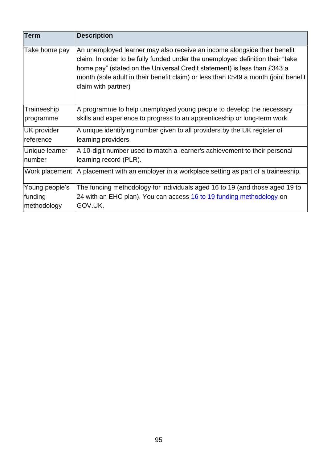| <b>Term</b>        | <b>Description</b>                                                                                                                                                                                                                                                                                                                                  |
|--------------------|-----------------------------------------------------------------------------------------------------------------------------------------------------------------------------------------------------------------------------------------------------------------------------------------------------------------------------------------------------|
| Take home pay      | An unemployed learner may also receive an income alongside their benefit<br>claim. In order to be fully funded under the unemployed definition their "take<br>home pay" (stated on the Universal Credit statement) is less than £343 a<br>month (sole adult in their benefit claim) or less than £549 a month (joint benefit<br>claim with partner) |
| Traineeship        | A programme to help unemployed young people to develop the necessary                                                                                                                                                                                                                                                                                |
| programme          | skills and experience to progress to an apprenticeship or long-term work.                                                                                                                                                                                                                                                                           |
| <b>UK</b> provider | A unique identifying number given to all providers by the UK register of                                                                                                                                                                                                                                                                            |
| reference          | learning providers.                                                                                                                                                                                                                                                                                                                                 |
| Unique learner     | A 10-digit number used to match a learner's achievement to their personal                                                                                                                                                                                                                                                                           |
| number             | learning record (PLR).                                                                                                                                                                                                                                                                                                                              |
| Work placement     | A placement with an employer in a workplace setting as part of a traineeship.                                                                                                                                                                                                                                                                       |
| Young people's     | The funding methodology for individuals aged 16 to 19 (and those aged 19 to                                                                                                                                                                                                                                                                         |
| funding            | 24 with an EHC plan). You can access 16 to 19 funding methodology on                                                                                                                                                                                                                                                                                |
| methodology        | GOV.UK.                                                                                                                                                                                                                                                                                                                                             |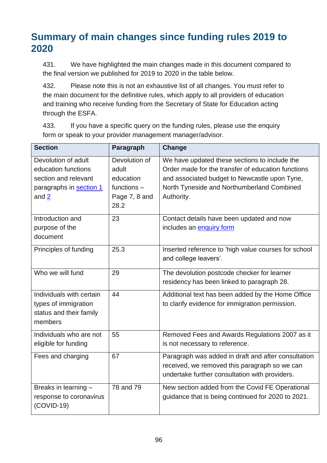### **Summary of main changes since funding rules 2019 to 2020**

431. We have highlighted the main changes made in this document compared to the final version we published for 2019 to 2020 in the table below.

432. Please note this is not an exhaustive list of all changes. You must refer to the main document for the definitive rules, which apply to all providers of education and training who receive funding from the Secretary of State for Education acting through the ESFA.

433. If you have a specific query on the funding rules, please use the enquiry form or speak to your provider management manager/advisor.

| <b>Section</b>           | Paragraph     | Change                                               |
|--------------------------|---------------|------------------------------------------------------|
| Devolution of adult      | Devolution of | We have updated these sections to include the        |
| education functions      | adult         | Order made for the transfer of education functions   |
| section and relevant     | education     | and associated budget to Newcastle upon Tyne,        |
| paragraphs in section 1  | functions $-$ | North Tyneside and Northumberland Combined           |
| and $2$                  | Page 7, 8 and | Authority.                                           |
|                          | 28.2          |                                                      |
| Introduction and         | 23            | Contact details have been updated and now            |
| purpose of the           |               | includes an enquiry form                             |
| document                 |               |                                                      |
| Principles of funding    | 25.3          | Inserted reference to 'high value courses for school |
|                          |               | and college leavers'.                                |
| Who we will fund         | 29            | The devolution postcode checker for learner          |
|                          |               | residency has been linked to paragraph 28.           |
| Individuals with certain | 44            | Additional text has been added by the Home Office    |
| types of immigration     |               | to clarify evidence for immigration permission.      |
| status and their family  |               |                                                      |
| members                  |               |                                                      |
| Individuals who are not  | 55            | Removed Fees and Awards Regulations 2007 as it       |
| eligible for funding     |               | is not necessary to reference.                       |
| Fees and charging        | 67            | Paragraph was added in draft and after consultation  |
|                          |               | received, we removed this paragraph so we can        |
|                          |               | undertake further consultation with providers.       |
| Breaks in learning -     | 78 and 79     | New section added from the Covid FE Operational      |
| response to coronavirus  |               | guidance that is being continued for 2020 to 2021.   |
| $(COVID-19)$             |               |                                                      |
|                          |               |                                                      |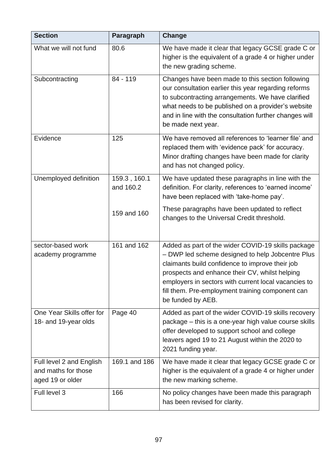| <b>Section</b>                                                      | Paragraph                 | Change                                                                                                                                                                                                                                                                                                                                       |
|---------------------------------------------------------------------|---------------------------|----------------------------------------------------------------------------------------------------------------------------------------------------------------------------------------------------------------------------------------------------------------------------------------------------------------------------------------------|
| What we will not fund                                               | 80.6                      | We have made it clear that legacy GCSE grade C or<br>higher is the equivalent of a grade 4 or higher under<br>the new grading scheme.                                                                                                                                                                                                        |
| Subcontracting                                                      | 84 - 119                  | Changes have been made to this section following<br>our consultation earlier this year regarding reforms<br>to subcontracting arrangements. We have clarified<br>what needs to be published on a provider's website<br>and in line with the consultation further changes will<br>be made next year.                                          |
| Evidence                                                            | 125                       | We have removed all references to 'learner file' and<br>replaced them with 'evidence pack' for accuracy.<br>Minor drafting changes have been made for clarity<br>and has not changed policy.                                                                                                                                                 |
| Unemployed definition                                               | 159.3, 160.1<br>and 160.2 | We have updated these paragraphs in line with the<br>definition. For clarity, references to 'earned income'<br>have been replaced with 'take-home pay'.                                                                                                                                                                                      |
|                                                                     | 159 and 160               | These paragraphs have been updated to reflect<br>changes to the Universal Credit threshold.                                                                                                                                                                                                                                                  |
| sector-based work<br>academy programme                              | 161 and 162               | Added as part of the wider COVID-19 skills package<br>- DWP led scheme designed to help Jobcentre Plus<br>claimants build confidence to improve their job<br>prospects and enhance their CV, whilst helping<br>employers in sectors with current local vacancies to<br>fill them. Pre-employment training component can<br>be funded by AEB. |
| One Year Skills offer for<br>18- and 19-year olds                   | Page 40                   | Added as part of the wider COVID-19 skills recovery<br>package – this is a one-year high value course skills<br>offer developed to support school and college<br>leavers aged 19 to 21 August within the 2020 to<br>2021 funding year.                                                                                                       |
| Full level 2 and English<br>and maths for those<br>aged 19 or older | 169.1 and 186             | We have made it clear that legacy GCSE grade C or<br>higher is the equivalent of a grade 4 or higher under<br>the new marking scheme.                                                                                                                                                                                                        |
| Full level 3                                                        | 166                       | No policy changes have been made this paragraph<br>has been revised for clarity.                                                                                                                                                                                                                                                             |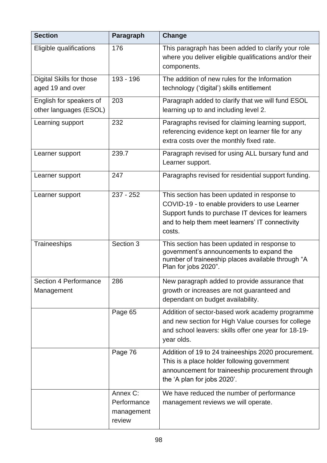| <b>Section</b>                                    | Paragraph                                       | Change                                                                                                                                                                                                          |
|---------------------------------------------------|-------------------------------------------------|-----------------------------------------------------------------------------------------------------------------------------------------------------------------------------------------------------------------|
| Eligible qualifications                           | 176                                             | This paragraph has been added to clarify your role<br>where you deliver eligible qualifications and/or their<br>components.                                                                                     |
| Digital Skills for those<br>aged 19 and over      | 193 - 196                                       | The addition of new rules for the Information<br>technology ('digital') skills entitlement                                                                                                                      |
| English for speakers of<br>other languages (ESOL) | 203                                             | Paragraph added to clarify that we will fund ESOL<br>learning up to and including level 2.                                                                                                                      |
| Learning support                                  | 232                                             | Paragraphs revised for claiming learning support,<br>referencing evidence kept on learner file for any<br>extra costs over the monthly fixed rate.                                                              |
| Learner support                                   | 239.7                                           | Paragraph revised for using ALL bursary fund and<br>Learner support.                                                                                                                                            |
| Learner support                                   | 247                                             | Paragraphs revised for residential support funding.                                                                                                                                                             |
| Learner support                                   | $237 - 252$                                     | This section has been updated in response to<br>COVID-19 - to enable providers to use Learner<br>Support funds to purchase IT devices for learners<br>and to help them meet learners' IT connectivity<br>costs. |
| Traineeships                                      | Section 3                                       | This section has been updated in response to<br>government's announcements to expand the<br>number of traineeship places available through "A<br>Plan for jobs 2020".                                           |
| Section 4 Performance<br>Management               | 286                                             | New paragraph added to provide assurance that<br>growth or increases are not guaranteed and<br>dependant on budget availability.                                                                                |
|                                                   | Page 65                                         | Addition of sector-based work academy programme<br>and new section for High Value courses for college<br>and school leavers: skills offer one year for 18-19-<br>year olds.                                     |
|                                                   | Page 76                                         | Addition of 19 to 24 traineeships 2020 procurement.<br>This is a place holder following government<br>announcement for traineeship procurement through<br>the 'A plan for jobs 2020'.                           |
|                                                   | Annex C:<br>Performance<br>management<br>review | We have reduced the number of performance<br>management reviews we will operate.                                                                                                                                |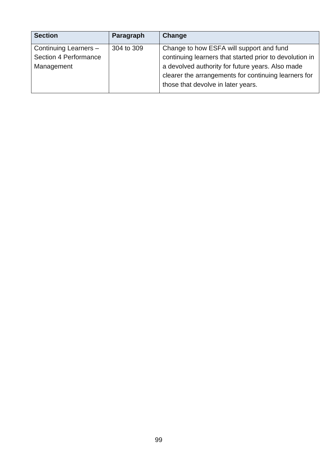| <b>Section</b>        | Paragraph  | <b>Change</b>                                           |
|-----------------------|------------|---------------------------------------------------------|
| Continuing Learners - | 304 to 309 | Change to how ESFA will support and fund                |
| Section 4 Performance |            | continuing learners that started prior to devolution in |
| Management            |            | a devolved authority for future years. Also made        |
|                       |            | clearer the arrangements for continuing learners for    |
|                       |            | those that devolve in later years.                      |